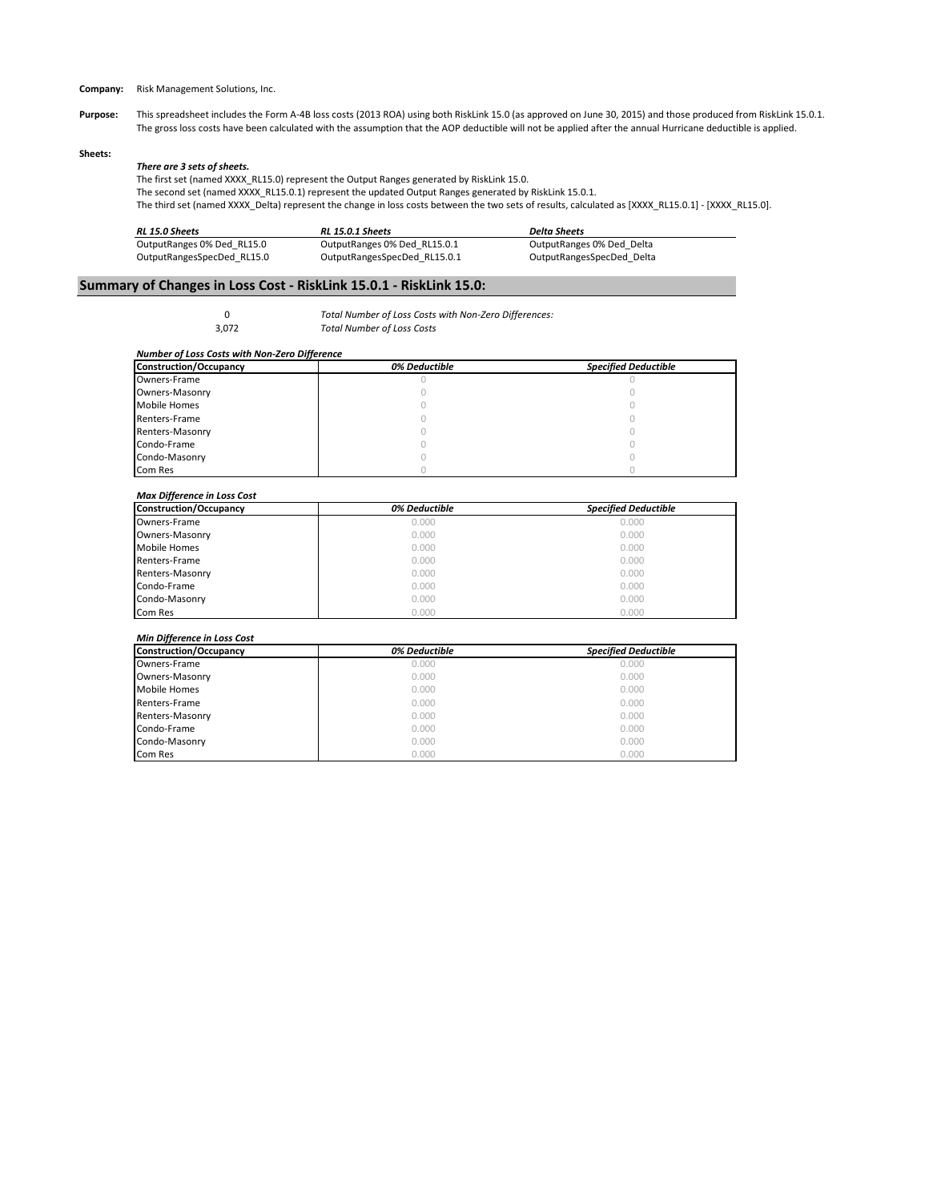**Company:** Risk Management Solutions, Inc.

Purpose: This spreadsheet includes the Form A-4B loss costs (2013 ROA) using both RiskLink 15.0 (as approved on June 30, 2015) and those produced from RiskLink 15.0.1. The gross loss costs have been calculated with the assumption that the AOP deductible will not be applied after the annual Hurricane deductible is applied.

#### **Sheets:**

# *There are 3 sets of sheets.*

The first set (named XXXX\_RL15.0) represent the Output Ranges generated by RiskLink 15.0. The second set (named XXXX\_RL15.0.1) represent the updated Output Ranges generated by RiskLink 15.0.1. The third set (named XXXX\_Delta) represent the change in loss costs between the two sets of results, calculated as [XXXX\_RL15.0.1] - [XXXX\_RL15.0].

| RL 15.0 Sheets             | <b>RL 15.0.1 Sheets</b>      | <b>Delta Sheets</b>       |  |
|----------------------------|------------------------------|---------------------------|--|
| OutputRanges 0% Ded RL15.0 | OutputRanges 0% Ded RL15.0.1 | OutputRanges 0% Ded Delta |  |
| OutputRangesSpecDed RL15.0 | OutputRangesSpecDed RL15.0.1 | OutputRangesSpecDed Delta |  |

# **Summary of Changes in Loss Cost - RiskLink 15.0.1 - RiskLink 15.0:**

0 *Total Number of Loss Costs with Non-Zero Differences:* 3,072 *Total Number of Loss Costs*

#### *Number of Loss Costs with Non-Zero Difference*

| Construction/Occupancy | 0% Deductible | <b>Specified Deductible</b> |
|------------------------|---------------|-----------------------------|
| Owners-Frame           |               |                             |
| Owners-Masonry         |               |                             |
| <b>Mobile Homes</b>    |               |                             |
| Renters-Frame          |               |                             |
| Renters-Masonry        |               |                             |
| Condo-Frame            |               |                             |
| Condo-Masonry          |               |                             |
| Com Res                |               |                             |

# *Max Difference in Loss Cost*

| <b>Construction/Occupancy</b> | 0% Deductible | <b>Specified Deductible</b> |
|-------------------------------|---------------|-----------------------------|
| Owners-Frame                  | 0.000         | 0.000                       |
| Owners-Masonry                | 0.000         | 0.000                       |
| <b>Mobile Homes</b>           | 0.000         | 0.000                       |
| Renters-Frame                 | 0.000         | 0.000                       |
| Renters-Masonry               | 0.000         | 0.000                       |
| Condo-Frame                   | 0.000         | 0.000                       |
| Condo-Masonry                 | 0.000         | 0.000                       |
| Com Res                       | 0.000         | 0.000                       |

# *Min Difference in Loss Cost*

| Construction/Occupancy | 0% Deductible | <b>Specified Deductible</b> |
|------------------------|---------------|-----------------------------|
| Owners-Frame           | 0.000         | 0.000                       |
| Owners-Masonry         | 0.000         | 0.000                       |
| Mobile Homes           | 0.000         | 0.000                       |
| Renters-Frame          | 0.000         | 0.000                       |
| Renters-Masonry        | 0.000         | 0.000                       |
| Condo-Frame            | 0.000         | 0.000                       |
| Condo-Masonry          | 0.000         | 0.000                       |
| Com Res                | 0.000         | 0.000                       |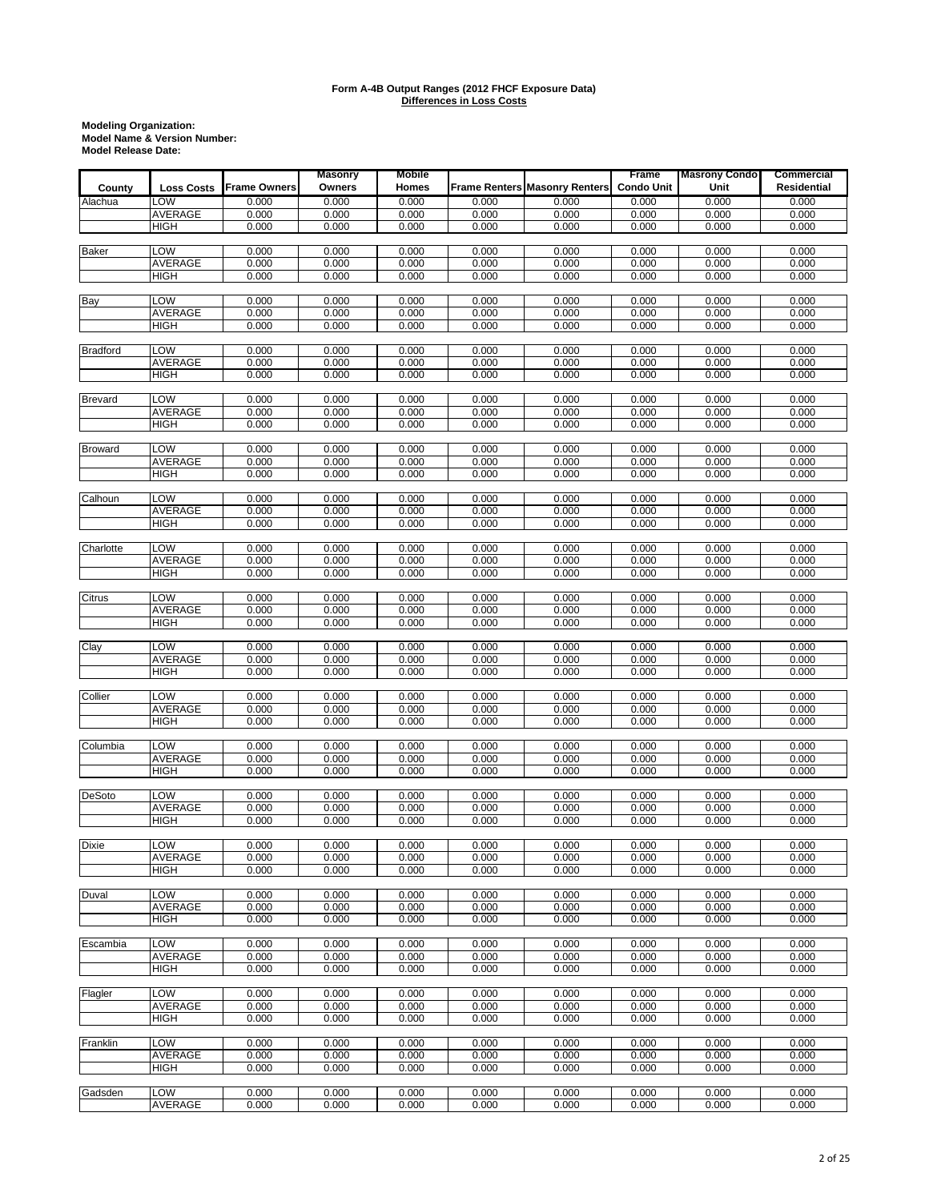|                 |                   |              | <b>Masonry</b> | <b>Mobile</b>  |                |                                      | Frame             | <b>Masrony Condo</b> | Commercial         |
|-----------------|-------------------|--------------|----------------|----------------|----------------|--------------------------------------|-------------------|----------------------|--------------------|
| County          | <b>Loss Costs</b> | Frame Owners | Owners         | Homes          |                | <b>Frame Renters Masonry Renters</b> | <b>Condo Unit</b> | Unit                 | <b>Residential</b> |
| Alachua         | LOW               | 0.000        | 0.000          | 0.000          | 0.000          | 0.000                                | 0.000             | 0.000                | 0.000              |
|                 | AVERAGE           | 0.000        | 0.000          | 0.000          | 0.000          | 0.000                                | 0.000             | 0.000                | 0.000              |
|                 | <b>HIGH</b>       | 0.000        | 0.000          | 0.000          | 0.000          | 0.000                                | 0.000             | 0.000                | 0.000              |
|                 |                   |              |                |                |                |                                      |                   |                      |                    |
| <b>Baker</b>    | LOW               | 0.000        | 0.000          | 0.000          | 0.000          | 0.000                                | 0.000             | 0.000                | 0.000              |
|                 | AVERAGE           | 0.000        | 0.000          | 0.000          | 0.000          | 0.000                                | 0.000             | 0.000                | 0.000              |
|                 | HIGH              | 0.000        | 0.000          | 0.000          | 0.000          | 0.000                                | 0.000             | 0.000                | 0.000              |
|                 |                   |              |                |                |                |                                      |                   |                      |                    |
| Bay             | LOW               | 0.000        | 0.000          | 0.000          | 0.000          | 0.000                                | 0.000             | 0.000                | 0.000              |
|                 | <b>AVERAGE</b>    | 0.000        | 0.000          | 0.000          | 0.000          | 0.000                                | 0.000             | 0.000                | 0.000              |
|                 | <b>HIGH</b>       | 0.000        | 0.000          | 0.000          | 0.000          | 0.000                                | 0.000             | 0.000                | 0.000              |
|                 |                   |              |                |                |                |                                      |                   |                      |                    |
| <b>Bradford</b> | LOW               | 0.000        | 0.000          | 0.000          | 0.000          | 0.000                                | 0.000             | 0.000                | 0.000              |
|                 | <b>AVERAGE</b>    | 0.000        | 0.000          | 0.000          | 0.000          | 0.000                                | 0.000             | 0.000                | 0.000              |
|                 | <b>HIGH</b>       | 0.000        | 0.000          | 0.000          | 0.000          | 0.000                                | 0.000             | 0.000                | 0.000              |
|                 |                   |              |                |                |                |                                      |                   |                      |                    |
| <b>Brevard</b>  | LOW               | 0.000        | 0.000          | 0.000          | 0.000          | 0.000                                | 0.000             | 0.000                | 0.000              |
|                 | AVERAGE           | 0.000        | 0.000          | 0.000          | 0.000          | 0.000                                | 0.000             | 0.000                | 0.000              |
|                 | HIGH              | 0.000        | 0.000          | 0.000          | 0.000          | 0.000                                | 0.000             | 0.000                | 0.000              |
|                 |                   |              |                |                |                |                                      |                   |                      |                    |
| <b>Broward</b>  | LOW               | 0.000        | 0.000          | 0.000          | 0.000          | 0.000                                | 0.000             | 0.000                | 0.000              |
|                 | AVERAGE           | 0.000        | 0.000          | 0.000          | 0.000          | 0.000                                | 0.000             | 0.000                | 0.000              |
|                 | <b>HIGH</b>       | 0.000        | 0.000          | 0.000          | 0.000          | 0.000                                | 0.000             | 0.000                | 0.000              |
|                 |                   |              |                |                |                |                                      |                   |                      |                    |
| Calhoun         | LOW               | 0.000        | 0.000          | 0.000          | 0.000          | 0.000                                | 0.000             | 0.000                | 0.000              |
|                 | AVERAGE           | 0.000        | 0.000          | 0.000          | 0.000          | 0.000                                | 0.000             | 0.000                | 0.000              |
|                 | HIGH              | 0.000        | 0.000          | 0.000          | 0.000          | 0.000                                | 0.000             | 0.000                | 0.000              |
|                 |                   |              |                |                |                |                                      |                   |                      |                    |
| Charlotte       | LOW               | 0.000        | 0.000          | 0.000          | 0.000          | 0.000                                | 0.000             | 0.000                | 0.000              |
|                 | <b>AVERAGE</b>    | 0.000        | 0.000          | 0.000          | 0.000          | 0.000                                | 0.000             | 0.000                | 0.000              |
|                 | <b>HIGH</b>       | 0.000        | 0.000          | 0.000          | 0.000          | 0.000                                | 0.000             | 0.000                | 0.000              |
|                 |                   |              |                |                |                |                                      |                   |                      |                    |
| Citrus          | LOW               | 0.000        | 0.000          | 0.000          | 0.000          | 0.000                                | 0.000             | 0.000                | 0.000              |
|                 | AVERAGE           | 0.000        | 0.000          | 0.000          | 0.000          | 0.000                                | 0.000             | 0.000                | 0.000              |
|                 | HIGH              | 0.000        | 0.000          | 0.000          | 0.000          | 0.000                                | 0.000             | 0.000                | 0.000              |
|                 |                   |              |                |                |                |                                      |                   |                      |                    |
| Clay            | LOW               | 0.000        | 0.000          | 0.000          | 0.000          | 0.000                                | 0.000             | 0.000                | 0.000              |
|                 | AVERAGE           | 0.000        | 0.000          | 0.000          | 0.000          | 0.000                                | 0.000             | 0.000                | 0.000              |
|                 | <b>HIGH</b>       | 0.000        | 0.000          | 0.000          | 0.000          | 0.000                                | 0.000             | 0.000                | 0.000              |
|                 |                   |              |                |                |                |                                      |                   |                      |                    |
| Collier         | LOW               | 0.000        | 0.000          | 0.000          | 0.000          | 0.000                                | 0.000             | 0.000                | 0.000              |
|                 | AVERAGE           | 0.000        | 0.000          | 0.000          | 0.000          | 0.000                                | 0.000             | 0.000                | 0.000              |
|                 | HIGH              | 0.000        | 0.000          | 0.000          | 0.000          | 0.000                                | 0.000             | 0.000                | 0.000              |
|                 |                   |              |                |                |                |                                      |                   |                      |                    |
| Columbia        | <b>LOW</b>        | 0.000        | 0.000          | 0.000          | 0.000          | 0.000                                | 0.000             | 0.000                | 0.000              |
|                 | <b>AVERAGE</b>    | 0.000        | 0.000          | 0.000          | 0.000          | 0.000                                | 0.000             | 0.000                | 0.000              |
|                 | <b>HIGH</b>       | 0.000        | 0.000          | 0.000          | 0.000          | 0.000                                | 0.000             | 0.000                | 0.000              |
| <b>DeSoto</b>   | LOW               | 0.000        | 0.000          |                |                |                                      |                   |                      | 0.000              |
|                 | AVERAGE           | 0.000        |                | 0.000          | 0.000<br>0.000 | 0.000                                | 0.000             | 0.000                |                    |
|                 | <b>HIGH</b>       | 0.000        | 0.000<br>0.000 | 0.000<br>0.000 | 0.000          | 0.000<br>0.000                       | 0.000<br>0.000    | 0.000<br>0.000       | 0.000<br>0.000     |
|                 |                   |              |                |                |                |                                      |                   |                      |                    |
| Dixie           | <b>LOW</b>        | 0.000        | 0.000          | 0.000          | 0.000          | 0.000                                | 0.000             | 0.000                | 0.000              |
|                 | AVERAGE           | 0.000        | 0.000          | 0.000          | 0.000          | 0.000                                | 0.000             | 0.000                | 0.000              |
|                 | HIGH              | 0.000        | 0.000          | 0.000          | 0.000          | 0.000                                | 0.000             | 0.000                | 0.000              |
|                 |                   |              |                |                |                |                                      |                   |                      |                    |
| Duval           | LOW               | 0.000        | 0.000          | 0.000          | 0.000          | 0.000                                | 0.000             | 0.000                | 0.000              |
|                 | <b>AVERAGE</b>    | 0.000        | 0.000          | 0.000          | 0.000          | 0.000                                | 0.000             | 0.000                | 0.000              |
|                 | <b>HIGH</b>       | 0.000        | 0.000          | 0.000          | 0.000          | 0.000                                | 0.000             | 0.000                | 0.000              |
|                 |                   |              |                |                |                |                                      |                   |                      |                    |
| Escambia        | LOW               | 0.000        | 0.000          | 0.000          | 0.000          | 0.000                                | 0.000             | 0.000                | 0.000              |
|                 | <b>AVERAGE</b>    | 0.000        | 0.000          | 0.000          | 0.000          | 0.000                                | 0.000             | 0.000                | 0.000              |
|                 | <b>HIGH</b>       | 0.000        | 0.000          | 0.000          | 0.000          | 0.000                                | 0.000             | 0.000                | 0.000              |
|                 |                   |              |                |                |                |                                      |                   |                      |                    |
| Flagler         | LOW               | 0.000        | 0.000          | 0.000          | 0.000          | 0.000                                | 0.000             | 0.000                | 0.000              |
|                 | <b>AVERAGE</b>    | 0.000        | 0.000          | 0.000          | 0.000          | 0.000                                | 0.000             | 0.000                | 0.000              |
|                 | <b>HIGH</b>       | 0.000        | 0.000          | 0.000          | 0.000          | 0.000                                | 0.000             | 0.000                | 0.000              |
|                 |                   |              |                |                |                |                                      |                   |                      |                    |
| Franklin        | LOW               | 0.000        | 0.000          | 0.000          | 0.000          | 0.000                                | 0.000             | 0.000                | 0.000              |
|                 | AVERAGE           | 0.000        | 0.000          | 0.000          | 0.000          | 0.000                                | 0.000             | 0.000                | 0.000              |
|                 | HIGH              | 0.000        | 0.000          | 0.000          | 0.000          | 0.000                                | 0.000             | 0.000                | 0.000              |
|                 |                   |              |                |                |                |                                      |                   |                      |                    |
| Gadsden         | LOW               | 0.000        | 0.000          | 0.000          | 0.000          | 0.000                                | 0.000             | 0.000                | 0.000              |
|                 | AVERAGE           | 0.000        | 0.000          | 0.000          | 0.000          | 0.000                                | 0.000             | 0.000                | 0.000              |
|                 |                   |              |                |                |                |                                      |                   |                      |                    |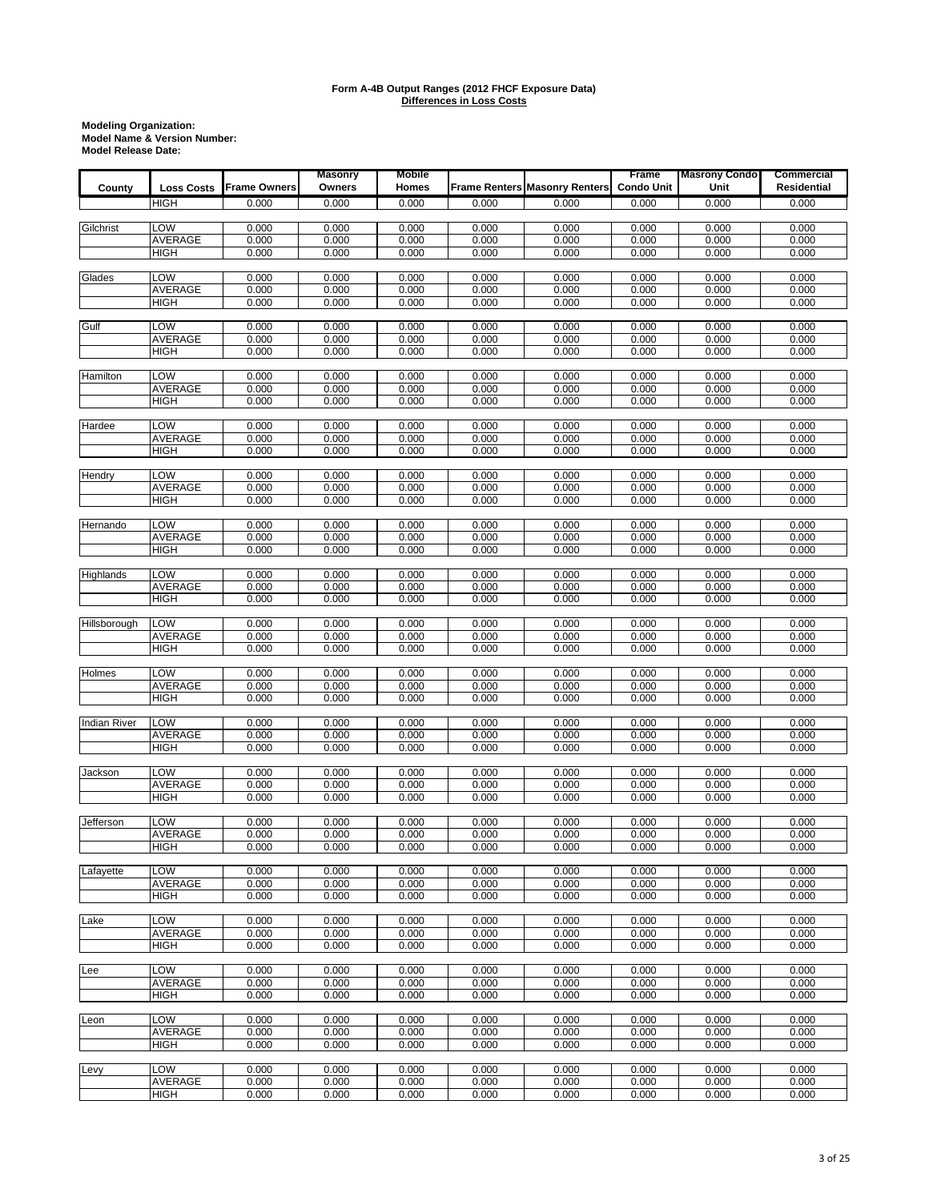|                     |                   |                     | <b>Masonry</b> | <b>Mobile</b>  |                |                                      | Frame             | <b>Masrony Condo</b> | <b>Commercial</b>  |
|---------------------|-------------------|---------------------|----------------|----------------|----------------|--------------------------------------|-------------------|----------------------|--------------------|
| County              | <b>Loss Costs</b> | <b>Frame Owners</b> | Owners         | Homes          |                | <b>Frame Renters Masonry Renters</b> | <b>Condo Unit</b> | Unit                 | <b>Residential</b> |
|                     | HIGH              | 0.000               | 0.000          | 0.000          | 0.000          | 0.000                                | 0.000             | 0.000                | 0.000              |
|                     |                   |                     |                |                |                |                                      |                   |                      |                    |
| Gilchrist           | LOW               | 0.000               | 0.000          | 0.000          | 0.000          | 0.000                                | 0.000             | 0.000                | 0.000              |
|                     | AVERAGE           | 0.000               | 0.000          | 0.000          | 0.000          | 0.000                                | 0.000             | 0.000                | 0.000              |
|                     | <b>HIGH</b>       | 0.000               | 0.000          | 0.000          | 0.000          | 0.000                                | 0.000             | 0.000                | 0.000              |
|                     |                   |                     |                |                |                |                                      |                   |                      |                    |
| Glades              | LOW               | 0.000               | 0.000          | 0.000          | 0.000          | 0.000                                | 0.000             | 0.000                | 0.000              |
|                     | AVERAGE           | 0.000               | 0.000          | 0.000          | 0.000          | 0.000                                | 0.000             | 0.000                | 0.000              |
|                     | HIGH              | 0.000               | 0.000          | 0.000          | 0.000          | 0.000                                | 0.000             | 0.000                | 0.000              |
|                     |                   |                     |                |                |                |                                      |                   |                      |                    |
| Gulf                | LOW<br>AVERAGE    | 0.000<br>0.000      | 0.000<br>0.000 | 0.000<br>0.000 | 0.000<br>0.000 | 0.000<br>0.000                       | 0.000<br>0.000    | 0.000<br>0.000       | 0.000<br>0.000     |
|                     | <b>HIGH</b>       | 0.000               | 0.000          | 0.000          | 0.000          | 0.000                                | 0.000             | 0.000                | 0.000              |
|                     |                   |                     |                |                |                |                                      |                   |                      |                    |
| Hamilton            | LOW               | 0.000               | 0.000          | 0.000          | 0.000          | 0.000                                | 0.000             | 0.000                | 0.000              |
|                     | AVERAGE           | 0.000               | 0.000          | 0.000          | 0.000          | 0.000                                | 0.000             | 0.000                | 0.000              |
|                     | HIGH              | 0.000               | 0.000          | 0.000          | 0.000          | 0.000                                | 0.000             | 0.000                | 0.000              |
|                     |                   |                     |                |                |                |                                      |                   |                      |                    |
| Hardee              | LOW               | 0.000               | 0.000          | 0.000          | 0.000          | 0.000                                | 0.000             | 0.000                | 0.000              |
|                     | AVERAGE           | 0.000               | 0.000          | 0.000          | 0.000          | 0.000                                | 0.000             | 0.000                | 0.000              |
|                     | <b>HIGH</b>       | 0.000               | 0.000          | 0.000          | 0.000          | 0.000                                | 0.000             | 0.000                | 0.000              |
|                     |                   |                     |                |                |                |                                      |                   |                      |                    |
| Hendry              | LOW               | 0.000               | 0.000          | 0.000          | 0.000          | 0.000                                | 0.000             | 0.000                | 0.000              |
|                     | <b>AVERAGE</b>    | 0.000               | 0.000          | 0.000          | 0.000          | 0.000                                | 0.000             | 0.000                | 0.000              |
|                     | <b>HIGH</b>       | 0.000               | 0.000          | 0.000          | 0.000          | 0.000                                | 0.000             | 0.000                | 0.000              |
|                     | LOW               | 0.000               | 0.000          | 0.000          | 0.000          | 0.000                                | 0.000             | 0.000                | 0.000              |
| Hernando            | AVERAGE           | 0.000               | 0.000          | 0.000          | 0.000          | 0.000                                | 0.000             | 0.000                | 0.000              |
|                     | <b>HIGH</b>       | 0.000               | 0.000          | 0.000          | 0.000          | 0.000                                | 0.000             | 0.000                | 0.000              |
|                     |                   |                     |                |                |                |                                      |                   |                      |                    |
| Highlands           | LOW               | 0.000               | 0.000          | 0.000          | 0.000          | 0.000                                | 0.000             | 0.000                | 0.000              |
|                     | AVERAGE           | 0.000               | 0.000          | 0.000          | 0.000          | 0.000                                | 0.000             | 0.000                | 0.000              |
|                     | <b>HIGH</b>       | 0.000               | 0.000          | 0.000          | 0.000          | 0.000                                | 0.000             | 0.000                | 0.000              |
|                     |                   |                     |                |                |                |                                      |                   |                      |                    |
| Hillsborough        | LOW               | 0.000               | 0.000          | 0.000          | 0.000          | 0.000                                | 0.000             | 0.000                | 0.000              |
|                     | AVERAGE           | 0.000               | 0.000          | 0.000          | 0.000          | 0.000                                | 0.000             | 0.000                | 0.000              |
|                     | <b>HIGH</b>       | 0.000               | 0.000          | 0.000          | 0.000          | 0.000                                | 0.000             | 0.000                | 0.000              |
|                     |                   |                     |                |                |                |                                      |                   |                      |                    |
| Holmes              | LOW               | 0.000               | 0.000          | 0.000          | 0.000          | 0.000                                | 0.000             | 0.000                | 0.000              |
|                     | AVERAGE           | 0.000               | 0.000          | 0.000          | 0.000          | 0.000                                | 0.000             | 0.000                | 0.000              |
|                     | <b>HIGH</b>       | 0.000               | 0.000          | 0.000          | 0.000          | 0.000                                | 0.000             | 0.000                | 0.000              |
| <b>Indian River</b> | <b>LOW</b>        | 0.000               | 0.000          | 0.000          | 0.000          | 0.000                                | 0.000             | 0.000                | 0.000              |
|                     | AVERAGE           | 0.000               | 0.000          | 0.000          | 0.000          | 0.000                                | 0.000             | 0.000                | 0.000              |
|                     | <b>HIGH</b>       | 0.000               | 0.000          | 0.000          | 0.000          | 0.000                                | 0.000             | 0.000                | 0.000              |
|                     |                   |                     |                |                |                |                                      |                   |                      |                    |
| Jackson             | LOW               | 0.000               | 0.000          | 0.000          | 0.000          | 0.000                                | 0.000             | 0.000                | 0.000              |
|                     | AVERAGE           | 0.000               | 0.000          | 0.000          | 0.000          | 0.000                                | 0.000             | 0.000                | 0.000              |
|                     | <b>HIGH</b>       | 0.000               | 0.000          | 0.000          | 0.000          | 0.000                                | 0.000             | 0.000                | 0.000              |
|                     |                   |                     |                |                |                |                                      |                   |                      |                    |
| Jefferson           | LOW               | 0.000               | 0.000          | 0.000          | 0.000          | 0.000                                | 0.000             | 0.000                | 0.000              |
|                     | AVERAGE           | 0.000               | 0.000          | 0.000          | 0.000          | 0.000                                | 0.000             | 0.000                | 0.000              |
|                     | HIGH              | 0.000               | 0.000          | 0.000          | 0.000          | 0.000                                | 0.000             | 0.000                | 0.000              |
| Lafayette           | LOW               | 0.000               | 0.000          | 0.000          | 0.000          | 0.000                                | 0.000             | 0.000                | 0.000              |
|                     | <b>AVERAGE</b>    | 0.000               | 0.000          | 0.000          | 0.000          | 0.000                                | 0.000             | 0.000                | 0.000              |
|                     | <b>HIGH</b>       | 0.000               | 0.000          | 0.000          | 0.000          | 0.000                                | 0.000             | 0.000                | 0.000              |
|                     |                   |                     |                |                |                |                                      |                   |                      |                    |
| Lake                | LOW               | 0.000               | 0.000          | 0.000          | 0.000          | 0.000                                | 0.000             | 0.000                | 0.000              |
|                     | AVERAGE           | 0.000               | 0.000          | 0.000          | 0.000          | 0.000                                | 0.000             | 0.000                | 0.000              |
|                     | <b>HIGH</b>       | 0.000               | 0.000          | 0.000          | 0.000          | 0.000                                | 0.000             | 0.000                | 0.000              |
|                     |                   |                     |                |                |                |                                      |                   |                      |                    |
| Lee                 | LOW               | 0.000               | 0.000          | 0.000          | 0.000          | 0.000                                | 0.000             | 0.000                | 0.000              |
|                     | AVERAGE           | 0.000               | 0.000          | 0.000          | 0.000          | 0.000                                | 0.000             | 0.000                | 0.000              |
|                     | <b>HIGH</b>       | 0.000               | 0.000          | 0.000          | 0.000          | 0.000                                | 0.000             | 0.000                | 0.000              |
|                     |                   |                     |                |                |                |                                      |                   |                      |                    |
| Leon                | LOW               | 0.000               | 0.000          | 0.000          | 0.000          | 0.000                                | 0.000             | 0.000                | 0.000              |
|                     | AVERAGE           | 0.000               | 0.000          | 0.000          | 0.000          | 0.000                                | 0.000             | 0.000                | 0.000              |
|                     | <b>HIGH</b>       | 0.000               | 0.000          | 0.000          | 0.000          | 0.000                                | 0.000             | 0.000                | 0.000              |
| Levy                | LOW               | 0.000               | 0.000          | 0.000          | 0.000          | 0.000                                | 0.000             | 0.000                | 0.000              |
|                     | AVERAGE           | 0.000               | 0.000          | 0.000          | 0.000          | 0.000                                | 0.000             | 0.000                | 0.000              |
|                     | HIGH              | 0.000               | 0.000          | 0.000          | 0.000          | 0.000                                | 0.000             | 0.000                | 0.000              |
|                     |                   |                     |                |                |                |                                      |                   |                      |                    |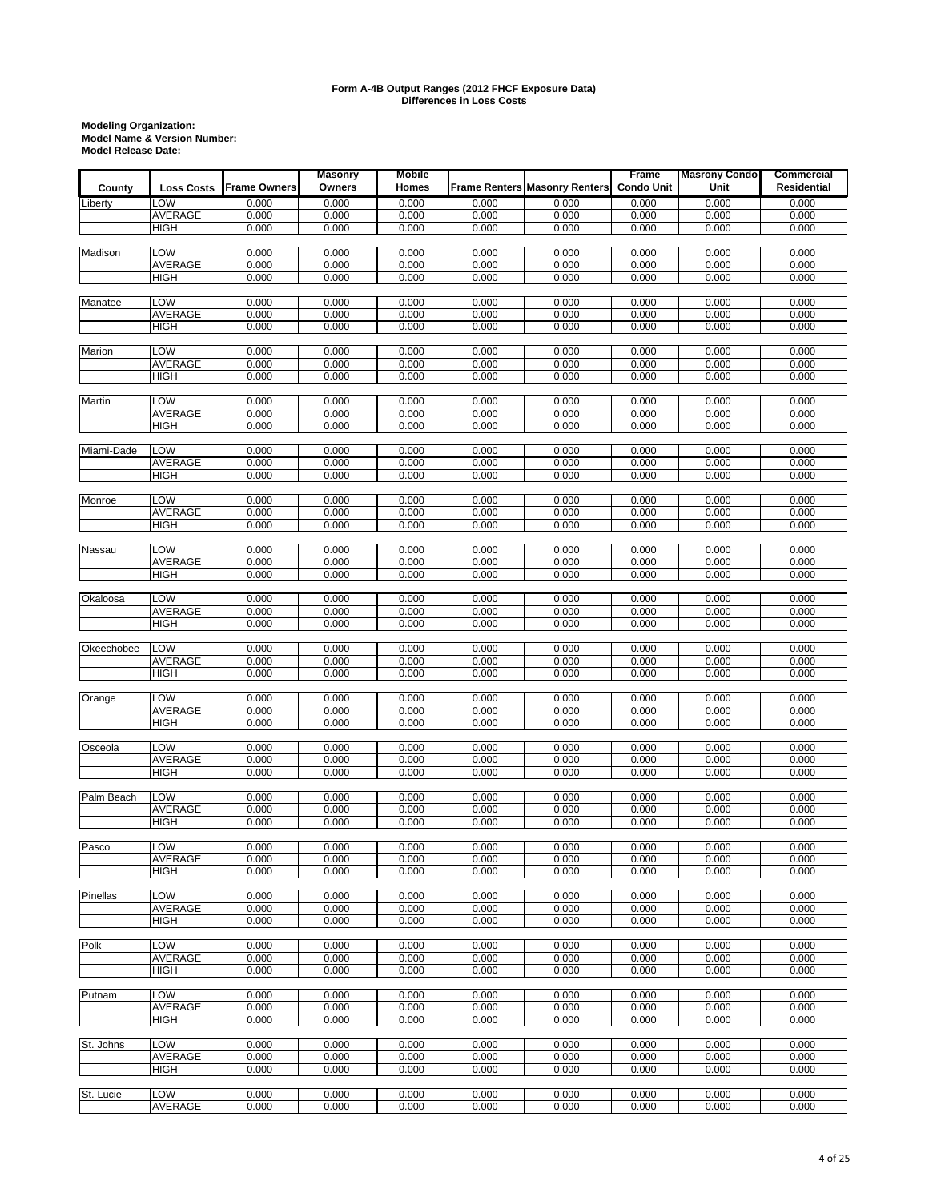|            |                               |                     | <b>Masonry</b> | Mobile         |                |                                      | Frame             | <b>Masrony Condo</b> | <b>Commercial</b>  |
|------------|-------------------------------|---------------------|----------------|----------------|----------------|--------------------------------------|-------------------|----------------------|--------------------|
| County     | <b>Loss Costs</b>             | <b>Frame Owners</b> | Owners         | Homes          |                | <b>Frame Renters Masonry Renters</b> | <b>Condo Unit</b> | Unit                 | <b>Residential</b> |
| Liberty    | LOW                           | 0.000               | 0.000          | 0.000          | 0.000          | 0.000                                | 0.000             | 0.000                | 0.000              |
|            | AVERAGE                       | 0.000               | 0.000          | 0.000          | 0.000          | 0.000                                | 0.000             | 0.000                | 0.000              |
|            | <b>HIGH</b>                   | 0.000               | 0.000          | 0.000          | 0.000          | 0.000                                | 0.000             | 0.000                | 0.000              |
|            |                               |                     |                |                |                |                                      |                   |                      |                    |
| Madison    | LOW                           | 0.000               | 0.000          | 0.000          | 0.000          | 0.000                                | 0.000             | 0.000                | 0.000              |
|            | AVERAGE                       | 0.000               | 0.000          | 0.000          | 0.000          | 0.000                                | 0.000             | 0.000                | 0.000              |
|            | <b>HIGH</b>                   | 0.000               | 0.000          | 0.000          | 0.000          | 0.000                                | 0.000             | 0.000                | 0.000              |
|            |                               |                     |                |                |                |                                      |                   |                      |                    |
| Manatee    | LOW<br>AVERAGE                | 0.000<br>0.000      | 0.000<br>0.000 | 0.000<br>0.000 | 0.000<br>0.000 | 0.000<br>0.000                       | 0.000<br>0.000    | 0.000<br>0.000       | 0.000<br>0.000     |
|            | <b>HIGH</b>                   | 0.000               | 0.000          | 0.000          | 0.000          | 0.000                                | 0.000             | 0.000                | 0.000              |
|            |                               |                     |                |                |                |                                      |                   |                      |                    |
| Marion     | LOW                           | 0.000               | 0.000          | 0.000          | 0.000          | 0.000                                | 0.000             | 0.000                | 0.000              |
|            | <b>AVERAGE</b>                | 0.000               | 0.000          | 0.000          | 0.000          | 0.000                                | 0.000             | 0.000                | 0.000              |
|            | <b>HIGH</b>                   | 0.000               | 0.000          | 0.000          | 0.000          | 0.000                                | 0.000             | 0.000                | 0.000              |
|            |                               |                     |                |                |                |                                      |                   |                      |                    |
| Martin     | <b>LOW</b>                    | 0.000               | 0.000          | 0.000          | 0.000          | 0.000                                | 0.000             | 0.000                | 0.000              |
|            | <b>AVERAGE</b>                | 0.000               | 0.000          | 0.000          | 0.000          | 0.000                                | 0.000             | 0.000                | 0.000              |
|            | <b>HIGH</b>                   | 0.000               | 0.000          | 0.000          | 0.000          | 0.000                                | 0.000             | 0.000                | 0.000              |
| Miami-Dade | LOW                           | 0.000               | 0.000          | 0.000          | 0.000          | 0.000                                | 0.000             | 0.000                | 0.000              |
|            | AVERAGE                       | 0.000               | 0.000          | 0.000          | 0.000          | 0.000                                | 0.000             | 0.000                | 0.000              |
|            | <b>HIGH</b>                   | 0.000               | 0.000          | 0.000          | 0.000          | 0.000                                | 0.000             | 0.000                | 0.000              |
|            |                               |                     |                |                |                |                                      |                   |                      |                    |
| Monroe     | LOW                           | 0.000               | 0.000          | 0.000          | 0.000          | 0.000                                | 0.000             | 0.000                | 0.000              |
|            | AVERAGE                       | 0.000               | 0.000          | 0.000          | 0.000          | 0.000                                | 0.000             | 0.000                | 0.000              |
|            | <b>HIGH</b>                   | 0.000               | 0.000          | 0.000          | 0.000          | 0.000                                | 0.000             | 0.000                | 0.000              |
|            |                               |                     |                |                |                |                                      |                   |                      |                    |
| Nassau     | LOW                           | 0.000               | 0.000          | 0.000          | 0.000          | 0.000                                | 0.000             | 0.000                | 0.000              |
|            | AVERAGE                       | 0.000<br>0.000      | 0.000          | 0.000          | 0.000          | 0.000                                | 0.000             | 0.000                | 0.000              |
|            | <b>HIGH</b>                   |                     | 0.000          | 0.000          | 0.000          | 0.000                                | 0.000             | 0.000                | 0.000              |
| Okaloosa   | LOW                           | 0.000               | 0.000          | 0.000          | 0.000          | 0.000                                | 0.000             | 0.000                | 0.000              |
|            | <b>AVERAGE</b>                | 0.000               | 0.000          | 0.000          | 0.000          | 0.000                                | 0.000             | 0.000                | 0.000              |
|            | HIGH                          | 0.000               | 0.000          | 0.000          | 0.000          | 0.000                                | 0.000             | 0.000                | 0.000              |
|            |                               |                     |                |                |                |                                      |                   |                      |                    |
| Okeechobee | LOW                           | 0.000               | 0.000          | 0.000          | 0.000          | 0.000                                | 0.000             | 0.000                | 0.000              |
|            | <b>AVERAGE</b>                | 0.000               | 0.000          | 0.000          | 0.000          | 0.000                                | 0.000             | 0.000                | 0.000              |
|            | <b>HIGH</b>                   | 0.000               | 0.000          | 0.000          | 0.000          | 0.000                                | 0.000             | 0.000                | 0.000              |
|            |                               |                     |                |                |                |                                      |                   |                      |                    |
| Orange     | LOW<br>AVERAGE                | 0.000<br>0.000      | 0.000<br>0.000 | 0.000<br>0.000 | 0.000<br>0.000 | 0.000<br>0.000                       | 0.000<br>0.000    | 0.000<br>0.000       | 0.000<br>0.000     |
|            | <b>HIGH</b>                   | 0.000               | 0.000          | 0.000          | 0.000          | 0.000                                | 0.000             | 0.000                | 0.000              |
|            |                               |                     |                |                |                |                                      |                   |                      |                    |
| Osceola    | LOW                           | 0.000               | 0.000          | 0.000          | 0.000          | 0.000                                | 0.000             | 0.000                | 0.000              |
|            | <b>AVERAGE</b>                | 0.000               | 0.000          | 0.000          | 0.000          | 0.000                                | 0.000             | 0.000                | 0.000              |
|            | <b>HIGH</b>                   | 0.000               | 0.000          | 0.000          | 0.000          | 0.000                                | 0.000             | 0.000                | 0.000              |
|            |                               |                     |                |                |                |                                      |                   |                      |                    |
| Palm Beach | LOW                           | 0.000               | 0.000          | 0.000          | 0.000          | 0.000                                | 0.000             | 0.000                | 0.000              |
|            | <b>AVERAGE</b><br><b>HIGH</b> | 0.000<br>0.000      | 0.000<br>0.000 | 0.000<br>0.000 | 0.000<br>0.000 | 0.000<br>0.000                       | 0.000<br>0.000    | 0.000<br>0.000       | 0.000<br>0.000     |
|            |                               |                     |                |                |                |                                      |                   |                      |                    |
| Pasco      | LOW                           | 0.000               | 0.000          | 0.000          | 0.000          | 0.000                                | 0.000             | 0.000                | 0.000              |
|            | AVERAGE                       | 0.000               | 0.000          | 0.000          | 0.000          | 0.000                                | 0.000             | 0.000                | 0.000              |
|            | HIGH                          | 0.000               | 0.000          | 0.000          | 0.000          | 0.000                                | 0.000             | 0.000                | 0.000              |
|            |                               |                     |                |                |                |                                      |                   |                      |                    |
| Pinellas   | LOW                           | 0.000               | 0.000          | 0.000          | 0.000          | 0.000                                | 0.000             | 0.000                | 0.000              |
|            | <b>AVERAGE</b>                | 0.000               | 0.000          | 0.000          | 0.000          | 0.000                                | 0.000             | 0.000                | 0.000              |
|            | <b>HIGH</b>                   | 0.000               | 0.000          | 0.000          | 0.000          | 0.000                                | 0.000             | 0.000                | 0.000              |
| Polk       | LOW                           | 0.000               | 0.000          | 0.000          | 0.000          | 0.000                                | 0.000             | 0.000                | 0.000              |
|            | AVERAGE                       | 0.000               | 0.000          | 0.000          | 0.000          | 0.000                                | 0.000             | 0.000                | 0.000              |
|            | <b>HIGH</b>                   | 0.000               | 0.000          | 0.000          | 0.000          | 0.000                                | 0.000             | 0.000                | 0.000              |
|            |                               |                     |                |                |                |                                      |                   |                      |                    |
| Putnam     | LOW                           | 0.000               | 0.000          | 0.000          | 0.000          | 0.000                                | 0.000             | 0.000                | 0.000              |
|            | AVERAGE                       | 0.000               | 0.000          | 0.000          | 0.000          | 0.000                                | 0.000             | 0.000                | 0.000              |
|            | <b>HIGH</b>                   | 0.000               | 0.000          | 0.000          | 0.000          | 0.000                                | 0.000             | 0.000                | 0.000              |
|            |                               |                     |                |                |                |                                      |                   |                      |                    |
| St. Johns  | <b>LOW</b>                    | 0.000               | 0.000          | 0.000          | 0.000          | 0.000                                | 0.000             | 0.000                | 0.000              |
|            | AVERAGE                       | 0.000               | 0.000          | 0.000          | 0.000          | 0.000                                | 0.000             | 0.000                | 0.000              |
|            | HIGH                          | 0.000               | 0.000          | 0.000          | 0.000          | 0.000                                | 0.000             | 0.000                | 0.000              |
| St. Lucie  | LOW                           | 0.000               | 0.000          | 0.000          | 0.000          | 0.000                                | 0.000             | 0.000                | 0.000              |
|            | AVERAGE                       | 0.000               | 0.000          | 0.000          | 0.000          | 0.000                                | 0.000             | 0.000                | 0.000              |
|            |                               |                     |                |                |                |                                      |                   |                      |                    |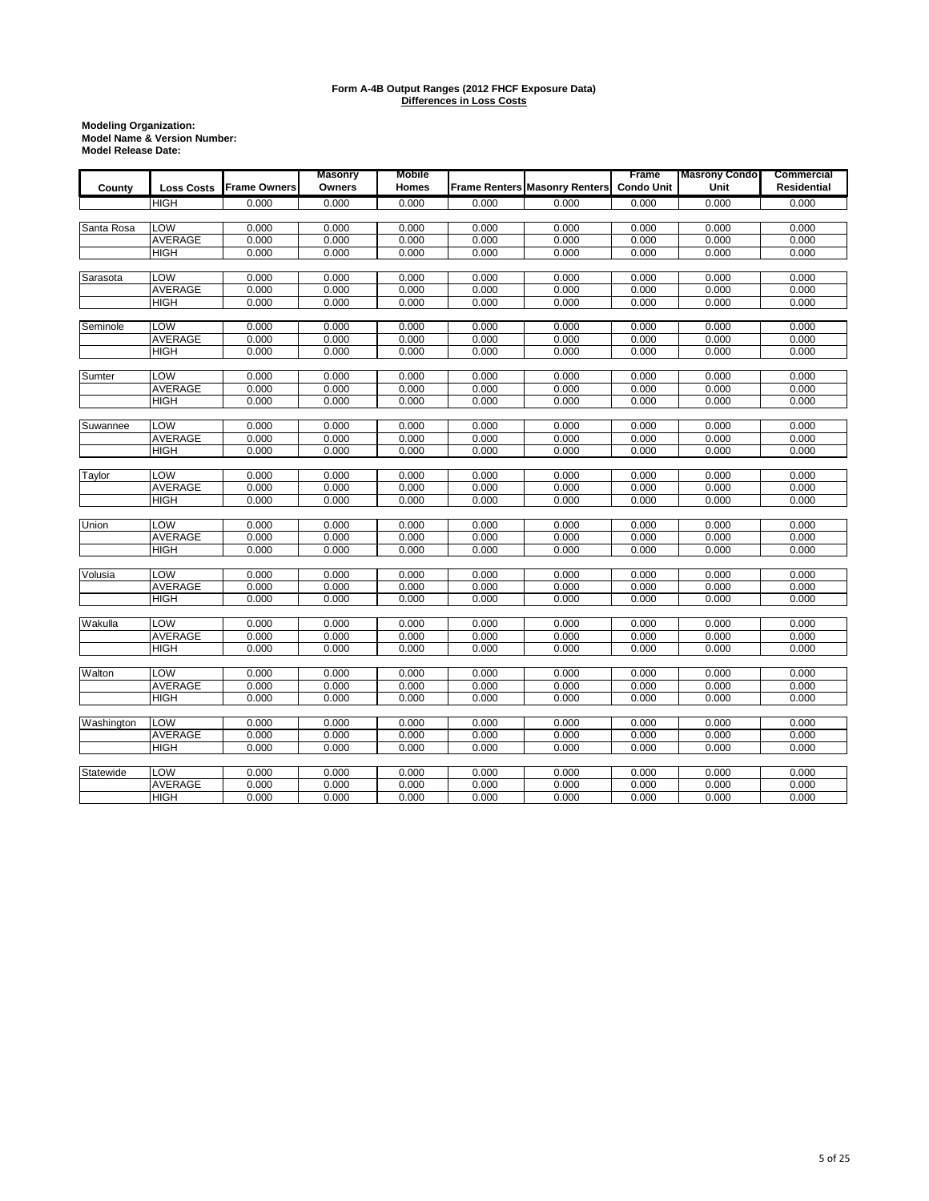|            |                   |                     | <b>Masonry</b> | <b>Mobile</b> |       |                                      | Frame             | <b>Masrony Condo</b> | Commercial         |
|------------|-------------------|---------------------|----------------|---------------|-------|--------------------------------------|-------------------|----------------------|--------------------|
| County     | <b>Loss Costs</b> | <b>Frame Owners</b> | Owners         | <b>Homes</b>  |       | <b>Frame Renters Masonry Renters</b> | <b>Condo Unit</b> | Unit                 | <b>Residential</b> |
|            | <b>HIGH</b>       | 0.000               | 0.000          | 0.000         | 0.000 | 0.000                                | 0.000             | 0.000                | 0.000              |
|            |                   |                     |                |               |       |                                      |                   |                      |                    |
| Santa Rosa | LOW               | 0.000               | 0.000          | 0.000         | 0.000 | 0.000                                | 0.000             | 0.000                | 0.000              |
|            | <b>AVERAGE</b>    | 0.000               | 0.000          | 0.000         | 0.000 | 0.000                                | 0.000             | 0.000                | 0.000              |
|            | <b>HIGH</b>       | 0.000               | 0.000          | 0.000         | 0.000 | 0.000                                | 0.000             | 0.000                | 0.000              |
| Sarasota   | LOW               | 0.000               | 0.000          | 0.000         | 0.000 | 0.000                                | 0.000             | 0.000                | 0.000              |
|            | <b>AVERAGE</b>    | 0.000               | 0.000          | 0.000         | 0.000 | 0.000                                | 0.000             | 0.000                | 0.000              |
|            | <b>HIGH</b>       | 0.000               | 0.000          | 0.000         | 0.000 | 0.000                                | 0.000             | 0.000                | 0.000              |
|            |                   |                     |                |               |       |                                      |                   |                      |                    |
| Seminole   | LOW               | 0.000               | 0.000          | 0.000         | 0.000 | 0.000                                | 0.000             | 0.000                | 0.000              |
|            | <b>AVERAGE</b>    | 0.000               | 0.000          | 0.000         | 0.000 | 0.000                                | 0.000             | 0.000                | 0.000              |
|            | <b>HIGH</b>       | 0.000               | 0.000          | 0.000         | 0.000 | 0.000                                | 0.000             | 0.000                | 0.000              |
| Sumter     | LOW               | 0.000               | 0.000          | 0.000         | 0.000 | 0.000                                | 0.000             | 0.000                | 0.000              |
|            | <b>AVERAGE</b>    | 0.000               | 0.000          | 0.000         | 0.000 | 0.000                                | 0.000             | 0.000                | 0.000              |
|            | <b>HIGH</b>       | 0.000               | 0.000          | 0.000         | 0.000 | 0.000                                | 0.000             | 0.000                | 0.000              |
|            |                   |                     |                |               |       |                                      |                   |                      |                    |
| Suwannee   | LOW               | 0.000               | 0.000          | 0.000         | 0.000 | 0.000                                | 0.000             | 0.000                | 0.000              |
|            | AVERAGE           | 0.000               | 0.000          | 0.000         | 0.000 | 0.000                                | 0.000             | 0.000                | 0.000              |
|            | <b>HIGH</b>       | 0.000               | 0.000          | 0.000         | 0.000 | 0.000                                | 0.000             | 0.000                | 0.000              |
| Taylor     | LOW               | 0.000               | 0.000          | 0.000         | 0.000 | 0.000                                | 0.000             | 0.000                | 0.000              |
|            | <b>AVERAGE</b>    | 0.000               | 0.000          | 0.000         | 0.000 | 0.000                                | 0.000             | 0.000                | 0.000              |
|            | <b>HIGH</b>       | 0.000               | 0.000          | 0.000         | 0.000 | 0.000                                | 0.000             | 0.000                | 0.000              |
|            |                   |                     |                |               |       |                                      |                   |                      |                    |
| Union      | <b>LOW</b>        | 0.000               | 0.000          | 0.000         | 0.000 | 0.000                                | 0.000             | 0.000                | 0.000              |
|            | <b>AVERAGE</b>    | 0.000               | 0.000          | 0.000         | 0.000 | 0.000                                | 0.000             | 0.000                | 0.000              |
|            | <b>HIGH</b>       | 0.000               | 0.000          | 0.000         | 0.000 | 0.000                                | 0.000             | 0.000                | 0.000              |
| Volusia    | LOW               | 0.000               | 0.000          | 0.000         | 0.000 | 0.000                                | 0.000             | 0.000                | 0.000              |
|            | <b>AVERAGE</b>    | 0.000               | 0.000          | 0.000         | 0.000 | 0.000                                | 0.000             | 0.000                | 0.000              |
|            | <b>HIGH</b>       | 0.000               | 0.000          | 0.000         | 0.000 | 0.000                                | 0.000             | 0.000                | 0.000              |
|            |                   |                     |                |               |       |                                      |                   |                      |                    |
| Wakulla    | LOW               | 0.000               | 0.000          | 0.000         | 0.000 | 0.000                                | 0.000             | 0.000                | 0.000              |
|            | <b>AVERAGE</b>    | 0.000               | 0.000          | 0.000         | 0.000 | 0.000                                | 0.000             | 0.000                | 0.000              |
|            | <b>HIGH</b>       | 0.000               | 0.000          | 0.000         | 0.000 | 0.000                                | 0.000             | 0.000                | 0.000              |
| Walton     | LOW               | 0.000               | 0.000          | 0.000         | 0.000 | 0.000                                | 0.000             | 0.000                | 0.000              |
|            | <b>AVERAGE</b>    | 0.000               | 0.000          | 0.000         | 0.000 | 0.000                                | 0.000             | 0.000                | 0.000              |
|            | <b>HIGH</b>       | 0.000               | 0.000          | 0.000         | 0.000 | 0.000                                | 0.000             | 0.000                | 0.000              |
|            |                   |                     |                |               |       |                                      |                   |                      |                    |
| Washington | <b>LOW</b>        | 0.000               | 0.000          | 0.000         | 0.000 | 0.000                                | 0.000             | 0.000                | 0.000              |
|            | <b>AVERAGE</b>    | 0.000               | 0.000          | 0.000         | 0.000 | 0.000                                | 0.000             | 0.000                | 0.000              |
|            | <b>HIGH</b>       | 0.000               | 0.000          | 0.000         | 0.000 | 0.000                                | 0.000             | 0.000                | 0.000              |
| Statewide  | <b>LOW</b>        | 0.000               | 0.000          | 0.000         | 0.000 | 0.000                                | 0.000             | 0.000                | 0.000              |
|            | <b>AVERAGE</b>    | 0.000               | 0.000          | 0.000         | 0.000 | 0.000                                | 0.000             | 0.000                | 0.000              |
|            | <b>HIGH</b>       | 0.000               | 0.000          | 0.000         | 0.000 | 0.000                                | 0.000             | 0.000                | 0.000              |
|            |                   |                     |                |               |       |                                      |                   |                      |                    |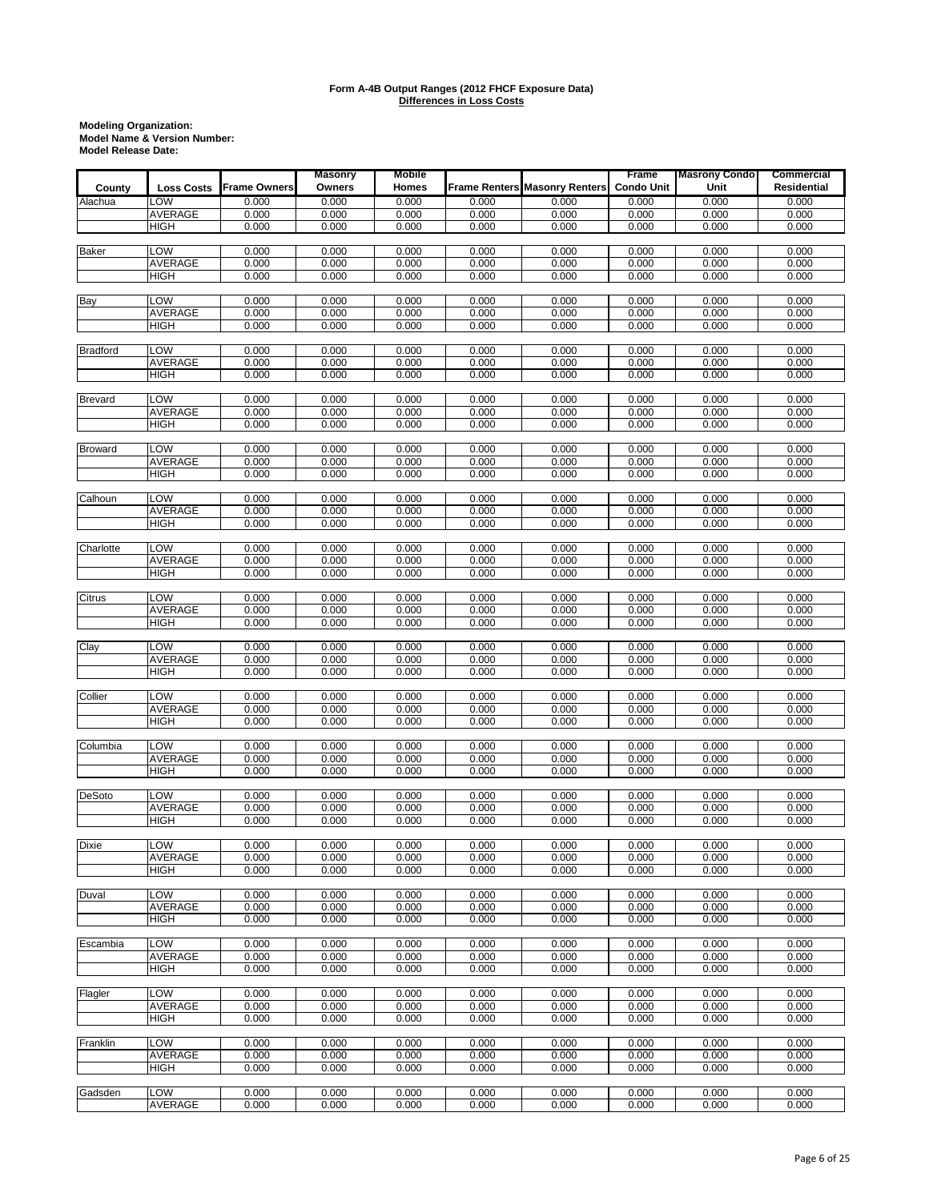|                 |                   |                     | <b>Masonry</b> | Mobile         |       |                                      | Frame             | <b>Masrony Condo</b> | <b>Commercial</b>  |
|-----------------|-------------------|---------------------|----------------|----------------|-------|--------------------------------------|-------------------|----------------------|--------------------|
| County          | <b>Loss Costs</b> | <b>Frame Owners</b> | Owners         | Homes          |       | <b>Frame Renters Masonry Renters</b> | <b>Condo Unit</b> | Unit                 | <b>Residential</b> |
| Alachua         | LOW               | 0.000               | 0.000          | 0.000          | 0.000 | 0.000                                | 0.000             | 0.000                | 0.000              |
|                 | <b>AVERAGE</b>    | 0.000               | 0.000          | 0.000          | 0.000 | 0.000                                | 0.000             | 0.000                | 0.000              |
|                 | <b>HIGH</b>       | 0.000               | 0.000          | 0.000          | 0.000 | 0.000                                | 0.000             | 0.000                | 0.000              |
|                 |                   |                     |                |                |       |                                      |                   |                      |                    |
| <b>Baker</b>    | LOW               | 0.000               | 0.000          | 0.000          | 0.000 | 0.000                                | 0.000             | 0.000                | 0.000              |
|                 | AVERAGE           | 0.000               | 0.000          | 0.000          | 0.000 | 0.000                                | 0.000             | 0.000                | 0.000              |
|                 | HIGH              | 0.000               | 0.000          | 0.000          | 0.000 | 0.000                                | 0.000             | 0.000                | 0.000              |
|                 |                   |                     |                |                |       |                                      |                   |                      |                    |
| Bay             | LOW               | 0.000               | 0.000          | 0.000          | 0.000 | 0.000                                | 0.000             | 0.000                | 0.000              |
|                 | <b>AVERAGE</b>    | 0.000               | 0.000          | 0.000          | 0.000 | 0.000                                | 0.000             | 0.000                | 0.000              |
|                 | <b>HIGH</b>       | 0.000               | 0.000          | 0.000          | 0.000 | 0.000                                | 0.000             | 0.000                | 0.000              |
|                 |                   |                     |                |                |       |                                      |                   |                      |                    |
| <b>Bradford</b> | <b>LOW</b>        | 0.000               | 0.000          | 0.000          | 0.000 | 0.000                                | 0.000             | 0.000                | 0.000              |
|                 | AVERAGE           | 0.000               | 0.000          | 0.000          | 0.000 | 0.000                                | 0.000             | 0.000                | 0.000              |
|                 | <b>HIGH</b>       | 0.000               | 0.000          | 0.000          | 0.000 | 0.000                                | 0.000             | 0.000                | 0.000              |
|                 |                   |                     |                |                |       |                                      |                   |                      |                    |
| <b>Brevard</b>  | LOW               | 0.000               | 0.000          | 0.000          | 0.000 | 0.000                                | 0.000             | 0.000                | 0.000              |
|                 | AVERAGE           | 0.000               | 0.000          | 0.000          | 0.000 | 0.000                                | 0.000             | 0.000                | 0.000              |
|                 | <b>HIGH</b>       | 0.000               | 0.000          | 0.000          | 0.000 | 0.000                                | 0.000             | 0.000                | 0.000              |
|                 |                   |                     |                |                |       |                                      |                   |                      |                    |
| <b>Broward</b>  | LOW               | 0.000               | 0.000          | 0.000          | 0.000 | 0.000                                | 0.000             | 0.000                | 0.000              |
|                 | AVERAGE           | 0.000               | 0.000          | 0.000          | 0.000 | 0.000                                | 0.000             | 0.000                | 0.000              |
|                 | <b>HIGH</b>       | 0.000               | 0.000          | 0.000          | 0.000 | 0.000                                | 0.000             | 0.000                | 0.000              |
| Calhoun         | LOW               | 0.000               | 0.000          | 0.000          | 0.000 | 0.000                                | 0.000             | 0.000                | 0.000              |
|                 | AVERAGE           | 0.000               | 0.000          | 0.000          | 0.000 | 0.000                                | 0.000             | 0.000                | 0.000              |
|                 | HIGH              | 0.000               | 0.000          | 0.000          | 0.000 | 0.000                                | 0.000             | 0.000                | 0.000              |
|                 |                   |                     |                |                |       |                                      |                   |                      |                    |
| Charlotte       | <b>LOW</b>        | 0.000               | 0.000          | 0.000          | 0.000 | 0.000                                | 0.000             | 0.000                | 0.000              |
|                 | AVERAGE           | 0.000               | 0.000          | 0.000          | 0.000 | 0.000                                | 0.000             | 0.000                | 0.000              |
|                 | <b>HIGH</b>       | 0.000               | 0.000          | 0.000          | 0.000 | 0.000                                | 0.000             | 0.000                | 0.000              |
|                 |                   |                     |                |                |       |                                      |                   |                      |                    |
| Citrus          | LOW               | 0.000               | 0.000          | 0.000          | 0.000 | 0.000                                | 0.000             | 0.000                | 0.000              |
|                 | AVERAGE           | 0.000               | 0.000          | 0.000          | 0.000 | 0.000                                | 0.000             | 0.000                | 0.000              |
|                 | <b>HIGH</b>       | 0.000               | 0.000          | 0.000          | 0.000 | 0.000                                | 0.000             | 0.000                | 0.000              |
|                 |                   |                     |                |                |       |                                      |                   |                      |                    |
| Clay            | LOW               | 0.000               | 0.000          | 0.000          | 0.000 | 0.000                                | 0.000             | 0.000                | 0.000              |
|                 | AVERAGE           | 0.000               | 0.000          | 0.000          | 0.000 | 0.000                                | 0.000             | 0.000                | 0.000              |
|                 | <b>HIGH</b>       | 0.000               | 0.000          | 0.000          | 0.000 | 0.000                                | 0.000             | 0.000                | 0.000              |
|                 |                   |                     |                |                |       |                                      |                   |                      |                    |
| Collier         | LOW               | 0.000               | 0.000          | 0.000          | 0.000 | 0.000                                | 0.000             | 0.000                | 0.000              |
|                 | AVERAGE           | 0.000               | 0.000          | 0.000          | 0.000 | 0.000                                | 0.000             | 0.000                | 0.000              |
|                 | <b>HIGH</b>       | 0.000               | 0.000          | 0.000          | 0.000 | 0.000                                | 0.000             | 0.000                | 0.000              |
|                 |                   |                     |                |                |       |                                      |                   |                      |                    |
| Columbia        | <b>LOW</b>        | 0.000               | 0.000          | 0.000          | 0.000 | 0.000                                | 0.000             | 0.000                | 0.000              |
|                 | AVERAGE           | 0.000               | 0.000          | 0.000          | 0.000 | 0.000                                | 0.000             | 0.000                | 0.000              |
|                 | <b>HIGH</b>       | 0.000               | 0.000          | 0.000          | 0.000 | 0.000                                | 0.000             | 0.000                | 0.000              |
|                 | <b>LOW</b>        |                     |                |                | 0.000 | 0.000                                |                   |                      |                    |
| <b>DeSoto</b>   | AVERAGE           | 0.000<br>0.000      | 0.000<br>0.000 | 0.000<br>0.000 | 0.000 | 0.000                                | 0.000<br>0.000    | 0.000<br>0.000       | 0.000              |
|                 | <b>HIGH</b>       | 0.000               | 0.000          | 0.000          | 0.000 | 0.000                                | 0.000             | 0.000                | 0.000<br>0.000     |
|                 |                   |                     |                |                |       |                                      |                   |                      |                    |
| Dixie           | <b>LOW</b>        | 0.000               | 0.000          | 0.000          | 0.000 | 0.000                                | 0.000             | 0.000                | 0.000              |
|                 | <b>AVERAGE</b>    | 0.000               | 0.000          | 0.000          | 0.000 | 0.000                                | 0.000             | 0.000                | 0.000              |
|                 | <b>HIGH</b>       | 0.000               | 0.000          | 0.000          | 0.000 | 0.000                                | 0.000             | 0.000                | 0.000              |
|                 |                   |                     |                |                |       |                                      |                   |                      |                    |
| Duval           | LOW               | 0.000               | 0.000          | 0.000          | 0.000 | 0.000                                | 0.000             | 0.000                | 0.000              |
|                 | <b>AVERAGE</b>    | 0.000               | 0.000          | 0.000          | 0.000 | 0.000                                | 0.000             | 0.000                | 0.000              |
|                 | <b>HIGH</b>       | 0.000               | 0.000          | 0.000          | 0.000 | 0.000                                | 0.000             | 0.000                | 0.000              |
|                 |                   |                     |                |                |       |                                      |                   |                      |                    |
| Escambia        | LOW               | 0.000               | 0.000          | 0.000          | 0.000 | 0.000                                | 0.000             | 0.000                | 0.000              |
|                 | <b>AVERAGE</b>    | 0.000               | 0.000          | 0.000          | 0.000 | 0.000                                | 0.000             | 0.000                | 0.000              |
|                 | <b>HIGH</b>       | 0.000               | 0.000          | 0.000          | 0.000 | 0.000                                | 0.000             | 0.000                | 0.000              |
|                 |                   |                     |                |                |       |                                      |                   |                      |                    |
| Flagler         | <b>LOW</b>        | 0.000               | 0.000          | 0.000          | 0.000 | 0.000                                | 0.000             | 0.000                | 0.000              |
|                 | <b>AVERAGE</b>    | 0.000               | 0.000          | 0.000          | 0.000 | 0.000                                | 0.000             | 0.000                | 0.000              |
|                 | <b>HIGH</b>       | 0.000               | 0.000          | 0.000          | 0.000 | 0.000                                | 0.000             | 0.000                | 0.000              |
|                 |                   |                     |                |                |       |                                      |                   |                      |                    |
| Franklin        | LOW               | 0.000               | 0.000          | 0.000          | 0.000 | 0.000                                | 0.000             | 0.000                | 0.000              |
|                 | AVERAGE           | 0.000               | 0.000          | 0.000          | 0.000 | 0.000                                | 0.000             | 0.000                | 0.000              |
|                 | <b>HIGH</b>       | 0.000               | 0.000          | 0.000          | 0.000 | 0.000                                | 0.000             | 0.000                | 0.000              |
|                 |                   |                     |                |                |       |                                      |                   |                      |                    |
| Gadsden         | LOW               | 0.000               | 0.000          | 0.000          | 0.000 | 0.000                                | 0.000             | 0.000                | 0.000              |
|                 | AVERAGE           | 0.000               | 0.000          | 0.000          | 0.000 | 0.000                                | 0.000             | 0.000                | 0.000              |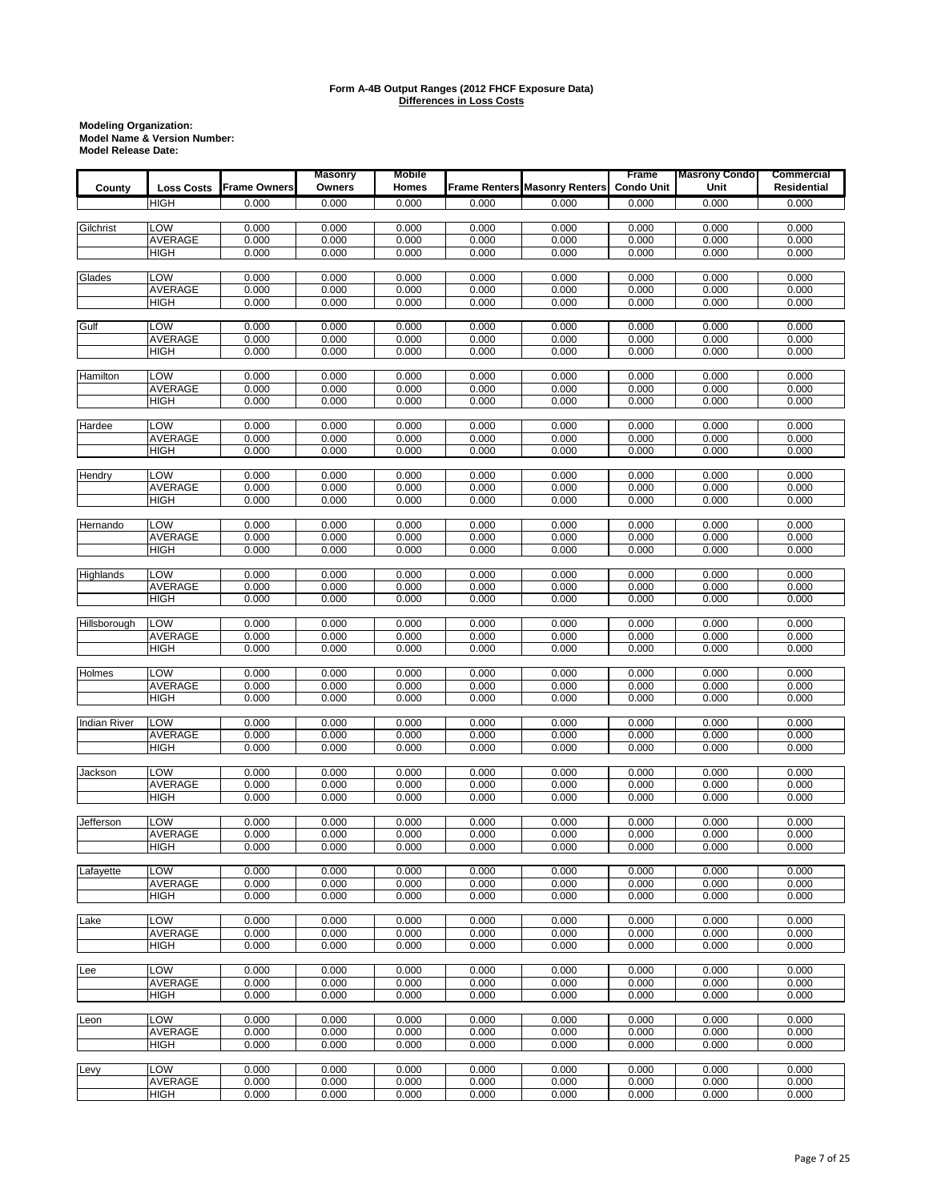|                     |                               |                     | <b>Masonry</b> | <b>Mobile</b>  |                |                                      | Frame             | <b>Masrony Condo</b> | <b>Commercial</b>  |
|---------------------|-------------------------------|---------------------|----------------|----------------|----------------|--------------------------------------|-------------------|----------------------|--------------------|
| County              | <b>Loss Costs</b>             | <b>Frame Owners</b> | Owners         | Homes          |                | <b>Frame Renters Masonry Renters</b> | <b>Condo Unit</b> | Unit                 | <b>Residential</b> |
|                     | <b>HIGH</b>                   | 0.000               | 0.000          | 0.000          | 0.000          | 0.000                                | 0.000             | 0.000                | 0.000              |
|                     |                               |                     |                |                |                |                                      |                   |                      |                    |
| Gilchrist           | LOW<br>AVERAGE                | 0.000<br>0.000      | 0.000<br>0.000 | 0.000<br>0.000 | 0.000<br>0.000 | 0.000<br>0.000                       | 0.000<br>0.000    | 0.000<br>0.000       | 0.000<br>0.000     |
|                     | <b>HIGH</b>                   | 0.000               | 0.000          | 0.000          | 0.000          | 0.000                                | 0.000             | 0.000                | 0.000              |
|                     |                               |                     |                |                |                |                                      |                   |                      |                    |
| Glades              | <b>LOW</b>                    | 0.000               | 0.000          | 0.000          | 0.000          | 0.000                                | 0.000             | 0.000                | 0.000              |
|                     | <b>AVERAGE</b>                | 0.000               | 0.000          | 0.000          | 0.000          | 0.000                                | 0.000             | 0.000                | 0.000              |
|                     | <b>HIGH</b>                   | 0.000               | 0.000          | 0.000          | 0.000          | 0.000                                | 0.000             | 0.000                | 0.000              |
| Gulf                | LOW                           | 0.000               | 0.000          | 0.000          | 0.000          | 0.000                                | 0.000             | 0.000                | 0.000              |
|                     | <b>AVERAGE</b>                | 0.000               | 0.000          | 0.000          | 0.000          | 0.000                                | 0.000             | 0.000                | 0.000              |
|                     | <b>HIGH</b>                   | 0.000               | 0.000          | 0.000          | 0.000          | 0.000                                | 0.000             | 0.000                | 0.000              |
|                     |                               |                     |                |                |                |                                      |                   |                      |                    |
| Hamilton            | LOW                           | 0.000               | 0.000          | 0.000          | 0.000          | 0.000                                | 0.000             | 0.000                | 0.000              |
|                     | <b>AVERAGE</b><br><b>HIGH</b> | 0.000<br>0.000      | 0.000<br>0.000 | 0.000<br>0.000 | 0.000<br>0.000 | 0.000<br>0.000                       | 0.000<br>0.000    | 0.000<br>0.000       | 0.000<br>0.000     |
|                     |                               |                     |                |                |                |                                      |                   |                      |                    |
| Hardee              | LOW                           | 0.000               | 0.000          | 0.000          | 0.000          | 0.000                                | 0.000             | 0.000                | 0.000              |
|                     | AVERAGE                       | 0.000               | 0.000          | 0.000          | 0.000          | 0.000                                | 0.000             | 0.000                | 0.000              |
|                     | <b>HIGH</b>                   | 0.000               | 0.000          | 0.000          | 0.000          | 0.000                                | 0.000             | 0.000                | 0.000              |
|                     |                               |                     |                |                |                |                                      |                   |                      |                    |
| Hendry              | LOW<br>AVERAGE                | 0.000<br>0.000      | 0.000<br>0.000 | 0.000<br>0.000 | 0.000<br>0.000 | 0.000<br>0.000                       | 0.000<br>0.000    | 0.000<br>0.000       | 0.000<br>0.000     |
|                     | <b>HIGH</b>                   | 0.000               | 0.000          | 0.000          | 0.000          | 0.000                                | 0.000             | 0.000                | 0.000              |
|                     |                               |                     |                |                |                |                                      |                   |                      |                    |
| Hernando            | LOW                           | 0.000               | 0.000          | 0.000          | 0.000          | 0.000                                | 0.000             | 0.000                | 0.000              |
|                     | AVERAGE                       | 0.000               | 0.000          | 0.000          | 0.000          | 0.000                                | 0.000             | 0.000                | 0.000              |
|                     | <b>HIGH</b>                   | 0.000               | 0.000          | 0.000          | 0.000          | 0.000                                | 0.000             | 0.000                | 0.000              |
| Highlands           | LOW                           | 0.000               | 0.000          | 0.000          | 0.000          | 0.000                                | 0.000             | 0.000                | 0.000              |
|                     | AVERAGE                       | 0.000               | 0.000          | 0.000          | 0.000          | 0.000                                | 0.000             | 0.000                | 0.000              |
|                     | <b>HIGH</b>                   | 0.000               | 0.000          | 0.000          | 0.000          | 0.000                                | 0.000             | 0.000                | 0.000              |
|                     |                               |                     |                |                |                |                                      |                   |                      |                    |
| Hillsborough        | LOW<br>AVERAGE                | 0.000<br>0.000      | 0.000<br>0.000 | 0.000<br>0.000 | 0.000<br>0.000 | 0.000<br>0.000                       | 0.000<br>0.000    | 0.000<br>0.000       | 0.000<br>0.000     |
|                     | <b>HIGH</b>                   | 0.000               | 0.000          | 0.000          | 0.000          | 0.000                                | 0.000             | 0.000                | 0.000              |
|                     |                               |                     |                |                |                |                                      |                   |                      |                    |
| Holmes              | LOW                           | 0.000               | 0.000          | 0.000          | 0.000          | 0.000                                | 0.000             | 0.000                | 0.000              |
|                     | AVERAGE                       | 0.000               | 0.000          | 0.000          | 0.000          | 0.000                                | 0.000             | 0.000                | 0.000              |
|                     | <b>HIGH</b>                   | 0.000               | 0.000          | 0.000          | 0.000          | 0.000                                | 0.000             | 0.000                | 0.000              |
| <b>Indian River</b> | <b>LOW</b>                    | 0.000               | 0.000          | 0.000          | 0.000          | 0.000                                | 0.000             | 0.000                | 0.000              |
|                     | <b>AVERAGE</b>                | 0.000               | 0.000          | 0.000          | 0.000          | 0.000                                | 0.000             | 0.000                | 0.000              |
|                     | <b>HIGH</b>                   | 0.000               | 0.000          | 0.000          | 0.000          | 0.000                                | 0.000             | 0.000                | 0.000              |
|                     |                               |                     |                |                |                |                                      |                   |                      |                    |
| Jackson             | <b>LOW</b>                    | 0.000               | 0.000          | 0.000          | 0.000          | 0.000                                | 0.000             | 0.000                | 0.000              |
|                     | AVERAGE<br><b>HIGH</b>        | 0.000<br>0.000      | 0.000<br>0.000 | 0.000<br>0.000 | 0.000<br>0.000 | 0.000<br>0.000                       | 0.000<br>0.000    | 0.000<br>0.000       | 0.000<br>0.000     |
|                     |                               |                     |                |                |                |                                      |                   |                      |                    |
| Jefferson           | LOW                           | 0.000               | 0.000          | 0.000          | 0.000          | 0.000                                | 0.000             | 0.000                | 0.000              |
|                     | AVERAGE                       | 0.000               | 0.000          | 0.000          | 0.000          | 0.000                                | 0.000             | 0.000                | 0.000              |
|                     | HIGH                          | 0.000               | 0.000          | 0.000          | 0.000          | 0.000                                | 0.000             | 0.000                | 0.000              |
| Lafavette           | LOW                           | 0.000               | 0.000          | 0.000          | 0.000          | 0.000                                | 0.000             | 0.000                | 0.000              |
|                     | <b>AVERAGE</b>                | 0.000               | 0.000          | 0.000          | 0.000          | 0.000                                | 0.000             | 0.000                | 0.000              |
|                     | <b>HIGH</b>                   | 0.000               | 0.000          | 0.000          | 0.000          | 0.000                                | 0.000             | 0.000                | 0.000              |
|                     |                               |                     |                |                |                |                                      |                   |                      |                    |
| Lake                | LOW                           | 0.000               | 0.000          | 0.000          | 0.000          | 0.000                                | 0.000             | 0.000                | 0.000              |
|                     | <b>AVERAGE</b><br><b>HIGH</b> | 0.000<br>0.000      | 0.000<br>0.000 | 0.000<br>0.000 | 0.000<br>0.000 | 0.000<br>0.000                       | 0.000<br>0.000    | 0.000<br>0.000       | 0.000<br>0.000     |
|                     |                               |                     |                |                |                |                                      |                   |                      |                    |
| Lee                 | LOW                           | 0.000               | 0.000          | 0.000          | 0.000          | 0.000                                | 0.000             | 0.000                | 0.000              |
|                     | <b>AVERAGE</b>                | 0.000               | 0.000          | 0.000          | 0.000          | 0.000                                | 0.000             | 0.000                | 0.000              |
|                     | HIGH                          | 0.000               | 0.000          | 0.000          | 0.000          | 0.000                                | 0.000             | 0.000                | 0.000              |
|                     |                               |                     |                |                |                |                                      |                   |                      |                    |
| Leon                | LOW<br><b>AVERAGE</b>         | 0.000<br>0.000      | 0.000<br>0.000 | 0.000<br>0.000 | 0.000<br>0.000 | 0.000<br>0.000                       | 0.000<br>0.000    | 0.000<br>0.000       | 0.000<br>0.000     |
|                     | <b>HIGH</b>                   | 0.000               | 0.000          | 0.000          | 0.000          | 0.000                                | 0.000             | 0.000                | 0.000              |
|                     |                               |                     |                |                |                |                                      |                   |                      |                    |
| Levy                | LOW                           | 0.000               | 0.000          | 0.000          | 0.000          | 0.000                                | 0.000             | 0.000                | 0.000              |
|                     | AVERAGE                       | 0.000               | 0.000          | 0.000          | 0.000          | 0.000                                | 0.000             | 0.000                | 0.000              |
|                     | HIGH                          | 0.000               | 0.000          | 0.000          | 0.000          | 0.000                                | 0.000             | 0.000                | 0.000              |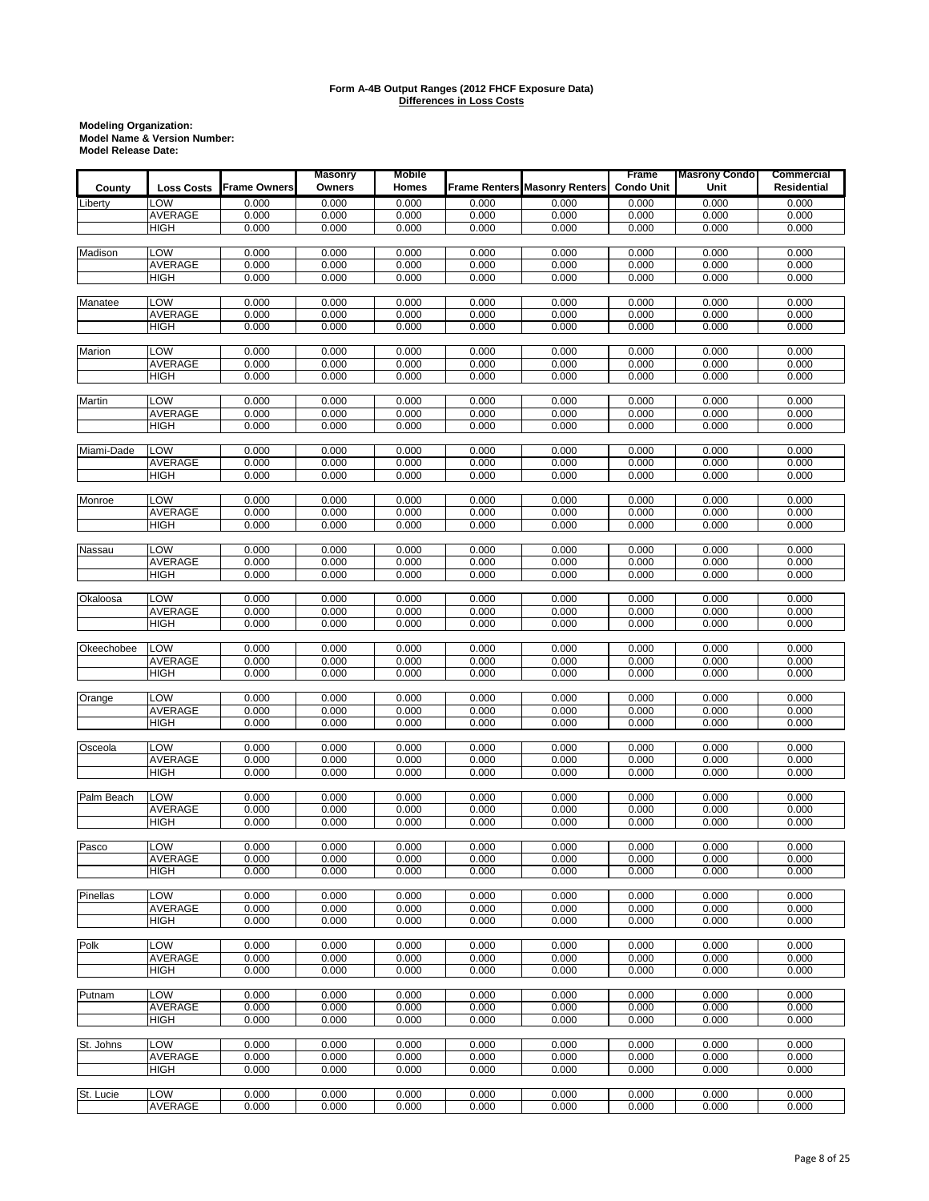|            |                       |                     | <b>Masonry</b> | <b>Mobile</b>  |                |                                      | Frame             | <b>Masrony Condo</b> | Commercial     |
|------------|-----------------------|---------------------|----------------|----------------|----------------|--------------------------------------|-------------------|----------------------|----------------|
| County     | <b>Loss Costs</b>     | <b>Frame Owners</b> | Owners         | Homes          |                | <b>Frame Renters Masonry Renters</b> | <b>Condo Unit</b> | Unit                 | Residential    |
| Liberty    | LOW                   | 0.000               | 0.000          | 0.000          | 0.000          | 0.000                                | 0.000             | 0.000                | 0.000          |
|            | <b>AVERAGE</b>        | 0.000               | 0.000          | 0.000          | 0.000          | 0.000                                | 0.000             | 0.000                | 0.000          |
|            | <b>HIGH</b>           | 0.000               | 0.000          | 0.000          | 0.000          | 0.000                                | 0.000             | 0.000                | 0.000          |
|            |                       |                     |                |                |                |                                      |                   |                      |                |
| Madison    | LOW                   | 0.000               | 0.000          | 0.000          | 0.000          | 0.000                                | 0.000             | 0.000                | 0.000          |
|            | AVERAGE               | 0.000               | 0.000          | 0.000          | 0.000          | 0.000                                | 0.000             | 0.000                | 0.000          |
|            | <b>HIGH</b>           | 0.000               | 0.000          | 0.000          | 0.000          | 0.000                                | 0.000             | 0.000                | 0.000          |
| Manatee    | LOW                   | 0.000               | 0.000          | 0.000          | 0.000          | 0.000                                | 0.000             | 0.000                | 0.000          |
|            | AVERAGE               | 0.000               | 0.000          | 0.000          | 0.000          | 0.000                                | 0.000             | 0.000                | 0.000          |
|            | <b>HIGH</b>           | 0.000               | 0.000          | 0.000          | 0.000          | 0.000                                | 0.000             | 0.000                | 0.000          |
|            |                       |                     |                |                |                |                                      |                   |                      |                |
| Marion     | LOW                   | 0.000               | 0.000          | 0.000          | 0.000          | 0.000                                | 0.000             | 0.000                | 0.000          |
|            | AVERAGE               | 0.000               | 0.000          | 0.000          | 0.000          | 0.000                                | 0.000             | 0.000                | 0.000          |
|            | HIGH                  | 0.000               | 0.000          | 0.000          | 0.000          | 0.000                                | 0.000             | 0.000                | 0.000          |
|            |                       |                     |                |                |                |                                      |                   |                      |                |
| Martin     | LOW                   | 0.000               | 0.000          | 0.000          | 0.000          | 0.000                                | 0.000             | 0.000                | 0.000          |
|            | AVERAGE               | 0.000               | 0.000          | 0.000          | 0.000          | 0.000                                | 0.000             | 0.000                | 0.000          |
|            | <b>HIGH</b>           | 0.000               | 0.000          | 0.000          | 0.000          | 0.000                                | 0.000             | 0.000                | 0.000          |
| Miami-Dade | LOW                   | 0.000               | 0.000          | 0.000          | 0.000          | 0.000                                | 0.000             | 0.000                | 0.000          |
|            | AVERAGE               | 0.000               | 0.000          | 0.000          | 0.000          | 0.000                                | 0.000             | 0.000                | 0.000          |
|            | HIGH                  | 0.000               | 0.000          | 0.000          | 0.000          | 0.000                                | 0.000             | 0.000                | 0.000          |
|            |                       |                     |                |                |                |                                      |                   |                      |                |
| Monroe     | LOW                   | 0.000               | 0.000          | 0.000          | 0.000          | 0.000                                | 0.000             | 0.000                | 0.000          |
|            | AVERAGE               | 0.000               | 0.000          | 0.000          | 0.000          | 0.000                                | 0.000             | 0.000                | 0.000          |
|            | HIGH                  | 0.000               | 0.000          | 0.000          | 0.000          | 0.000                                | 0.000             | 0.000                | 0.000          |
|            |                       |                     |                |                |                |                                      |                   |                      |                |
| Nassau     | LOW<br><b>AVERAGE</b> | 0.000               | 0.000          | 0.000          | 0.000          | 0.000                                | 0.000             | 0.000                | 0.000          |
|            | <b>HIGH</b>           | 0.000<br>0.000      | 0.000<br>0.000 | 0.000<br>0.000 | 0.000<br>0.000 | 0.000<br>0.000                       | 0.000<br>0.000    | 0.000<br>0.000       | 0.000<br>0.000 |
|            |                       |                     |                |                |                |                                      |                   |                      |                |
| Okaloosa   | LOW                   | 0.000               | 0.000          | 0.000          | 0.000          | 0.000                                | 0.000             | 0.000                | 0.000          |
|            | AVERAGE               | 0.000               | 0.000          | 0.000          | 0.000          | 0.000                                | 0.000             | 0.000                | 0.000          |
|            | HIGH                  | 0.000               | 0.000          | 0.000          | 0.000          | 0.000                                | 0.000             | 0.000                | 0.000          |
|            |                       |                     |                |                |                |                                      |                   |                      |                |
| Okeechobee | LOW                   | 0.000               | 0.000          | 0.000          | 0.000          | 0.000                                | 0.000             | 0.000                | 0.000          |
|            | <b>AVERAGE</b>        | 0.000               | 0.000          | 0.000          | 0.000          | 0.000                                | 0.000             | 0.000                | 0.000          |
|            | <b>HIGH</b>           | 0.000               | 0.000          | 0.000          | 0.000          | 0.000                                | 0.000             | 0.000                | 0.000          |
|            | LOW                   | 0.000               |                |                |                |                                      | 0.000             | 0.000                |                |
| Orange     | AVERAGE               | 0.000               | 0.000<br>0.000 | 0.000<br>0.000 | 0.000<br>0.000 | 0.000<br>0.000                       | 0.000             | 0.000                | 0.000<br>0.000 |
|            | HIGH                  | 0.000               | 0.000          | 0.000          | 0.000          | 0.000                                | 0.000             | 0.000                | 0.000          |
|            |                       |                     |                |                |                |                                      |                   |                      |                |
| Osceola    | LOW                   | 0.000               | 0.000          | 0.000          | 0.000          | 0.000                                | 0.000             | 0.000                | 0.000          |
|            | AVERAGE               | 0.000               | 0.000          | 0.000          | 0.000          | 0.000                                | 0.000             | 0.000                | 0.000          |
|            | <b>HIGH</b>           | 0.000               | 0.000          | 0.000          | 0.000          | 0.000                                | 0.000             | 0.000                | 0.000          |
|            |                       |                     |                |                |                |                                      |                   |                      |                |
| Palm Beach | LOW                   | 0.000<br>0.000      | 0.000          | 0.000          | 0.000<br>0.000 | 0.000                                | 0.000<br>0.000    | 0.000<br>0.000       | 0.000<br>0.000 |
|            | AVERAGE<br>HIGH       | 0.000               | 0.000<br>0.000 | 0.000<br>0.000 | 0.000          | 0.000<br>0.000                       | 0.000             | 0.000                | 0.000          |
|            |                       |                     |                |                |                |                                      |                   |                      |                |
| Pasco      | LOW                   | 0.000               | 0.000          | 0.000          | 0.000          | 0.000                                | 0.000             | 0.000                | 0.000          |
|            | AVERAGE               | 0.000               | 0.000          | 0.000          | 0.000          | 0.000                                | 0.000             | 0.000                | 0.000          |
|            | HIGH                  | 0.000               | 0.000          | 0.000          | 0.000          | 0.000                                | 0.000             | 0.000                | 0.000          |
|            |                       |                     |                |                |                |                                      |                   |                      |                |
| Pinellas   | LOW                   | 0.000               | 0.000          | 0.000          | 0.000          | 0.000                                | 0.000             | 0.000                | 0.000          |
|            | AVERAGE               | 0.000               | 0.000          | 0.000          | 0.000          | 0.000                                | 0.000             | 0.000                | 0.000          |
|            | HIGH                  | 0.000               | 0.000          | 0.000          | 0.000          | 0.000                                | 0.000             | 0.000                | 0.000          |
| Polk       | LOW                   | 0.000               | 0.000          | 0.000          | 0.000          | 0.000                                | 0.000             | 0.000                | 0.000          |
|            | AVERAGE               | 0.000               | 0.000          | 0.000          | 0.000          | 0.000                                | 0.000             | 0.000                | 0.000          |
|            | HIGH                  | 0.000               | 0.000          | 0.000          | 0.000          | 0.000                                | 0.000             | 0.000                | 0.000          |
|            |                       |                     |                |                |                |                                      |                   |                      |                |
| Putnam     | LOW                   | 0.000               | 0.000          | 0.000          | 0.000          | 0.000                                | 0.000             | 0.000                | 0.000          |
|            | AVERAGE               | 0.000               | 0.000          | 0.000          | 0.000          | 0.000                                | 0.000             | 0.000                | 0.000          |
|            | <b>HIGH</b>           | 0.000               | 0.000          | 0.000          | 0.000          | 0.000                                | 0.000             | 0.000                | 0.000          |
|            |                       |                     |                |                |                |                                      |                   |                      |                |
| St. Johns  | LOW                   | 0.000               | 0.000          | 0.000          | 0.000          | 0.000                                | 0.000             | 0.000                | 0.000          |
|            | AVERAGE<br>HIGH       | 0.000<br>0.000      | 0.000<br>0.000 | 0.000          | 0.000<br>0.000 | 0.000<br>0.000                       | 0.000<br>0.000    | 0.000<br>0.000       | 0.000<br>0.000 |
|            |                       |                     |                | 0.000          |                |                                      |                   |                      |                |
| St. Lucie  | LOW                   | 0.000               | 0.000          | 0.000          | 0.000          | 0.000                                | 0.000             | 0.000                | 0.000          |
|            | AVERAGE               | 0.000               | 0.000          | 0.000          | 0.000          | 0.000                                | 0.000             | 0.000                | 0.000          |
|            |                       |                     |                |                |                |                                      |                   |                      |                |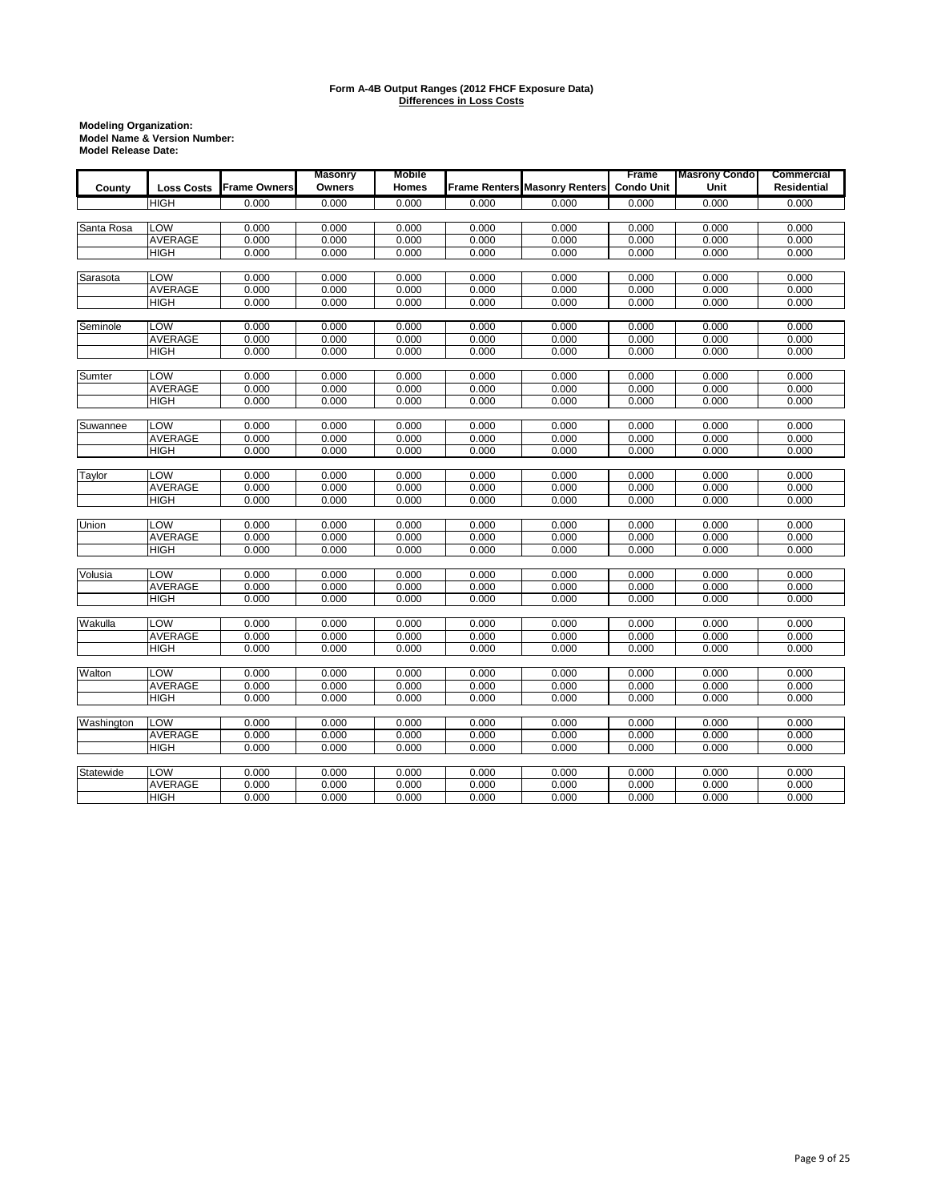| <b>Frame Owners</b><br>Owners<br>Frame Renters Masonry Renters<br><b>Condo Unit</b><br>Unit<br>Residential<br>Homes<br>County<br><b>Loss Costs</b><br>0.000<br>0.000<br>0.000<br>0.000<br><b>HIGH</b><br>0.000<br>0.000<br>0.000<br>0.000<br>Santa Rosa<br>LOW<br>0.000<br>0.000<br>0.000<br>0.000<br>0.000<br>0.000<br>0.000<br>0.000<br><b>AVERAGE</b><br>0.000<br>0.000<br>0.000<br>0.000<br>0.000<br>0.000<br>0.000<br>0.000<br><b>HIGH</b><br>0.000<br>0.000<br>0.000<br>0.000<br>0.000<br>0.000<br>0.000<br>0.000<br>LOW<br>0.000<br>Sarasota<br>0.000<br>0.000<br>0.000<br>0.000<br>0.000<br>0.000<br>0.000<br>0.000<br>0.000<br>0.000<br>0.000<br>0.000<br>0.000<br>0.000<br><b>AVERAGE</b><br>0.000<br>0.000<br>0.000<br>0.000<br>0.000<br>0.000<br>0.000<br>0.000<br>0.000<br><b>HIGH</b><br>LOW<br>0.000<br>0.000<br>0.000<br>Seminole<br>0.000<br>0.000<br>0.000<br>0.000<br>0.000<br><b>AVERAGE</b><br>0.000<br>0.000<br>0.000<br>0.000<br>0.000<br>0.000<br>0.000<br>0.000<br>0.000<br>0.000<br>0.000<br>0.000<br>0.000<br>0.000<br><b>HIGH</b><br>0.000<br>0.000<br>LOW<br>Sumter<br>0.000<br>0.000<br>0.000<br>0.000<br>0.000<br>0.000<br>0.000<br>0.000<br>AVERAGE<br>0.000<br>0.000<br>0.000<br>0.000<br>0.000<br>0.000<br>0.000<br>0.000<br>0.000<br>0.000<br>0.000<br>0.000<br>0.000<br>0.000<br>0.000<br>0.000<br>HIGH<br>LOW<br>0.000<br>0.000<br>0.000<br>0.000<br>Suwannee<br>0.000<br>0.000<br>0.000<br>0.000<br><b>AVERAGE</b><br>0.000<br>0.000<br>0.000<br>0.000<br>0.000<br>0.000<br>0.000<br>0.000<br>0.000<br>0.000<br>0.000<br>0.000<br>0.000<br>0.000<br>0.000<br>0.000<br><b>HIGH</b><br>Taylor<br>LOW<br>0.000<br>0.000<br>0.000<br>0.000<br>0.000<br>0.000<br>0.000<br>0.000<br><b>AVERAGE</b><br>0.000<br>0.000<br>0.000<br>0.000<br>0.000<br>0.000<br>0.000<br>0.000<br>0.000<br>0.000<br>0.000<br>0.000<br>0.000<br>0.000<br>0.000<br>0.000<br><b>HIGH</b><br>LOW<br>0.000<br>Union<br>0.000<br>0.000<br>0.000<br>0.000<br>0.000<br>0.000<br>0.000<br><b>AVERAGE</b><br>0.000<br>0.000<br>0.000<br>0.000<br>0.000<br>0.000<br>0.000<br>0.000<br>0.000<br>0.000<br>0.000<br>0.000<br>0.000<br>0.000<br>0.000<br>0.000<br><b>HIGH</b><br>LOW<br>Volusia<br>0.000<br>0.000<br>0.000<br>0.000<br>0.000<br>0.000<br>0.000<br>0.000<br><b>AVERAGE</b><br>0.000<br>0.000<br>0.000<br>0.000<br>0.000<br>0.000<br>0.000<br>0.000<br>0.000<br>0.000<br>0.000<br>0.000<br>0.000<br>0.000<br>0.000<br>0.000<br><b>HIGH</b><br>Wakulla<br><b>LOW</b><br>0.000<br>0.000<br>0.000<br>0.000<br>0.000<br>0.000<br>0.000<br>0.000<br><b>AVERAGE</b><br>0.000<br>0.000<br>0.000<br>0.000<br>0.000<br>0.000<br>0.000<br>0.000<br><b>HIGH</b><br>0.000<br>0.000<br>0.000<br>0.000<br>0.000<br>0.000<br>0.000<br>0.000<br>Walton<br>LOW<br>0.000<br>0.000<br>0.000<br>0.000<br>0.000<br>0.000<br>0.000<br>0.000<br><b>AVERAGE</b><br>0.000<br>0.000<br>0.000<br>0.000<br>0.000<br>0.000<br>0.000<br>0.000<br>0.000<br>0.000<br>0.000<br><b>HIGH</b><br>0.000<br>0.000<br>0.000<br>0.000<br>0.000<br>Washington<br><b>LOW</b><br>0.000<br>0.000<br>0.000<br>0.000<br>0.000<br>0.000<br>0.000<br>0.000<br><b>AVERAGE</b><br>0.000<br>0.000<br>0.000<br>0.000<br>0.000<br>0.000<br>0.000<br>0.000<br>0.000<br><b>HIGH</b><br>0.000<br>0.000<br>0.000<br>0.000<br>0.000<br>0.000<br>0.000 |  | <b>Masonry</b> | <b>Mobile</b> |  | Frame | <b>Masrony Condo</b> | Commercial |
|--------------------------------------------------------------------------------------------------------------------------------------------------------------------------------------------------------------------------------------------------------------------------------------------------------------------------------------------------------------------------------------------------------------------------------------------------------------------------------------------------------------------------------------------------------------------------------------------------------------------------------------------------------------------------------------------------------------------------------------------------------------------------------------------------------------------------------------------------------------------------------------------------------------------------------------------------------------------------------------------------------------------------------------------------------------------------------------------------------------------------------------------------------------------------------------------------------------------------------------------------------------------------------------------------------------------------------------------------------------------------------------------------------------------------------------------------------------------------------------------------------------------------------------------------------------------------------------------------------------------------------------------------------------------------------------------------------------------------------------------------------------------------------------------------------------------------------------------------------------------------------------------------------------------------------------------------------------------------------------------------------------------------------------------------------------------------------------------------------------------------------------------------------------------------------------------------------------------------------------------------------------------------------------------------------------------------------------------------------------------------------------------------------------------------------------------------------------------------------------------------------------------------------------------------------------------------------------------------------------------------------------------------------------------------------------------------------------------------------------------------------------------------------------------------------------------------------------------------------------------------------------------------------------------------------------------------------------------------------------------------------------------------------------------------------------------------------------------------------------------------------------------------------------------------------------------------------------------------------------------------------------------------------------------------------|--|----------------|---------------|--|-------|----------------------|------------|
|                                                                                                                                                                                                                                                                                                                                                                                                                                                                                                                                                                                                                                                                                                                                                                                                                                                                                                                                                                                                                                                                                                                                                                                                                                                                                                                                                                                                                                                                                                                                                                                                                                                                                                                                                                                                                                                                                                                                                                                                                                                                                                                                                                                                                                                                                                                                                                                                                                                                                                                                                                                                                                                                                                                                                                                                                                                                                                                                                                                                                                                                                                                                                                                                                                                                                                        |  |                |               |  |       |                      |            |
|                                                                                                                                                                                                                                                                                                                                                                                                                                                                                                                                                                                                                                                                                                                                                                                                                                                                                                                                                                                                                                                                                                                                                                                                                                                                                                                                                                                                                                                                                                                                                                                                                                                                                                                                                                                                                                                                                                                                                                                                                                                                                                                                                                                                                                                                                                                                                                                                                                                                                                                                                                                                                                                                                                                                                                                                                                                                                                                                                                                                                                                                                                                                                                                                                                                                                                        |  |                |               |  |       |                      |            |
|                                                                                                                                                                                                                                                                                                                                                                                                                                                                                                                                                                                                                                                                                                                                                                                                                                                                                                                                                                                                                                                                                                                                                                                                                                                                                                                                                                                                                                                                                                                                                                                                                                                                                                                                                                                                                                                                                                                                                                                                                                                                                                                                                                                                                                                                                                                                                                                                                                                                                                                                                                                                                                                                                                                                                                                                                                                                                                                                                                                                                                                                                                                                                                                                                                                                                                        |  |                |               |  |       |                      |            |
|                                                                                                                                                                                                                                                                                                                                                                                                                                                                                                                                                                                                                                                                                                                                                                                                                                                                                                                                                                                                                                                                                                                                                                                                                                                                                                                                                                                                                                                                                                                                                                                                                                                                                                                                                                                                                                                                                                                                                                                                                                                                                                                                                                                                                                                                                                                                                                                                                                                                                                                                                                                                                                                                                                                                                                                                                                                                                                                                                                                                                                                                                                                                                                                                                                                                                                        |  |                |               |  |       |                      |            |
|                                                                                                                                                                                                                                                                                                                                                                                                                                                                                                                                                                                                                                                                                                                                                                                                                                                                                                                                                                                                                                                                                                                                                                                                                                                                                                                                                                                                                                                                                                                                                                                                                                                                                                                                                                                                                                                                                                                                                                                                                                                                                                                                                                                                                                                                                                                                                                                                                                                                                                                                                                                                                                                                                                                                                                                                                                                                                                                                                                                                                                                                                                                                                                                                                                                                                                        |  |                |               |  |       |                      |            |
|                                                                                                                                                                                                                                                                                                                                                                                                                                                                                                                                                                                                                                                                                                                                                                                                                                                                                                                                                                                                                                                                                                                                                                                                                                                                                                                                                                                                                                                                                                                                                                                                                                                                                                                                                                                                                                                                                                                                                                                                                                                                                                                                                                                                                                                                                                                                                                                                                                                                                                                                                                                                                                                                                                                                                                                                                                                                                                                                                                                                                                                                                                                                                                                                                                                                                                        |  |                |               |  |       |                      |            |
|                                                                                                                                                                                                                                                                                                                                                                                                                                                                                                                                                                                                                                                                                                                                                                                                                                                                                                                                                                                                                                                                                                                                                                                                                                                                                                                                                                                                                                                                                                                                                                                                                                                                                                                                                                                                                                                                                                                                                                                                                                                                                                                                                                                                                                                                                                                                                                                                                                                                                                                                                                                                                                                                                                                                                                                                                                                                                                                                                                                                                                                                                                                                                                                                                                                                                                        |  |                |               |  |       |                      |            |
|                                                                                                                                                                                                                                                                                                                                                                                                                                                                                                                                                                                                                                                                                                                                                                                                                                                                                                                                                                                                                                                                                                                                                                                                                                                                                                                                                                                                                                                                                                                                                                                                                                                                                                                                                                                                                                                                                                                                                                                                                                                                                                                                                                                                                                                                                                                                                                                                                                                                                                                                                                                                                                                                                                                                                                                                                                                                                                                                                                                                                                                                                                                                                                                                                                                                                                        |  |                |               |  |       |                      |            |
|                                                                                                                                                                                                                                                                                                                                                                                                                                                                                                                                                                                                                                                                                                                                                                                                                                                                                                                                                                                                                                                                                                                                                                                                                                                                                                                                                                                                                                                                                                                                                                                                                                                                                                                                                                                                                                                                                                                                                                                                                                                                                                                                                                                                                                                                                                                                                                                                                                                                                                                                                                                                                                                                                                                                                                                                                                                                                                                                                                                                                                                                                                                                                                                                                                                                                                        |  |                |               |  |       |                      |            |
|                                                                                                                                                                                                                                                                                                                                                                                                                                                                                                                                                                                                                                                                                                                                                                                                                                                                                                                                                                                                                                                                                                                                                                                                                                                                                                                                                                                                                                                                                                                                                                                                                                                                                                                                                                                                                                                                                                                                                                                                                                                                                                                                                                                                                                                                                                                                                                                                                                                                                                                                                                                                                                                                                                                                                                                                                                                                                                                                                                                                                                                                                                                                                                                                                                                                                                        |  |                |               |  |       |                      |            |
|                                                                                                                                                                                                                                                                                                                                                                                                                                                                                                                                                                                                                                                                                                                                                                                                                                                                                                                                                                                                                                                                                                                                                                                                                                                                                                                                                                                                                                                                                                                                                                                                                                                                                                                                                                                                                                                                                                                                                                                                                                                                                                                                                                                                                                                                                                                                                                                                                                                                                                                                                                                                                                                                                                                                                                                                                                                                                                                                                                                                                                                                                                                                                                                                                                                                                                        |  |                |               |  |       |                      |            |
|                                                                                                                                                                                                                                                                                                                                                                                                                                                                                                                                                                                                                                                                                                                                                                                                                                                                                                                                                                                                                                                                                                                                                                                                                                                                                                                                                                                                                                                                                                                                                                                                                                                                                                                                                                                                                                                                                                                                                                                                                                                                                                                                                                                                                                                                                                                                                                                                                                                                                                                                                                                                                                                                                                                                                                                                                                                                                                                                                                                                                                                                                                                                                                                                                                                                                                        |  |                |               |  |       |                      |            |
|                                                                                                                                                                                                                                                                                                                                                                                                                                                                                                                                                                                                                                                                                                                                                                                                                                                                                                                                                                                                                                                                                                                                                                                                                                                                                                                                                                                                                                                                                                                                                                                                                                                                                                                                                                                                                                                                                                                                                                                                                                                                                                                                                                                                                                                                                                                                                                                                                                                                                                                                                                                                                                                                                                                                                                                                                                                                                                                                                                                                                                                                                                                                                                                                                                                                                                        |  |                |               |  |       |                      |            |
|                                                                                                                                                                                                                                                                                                                                                                                                                                                                                                                                                                                                                                                                                                                                                                                                                                                                                                                                                                                                                                                                                                                                                                                                                                                                                                                                                                                                                                                                                                                                                                                                                                                                                                                                                                                                                                                                                                                                                                                                                                                                                                                                                                                                                                                                                                                                                                                                                                                                                                                                                                                                                                                                                                                                                                                                                                                                                                                                                                                                                                                                                                                                                                                                                                                                                                        |  |                |               |  |       |                      |            |
|                                                                                                                                                                                                                                                                                                                                                                                                                                                                                                                                                                                                                                                                                                                                                                                                                                                                                                                                                                                                                                                                                                                                                                                                                                                                                                                                                                                                                                                                                                                                                                                                                                                                                                                                                                                                                                                                                                                                                                                                                                                                                                                                                                                                                                                                                                                                                                                                                                                                                                                                                                                                                                                                                                                                                                                                                                                                                                                                                                                                                                                                                                                                                                                                                                                                                                        |  |                |               |  |       |                      |            |
|                                                                                                                                                                                                                                                                                                                                                                                                                                                                                                                                                                                                                                                                                                                                                                                                                                                                                                                                                                                                                                                                                                                                                                                                                                                                                                                                                                                                                                                                                                                                                                                                                                                                                                                                                                                                                                                                                                                                                                                                                                                                                                                                                                                                                                                                                                                                                                                                                                                                                                                                                                                                                                                                                                                                                                                                                                                                                                                                                                                                                                                                                                                                                                                                                                                                                                        |  |                |               |  |       |                      |            |
|                                                                                                                                                                                                                                                                                                                                                                                                                                                                                                                                                                                                                                                                                                                                                                                                                                                                                                                                                                                                                                                                                                                                                                                                                                                                                                                                                                                                                                                                                                                                                                                                                                                                                                                                                                                                                                                                                                                                                                                                                                                                                                                                                                                                                                                                                                                                                                                                                                                                                                                                                                                                                                                                                                                                                                                                                                                                                                                                                                                                                                                                                                                                                                                                                                                                                                        |  |                |               |  |       |                      |            |
|                                                                                                                                                                                                                                                                                                                                                                                                                                                                                                                                                                                                                                                                                                                                                                                                                                                                                                                                                                                                                                                                                                                                                                                                                                                                                                                                                                                                                                                                                                                                                                                                                                                                                                                                                                                                                                                                                                                                                                                                                                                                                                                                                                                                                                                                                                                                                                                                                                                                                                                                                                                                                                                                                                                                                                                                                                                                                                                                                                                                                                                                                                                                                                                                                                                                                                        |  |                |               |  |       |                      |            |
|                                                                                                                                                                                                                                                                                                                                                                                                                                                                                                                                                                                                                                                                                                                                                                                                                                                                                                                                                                                                                                                                                                                                                                                                                                                                                                                                                                                                                                                                                                                                                                                                                                                                                                                                                                                                                                                                                                                                                                                                                                                                                                                                                                                                                                                                                                                                                                                                                                                                                                                                                                                                                                                                                                                                                                                                                                                                                                                                                                                                                                                                                                                                                                                                                                                                                                        |  |                |               |  |       |                      |            |
|                                                                                                                                                                                                                                                                                                                                                                                                                                                                                                                                                                                                                                                                                                                                                                                                                                                                                                                                                                                                                                                                                                                                                                                                                                                                                                                                                                                                                                                                                                                                                                                                                                                                                                                                                                                                                                                                                                                                                                                                                                                                                                                                                                                                                                                                                                                                                                                                                                                                                                                                                                                                                                                                                                                                                                                                                                                                                                                                                                                                                                                                                                                                                                                                                                                                                                        |  |                |               |  |       |                      |            |
|                                                                                                                                                                                                                                                                                                                                                                                                                                                                                                                                                                                                                                                                                                                                                                                                                                                                                                                                                                                                                                                                                                                                                                                                                                                                                                                                                                                                                                                                                                                                                                                                                                                                                                                                                                                                                                                                                                                                                                                                                                                                                                                                                                                                                                                                                                                                                                                                                                                                                                                                                                                                                                                                                                                                                                                                                                                                                                                                                                                                                                                                                                                                                                                                                                                                                                        |  |                |               |  |       |                      |            |
|                                                                                                                                                                                                                                                                                                                                                                                                                                                                                                                                                                                                                                                                                                                                                                                                                                                                                                                                                                                                                                                                                                                                                                                                                                                                                                                                                                                                                                                                                                                                                                                                                                                                                                                                                                                                                                                                                                                                                                                                                                                                                                                                                                                                                                                                                                                                                                                                                                                                                                                                                                                                                                                                                                                                                                                                                                                                                                                                                                                                                                                                                                                                                                                                                                                                                                        |  |                |               |  |       |                      |            |
|                                                                                                                                                                                                                                                                                                                                                                                                                                                                                                                                                                                                                                                                                                                                                                                                                                                                                                                                                                                                                                                                                                                                                                                                                                                                                                                                                                                                                                                                                                                                                                                                                                                                                                                                                                                                                                                                                                                                                                                                                                                                                                                                                                                                                                                                                                                                                                                                                                                                                                                                                                                                                                                                                                                                                                                                                                                                                                                                                                                                                                                                                                                                                                                                                                                                                                        |  |                |               |  |       |                      |            |
|                                                                                                                                                                                                                                                                                                                                                                                                                                                                                                                                                                                                                                                                                                                                                                                                                                                                                                                                                                                                                                                                                                                                                                                                                                                                                                                                                                                                                                                                                                                                                                                                                                                                                                                                                                                                                                                                                                                                                                                                                                                                                                                                                                                                                                                                                                                                                                                                                                                                                                                                                                                                                                                                                                                                                                                                                                                                                                                                                                                                                                                                                                                                                                                                                                                                                                        |  |                |               |  |       |                      |            |
|                                                                                                                                                                                                                                                                                                                                                                                                                                                                                                                                                                                                                                                                                                                                                                                                                                                                                                                                                                                                                                                                                                                                                                                                                                                                                                                                                                                                                                                                                                                                                                                                                                                                                                                                                                                                                                                                                                                                                                                                                                                                                                                                                                                                                                                                                                                                                                                                                                                                                                                                                                                                                                                                                                                                                                                                                                                                                                                                                                                                                                                                                                                                                                                                                                                                                                        |  |                |               |  |       |                      |            |
|                                                                                                                                                                                                                                                                                                                                                                                                                                                                                                                                                                                                                                                                                                                                                                                                                                                                                                                                                                                                                                                                                                                                                                                                                                                                                                                                                                                                                                                                                                                                                                                                                                                                                                                                                                                                                                                                                                                                                                                                                                                                                                                                                                                                                                                                                                                                                                                                                                                                                                                                                                                                                                                                                                                                                                                                                                                                                                                                                                                                                                                                                                                                                                                                                                                                                                        |  |                |               |  |       |                      |            |
|                                                                                                                                                                                                                                                                                                                                                                                                                                                                                                                                                                                                                                                                                                                                                                                                                                                                                                                                                                                                                                                                                                                                                                                                                                                                                                                                                                                                                                                                                                                                                                                                                                                                                                                                                                                                                                                                                                                                                                                                                                                                                                                                                                                                                                                                                                                                                                                                                                                                                                                                                                                                                                                                                                                                                                                                                                                                                                                                                                                                                                                                                                                                                                                                                                                                                                        |  |                |               |  |       |                      |            |
|                                                                                                                                                                                                                                                                                                                                                                                                                                                                                                                                                                                                                                                                                                                                                                                                                                                                                                                                                                                                                                                                                                                                                                                                                                                                                                                                                                                                                                                                                                                                                                                                                                                                                                                                                                                                                                                                                                                                                                                                                                                                                                                                                                                                                                                                                                                                                                                                                                                                                                                                                                                                                                                                                                                                                                                                                                                                                                                                                                                                                                                                                                                                                                                                                                                                                                        |  |                |               |  |       |                      |            |
|                                                                                                                                                                                                                                                                                                                                                                                                                                                                                                                                                                                                                                                                                                                                                                                                                                                                                                                                                                                                                                                                                                                                                                                                                                                                                                                                                                                                                                                                                                                                                                                                                                                                                                                                                                                                                                                                                                                                                                                                                                                                                                                                                                                                                                                                                                                                                                                                                                                                                                                                                                                                                                                                                                                                                                                                                                                                                                                                                                                                                                                                                                                                                                                                                                                                                                        |  |                |               |  |       |                      |            |
|                                                                                                                                                                                                                                                                                                                                                                                                                                                                                                                                                                                                                                                                                                                                                                                                                                                                                                                                                                                                                                                                                                                                                                                                                                                                                                                                                                                                                                                                                                                                                                                                                                                                                                                                                                                                                                                                                                                                                                                                                                                                                                                                                                                                                                                                                                                                                                                                                                                                                                                                                                                                                                                                                                                                                                                                                                                                                                                                                                                                                                                                                                                                                                                                                                                                                                        |  |                |               |  |       |                      |            |
|                                                                                                                                                                                                                                                                                                                                                                                                                                                                                                                                                                                                                                                                                                                                                                                                                                                                                                                                                                                                                                                                                                                                                                                                                                                                                                                                                                                                                                                                                                                                                                                                                                                                                                                                                                                                                                                                                                                                                                                                                                                                                                                                                                                                                                                                                                                                                                                                                                                                                                                                                                                                                                                                                                                                                                                                                                                                                                                                                                                                                                                                                                                                                                                                                                                                                                        |  |                |               |  |       |                      |            |
|                                                                                                                                                                                                                                                                                                                                                                                                                                                                                                                                                                                                                                                                                                                                                                                                                                                                                                                                                                                                                                                                                                                                                                                                                                                                                                                                                                                                                                                                                                                                                                                                                                                                                                                                                                                                                                                                                                                                                                                                                                                                                                                                                                                                                                                                                                                                                                                                                                                                                                                                                                                                                                                                                                                                                                                                                                                                                                                                                                                                                                                                                                                                                                                                                                                                                                        |  |                |               |  |       |                      |            |
|                                                                                                                                                                                                                                                                                                                                                                                                                                                                                                                                                                                                                                                                                                                                                                                                                                                                                                                                                                                                                                                                                                                                                                                                                                                                                                                                                                                                                                                                                                                                                                                                                                                                                                                                                                                                                                                                                                                                                                                                                                                                                                                                                                                                                                                                                                                                                                                                                                                                                                                                                                                                                                                                                                                                                                                                                                                                                                                                                                                                                                                                                                                                                                                                                                                                                                        |  |                |               |  |       |                      |            |
|                                                                                                                                                                                                                                                                                                                                                                                                                                                                                                                                                                                                                                                                                                                                                                                                                                                                                                                                                                                                                                                                                                                                                                                                                                                                                                                                                                                                                                                                                                                                                                                                                                                                                                                                                                                                                                                                                                                                                                                                                                                                                                                                                                                                                                                                                                                                                                                                                                                                                                                                                                                                                                                                                                                                                                                                                                                                                                                                                                                                                                                                                                                                                                                                                                                                                                        |  |                |               |  |       |                      |            |
|                                                                                                                                                                                                                                                                                                                                                                                                                                                                                                                                                                                                                                                                                                                                                                                                                                                                                                                                                                                                                                                                                                                                                                                                                                                                                                                                                                                                                                                                                                                                                                                                                                                                                                                                                                                                                                                                                                                                                                                                                                                                                                                                                                                                                                                                                                                                                                                                                                                                                                                                                                                                                                                                                                                                                                                                                                                                                                                                                                                                                                                                                                                                                                                                                                                                                                        |  |                |               |  |       |                      |            |
|                                                                                                                                                                                                                                                                                                                                                                                                                                                                                                                                                                                                                                                                                                                                                                                                                                                                                                                                                                                                                                                                                                                                                                                                                                                                                                                                                                                                                                                                                                                                                                                                                                                                                                                                                                                                                                                                                                                                                                                                                                                                                                                                                                                                                                                                                                                                                                                                                                                                                                                                                                                                                                                                                                                                                                                                                                                                                                                                                                                                                                                                                                                                                                                                                                                                                                        |  |                |               |  |       |                      |            |
|                                                                                                                                                                                                                                                                                                                                                                                                                                                                                                                                                                                                                                                                                                                                                                                                                                                                                                                                                                                                                                                                                                                                                                                                                                                                                                                                                                                                                                                                                                                                                                                                                                                                                                                                                                                                                                                                                                                                                                                                                                                                                                                                                                                                                                                                                                                                                                                                                                                                                                                                                                                                                                                                                                                                                                                                                                                                                                                                                                                                                                                                                                                                                                                                                                                                                                        |  |                |               |  |       |                      |            |
|                                                                                                                                                                                                                                                                                                                                                                                                                                                                                                                                                                                                                                                                                                                                                                                                                                                                                                                                                                                                                                                                                                                                                                                                                                                                                                                                                                                                                                                                                                                                                                                                                                                                                                                                                                                                                                                                                                                                                                                                                                                                                                                                                                                                                                                                                                                                                                                                                                                                                                                                                                                                                                                                                                                                                                                                                                                                                                                                                                                                                                                                                                                                                                                                                                                                                                        |  |                |               |  |       |                      |            |
|                                                                                                                                                                                                                                                                                                                                                                                                                                                                                                                                                                                                                                                                                                                                                                                                                                                                                                                                                                                                                                                                                                                                                                                                                                                                                                                                                                                                                                                                                                                                                                                                                                                                                                                                                                                                                                                                                                                                                                                                                                                                                                                                                                                                                                                                                                                                                                                                                                                                                                                                                                                                                                                                                                                                                                                                                                                                                                                                                                                                                                                                                                                                                                                                                                                                                                        |  |                |               |  |       |                      |            |
|                                                                                                                                                                                                                                                                                                                                                                                                                                                                                                                                                                                                                                                                                                                                                                                                                                                                                                                                                                                                                                                                                                                                                                                                                                                                                                                                                                                                                                                                                                                                                                                                                                                                                                                                                                                                                                                                                                                                                                                                                                                                                                                                                                                                                                                                                                                                                                                                                                                                                                                                                                                                                                                                                                                                                                                                                                                                                                                                                                                                                                                                                                                                                                                                                                                                                                        |  |                |               |  |       |                      |            |
|                                                                                                                                                                                                                                                                                                                                                                                                                                                                                                                                                                                                                                                                                                                                                                                                                                                                                                                                                                                                                                                                                                                                                                                                                                                                                                                                                                                                                                                                                                                                                                                                                                                                                                                                                                                                                                                                                                                                                                                                                                                                                                                                                                                                                                                                                                                                                                                                                                                                                                                                                                                                                                                                                                                                                                                                                                                                                                                                                                                                                                                                                                                                                                                                                                                                                                        |  |                |               |  |       |                      |            |
| LOW<br>0.000<br>0.000<br>0.000<br>0.000<br>0.000<br>0.000<br>Statewide<br>0.000<br>0.000                                                                                                                                                                                                                                                                                                                                                                                                                                                                                                                                                                                                                                                                                                                                                                                                                                                                                                                                                                                                                                                                                                                                                                                                                                                                                                                                                                                                                                                                                                                                                                                                                                                                                                                                                                                                                                                                                                                                                                                                                                                                                                                                                                                                                                                                                                                                                                                                                                                                                                                                                                                                                                                                                                                                                                                                                                                                                                                                                                                                                                                                                                                                                                                                               |  |                |               |  |       |                      |            |
| AVERAGE<br>0.000<br>0.000<br>0.000<br>0.000<br>0.000<br>0.000<br>0.000<br>0.000                                                                                                                                                                                                                                                                                                                                                                                                                                                                                                                                                                                                                                                                                                                                                                                                                                                                                                                                                                                                                                                                                                                                                                                                                                                                                                                                                                                                                                                                                                                                                                                                                                                                                                                                                                                                                                                                                                                                                                                                                                                                                                                                                                                                                                                                                                                                                                                                                                                                                                                                                                                                                                                                                                                                                                                                                                                                                                                                                                                                                                                                                                                                                                                                                        |  |                |               |  |       |                      |            |
| 0.000<br>0.000<br>0.000<br>0.000<br>0.000<br>0.000<br>0.000<br><b>HIGH</b><br>0.000                                                                                                                                                                                                                                                                                                                                                                                                                                                                                                                                                                                                                                                                                                                                                                                                                                                                                                                                                                                                                                                                                                                                                                                                                                                                                                                                                                                                                                                                                                                                                                                                                                                                                                                                                                                                                                                                                                                                                                                                                                                                                                                                                                                                                                                                                                                                                                                                                                                                                                                                                                                                                                                                                                                                                                                                                                                                                                                                                                                                                                                                                                                                                                                                                    |  |                |               |  |       |                      |            |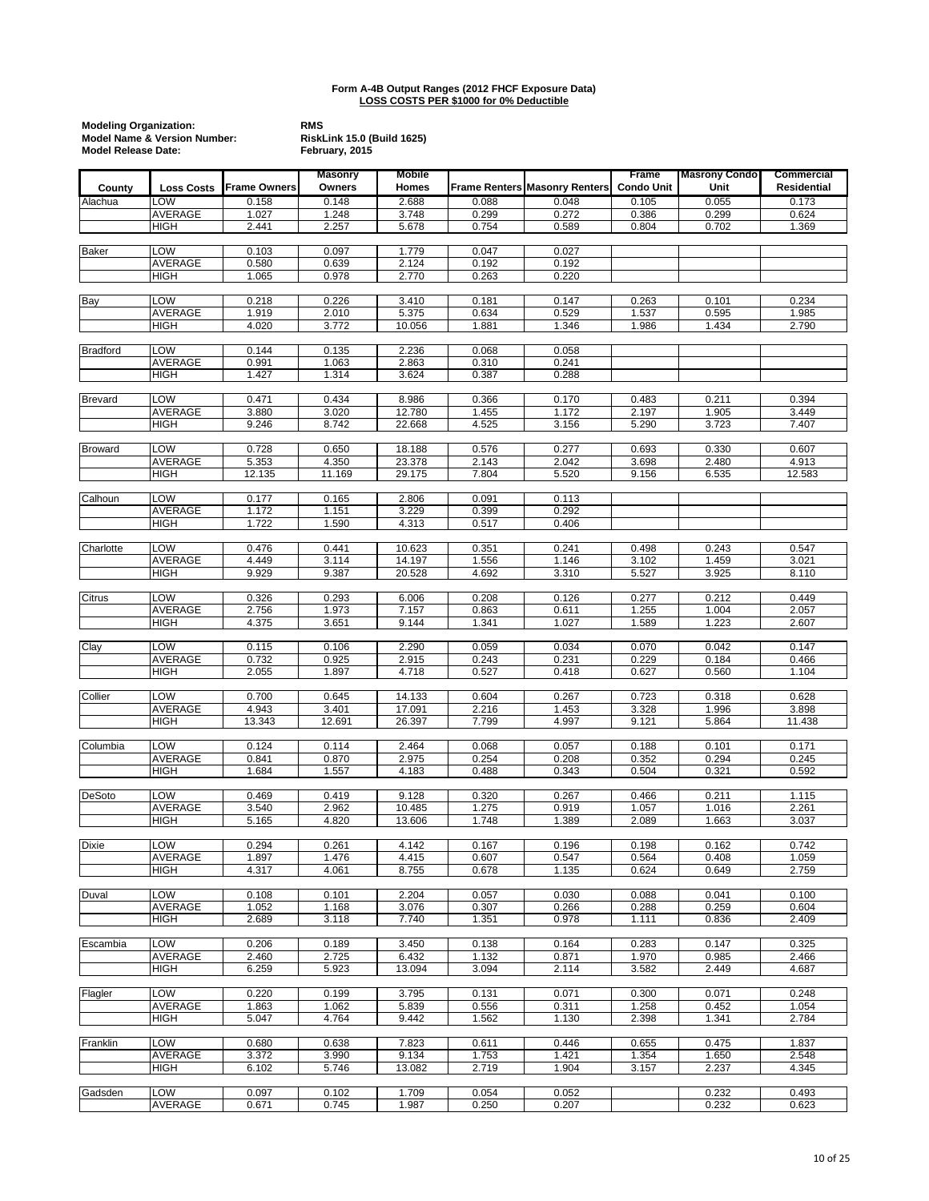|                 | <b>Modeling Organization:</b><br><b>Model Name &amp; Version Number:</b><br><b>Model Release Date:</b> |                |                          |                        |                      | <b>RMS</b><br>RiskLink 15.0 (Build 1625)<br>February, 2015 |                            |                              |                                  |  |  |  |  |
|-----------------|--------------------------------------------------------------------------------------------------------|----------------|--------------------------|------------------------|----------------------|------------------------------------------------------------|----------------------------|------------------------------|----------------------------------|--|--|--|--|
| County          | <b>Loss Costs</b>                                                                                      | Frame Owners   | <b>Masonry</b><br>Owners | <b>Mobile</b><br>Homes | <b>Frame Renters</b> | <b>Masonry Renters</b>                                     | Frame<br><b>Condo Unit</b> | <b>Masrony Condo</b><br>Unit | Commercial<br><b>Residential</b> |  |  |  |  |
| Alachua         | LOW                                                                                                    | 0.158          | 0.148                    | 2.688                  | 0.088                | 0.048                                                      | 0.105                      | 0.055                        | 0.173                            |  |  |  |  |
|                 | <b>AVERAGE</b>                                                                                         | 1.027          | 1.248                    | 3.748                  | 0.299                | 0.272                                                      | 0.386                      | 0.299                        | 0.624                            |  |  |  |  |
|                 | <b>HIGH</b>                                                                                            | 2.441          | 2.257                    | 5.678                  | 0.754                | 0.589                                                      | 0.804                      | 0.702                        | 1.369                            |  |  |  |  |
| <b>Baker</b>    | LOW                                                                                                    | 0.103          | 0.097                    | 1.779                  | 0.047                | 0.027                                                      |                            |                              |                                  |  |  |  |  |
|                 | AVERAGE                                                                                                | 0.580          | 0.639                    | 2.124                  | 0.192                | 0.192                                                      |                            |                              |                                  |  |  |  |  |
|                 | <b>HIGH</b>                                                                                            | 1.065          | 0.978                    | 2.770                  | 0.263                | 0.220                                                      |                            |                              |                                  |  |  |  |  |
| Bay             | LOW                                                                                                    | 0.218          | 0.226                    | 3.410                  | 0.181                | 0.147                                                      | 0.263                      | 0.101                        | 0.234                            |  |  |  |  |
|                 | AVERAGE                                                                                                | 1.919          | 2.010                    | 5.375                  | 0.634                | 0.529                                                      | 1.537                      | 0.595                        | 1.985                            |  |  |  |  |
|                 | <b>HIGH</b>                                                                                            | 4.020          | 3.772                    | 10.056                 | 1.881                | 1.346                                                      | 1.986                      | 1.434                        | 2.790                            |  |  |  |  |
| <b>Bradford</b> | LOW                                                                                                    | 0.144          | 0.135                    | 2.236                  | 0.068                | 0.058                                                      |                            |                              |                                  |  |  |  |  |
|                 | <b>AVERAGE</b>                                                                                         | 0.991          | 1.063                    | 2.863                  | 0.310                | 0.241                                                      |                            |                              |                                  |  |  |  |  |
|                 | <b>HIGH</b>                                                                                            | 1.427          | 1.314                    | 3.624                  | 0.387                | 0.288                                                      |                            |                              |                                  |  |  |  |  |
| <b>Brevard</b>  | LOW                                                                                                    | 0.471          | 0.434                    | 8.986                  | 0.366                | 0.170                                                      | 0.483                      | 0.211                        | 0.394                            |  |  |  |  |
|                 | AVERAGE                                                                                                | 3.880          | 3.020                    | 12.780                 | 1.455                | 1.172                                                      | 2.197                      | 1.905                        | 3.449                            |  |  |  |  |
|                 | <b>HIGH</b>                                                                                            | 9.246          | 8.742                    | 22.668                 | 4.525                | 3.156                                                      | 5.290                      | 3.723                        | 7.407                            |  |  |  |  |
| <b>Broward</b>  | LOW                                                                                                    | 0.728          | 0.650                    | 18.188                 | 0.576                | 0.277                                                      | 0.693                      | 0.330                        | 0.607                            |  |  |  |  |
|                 | AVERAGE                                                                                                | 5.353          | 4.350                    | 23.378                 | 2.143                | 2.042                                                      | 3.698                      | 2.480                        | 4.913                            |  |  |  |  |
|                 | <b>HIGH</b>                                                                                            | 12.135         | 11.169                   | 29.175                 | 7.804                | 5.520                                                      | 9.156                      | 6.535                        | 12.583                           |  |  |  |  |
| Calhoun         | LOW                                                                                                    | 0.177          | 0.165                    | 2.806                  | 0.091                | 0.113                                                      |                            |                              |                                  |  |  |  |  |
|                 | <b>AVERAGE</b>                                                                                         | 1.172          | 1.151                    | 3.229                  | 0.399                | 0.292                                                      |                            |                              |                                  |  |  |  |  |
|                 | <b>HIGH</b>                                                                                            | 1.722          | 1.590                    | 4.313                  | 0.517                | 0.406                                                      |                            |                              |                                  |  |  |  |  |
| Charlotte       | LOW                                                                                                    | 0.476          | 0.441                    | 10.623                 | 0.351                | 0.241                                                      | 0.498                      | 0.243                        | 0.547                            |  |  |  |  |
|                 | AVERAGE                                                                                                | 4.449          | 3.114                    | 14.197                 | 1.556                | 1.146                                                      | 3.102                      | 1.459                        | 3.021                            |  |  |  |  |
|                 | <b>HIGH</b>                                                                                            | 9.929          | 9.387                    | 20.528                 | 4.692                | 3.310                                                      | 5.527                      | 3.925                        | 8.110                            |  |  |  |  |
| Citrus          | LOW                                                                                                    | 0.326          | 0.293                    | 6.006                  | 0.208                | 0.126                                                      | 0.277                      | 0.212                        | 0.449                            |  |  |  |  |
|                 | AVERAGE                                                                                                | 2.756          | 1.973                    | 7.157                  | 0.863                | 0.611                                                      | 1.255                      | 1.004                        | 2.057                            |  |  |  |  |
|                 | <b>HIGH</b>                                                                                            | 4.375          | 3.651                    | 9.144                  | 1.341                | 1.027                                                      | 1.589                      | 1.223                        | 2.607                            |  |  |  |  |
| Clay            | LOW                                                                                                    | 0.115          | 0.106                    | 2.290                  | 0.059                | 0.034                                                      | 0.070                      | 0.042                        | 0.147                            |  |  |  |  |
|                 | <b>AVERAGE</b>                                                                                         | 0.732          | 0.925                    | 2.915                  | 0.243                | 0.231                                                      | 0.229                      | 0.184                        | 0.466                            |  |  |  |  |
|                 | <b>HIGH</b>                                                                                            | 2.055          | 1.897                    | 4.718                  | 0.527                | 0.418                                                      | 0.627                      | 0.560                        | 1.104                            |  |  |  |  |
| Collier         | <b>LOW</b>                                                                                             | 0.700          | 0.645                    | 14.133                 | 0.604                | 0.267                                                      | 0.723                      | 0.318                        | 0.628                            |  |  |  |  |
|                 | <b>AVERAGE</b>                                                                                         | 4.943          | 3.401                    | 17.091                 | 2.216                | 1.453                                                      | 3.328                      | 1.996                        | 3.898                            |  |  |  |  |
|                 | <b>HIGH</b>                                                                                            | 13.343         | 12.691                   | 26.397                 | 7.799                | 4.997                                                      | 9.121                      | 5.864                        | 11.438                           |  |  |  |  |
| Columbia        | <b>LOW</b>                                                                                             | 0.124          | 0.114                    | 2.464                  | 0.068                | 0.057                                                      | 0.188                      | 0.101                        | 0.171                            |  |  |  |  |
|                 | AVERAGE                                                                                                | 0.841          | 0.870                    | 2.975                  | 0.254                | 0.208                                                      | 0.352                      | 0.294                        | 0.245                            |  |  |  |  |
|                 | <b>HIGH</b>                                                                                            | 1.684          | 1.557                    | 4.183                  | 0.488                | 0.343                                                      | 0.504                      | 0.321                        | 0.592                            |  |  |  |  |
| DeSoto          | LOW                                                                                                    | 0.469          | 0.419                    | 9.128                  | 0.320                | 0.267                                                      | 0.466                      | 0.211                        | 1.115                            |  |  |  |  |
|                 | AVERAGE                                                                                                | 3.540          | 2.962                    | 10.485                 | 1.275                | 0.919                                                      | 1.057                      | 1.016                        | 2.261                            |  |  |  |  |
|                 | <b>HIGH</b>                                                                                            | 5.165          | 4.820                    | 13.606                 | 1.748                | 1.389                                                      | 2.089                      | 1.663                        | 3.037                            |  |  |  |  |
| <b>Dixie</b>    | <b>LOW</b>                                                                                             | 0.294          | 0.261                    | 4.142                  | 0.167                | 0.196                                                      | 0.198                      | 0.162                        | 0.742                            |  |  |  |  |
|                 | AVERAGE                                                                                                | 1.897          | 1.476<br>4.061           | 4.415                  | 0.607                | 0.547                                                      | 0.564                      | 0.408                        | 1.059                            |  |  |  |  |
|                 | <b>HIGH</b>                                                                                            | 4.317          |                          | 8.755                  | 0.678                | 1.135                                                      | 0.624                      | 0.649                        | 2.759                            |  |  |  |  |
| Duval           | LOW                                                                                                    | 0.108          | 0.101                    | 2.204                  | 0.057                | 0.030                                                      | 0.088                      | 0.041                        | 0.100                            |  |  |  |  |
|                 | AVERAGE<br><b>HIGH</b>                                                                                 | 1.052<br>2.689 | 1.168<br>3.118           | 3.076<br>7.740         | 0.307<br>1.351       | 0.266<br>0.978                                             | 0.288<br>1.111             | 0.259<br>0.836               | 0.604<br>2.409                   |  |  |  |  |
|                 |                                                                                                        |                |                          |                        |                      |                                                            |                            |                              |                                  |  |  |  |  |
| Escambia        | LOW                                                                                                    | 0.206          | 0.189                    | 3.450                  | 0.138                | 0.164                                                      | 0.283                      | 0.147                        | 0.325                            |  |  |  |  |
|                 | AVERAGE<br><b>HIGH</b>                                                                                 | 2.460<br>6.259 | 2.725<br>5.923           | 6.432<br>13.094        | 1.132<br>3.094       | 0.871<br>2.114                                             | 1.970<br>3.582             | 0.985<br>2.449               | 2.466<br>4.687                   |  |  |  |  |
|                 |                                                                                                        |                |                          |                        |                      |                                                            |                            |                              |                                  |  |  |  |  |
| Flagler         | <b>LOW</b>                                                                                             | 0.220          | 0.199                    | 3.795                  | 0.131                | 0.071                                                      | 0.300                      | 0.071                        | 0.248                            |  |  |  |  |
|                 | AVERAGE<br><b>HIGH</b>                                                                                 | 1.863<br>5.047 | 1.062<br>4.764           | 5.839<br>9.442         | 0.556<br>1.562       | 0.311<br>1.130                                             | 1.258<br>2.398             | 0.452<br>1.341               | 1.054<br>2.784                   |  |  |  |  |
|                 |                                                                                                        |                |                          |                        |                      |                                                            |                            |                              |                                  |  |  |  |  |
| Franklin        | LOW<br>AVERAGE                                                                                         | 0.680<br>3.372 | 0.638<br>3.990           | 7.823<br>9.134         | 0.611<br>1.753       | 0.446<br>1.421                                             | 0.655                      | 0.475<br>1.650               | 1.837<br>2.548                   |  |  |  |  |
|                 | <b>HIGH</b>                                                                                            | 6.102          | 5.746                    | 13.082                 | 2.719                | 1.904                                                      | 1.354<br>3.157             | 2.237                        | 4.345                            |  |  |  |  |
|                 |                                                                                                        |                |                          |                        |                      |                                                            |                            |                              |                                  |  |  |  |  |
| Gadsden         | LOW<br>AVERAGE                                                                                         | 0.097<br>0.671 | 0.102<br>0.745           | 1.709<br>1.987         | 0.054<br>0.250       | 0.052<br>0.207                                             |                            | 0.232<br>0.232               | 0.493<br>0.623                   |  |  |  |  |
|                 |                                                                                                        |                |                          |                        |                      |                                                            |                            |                              |                                  |  |  |  |  |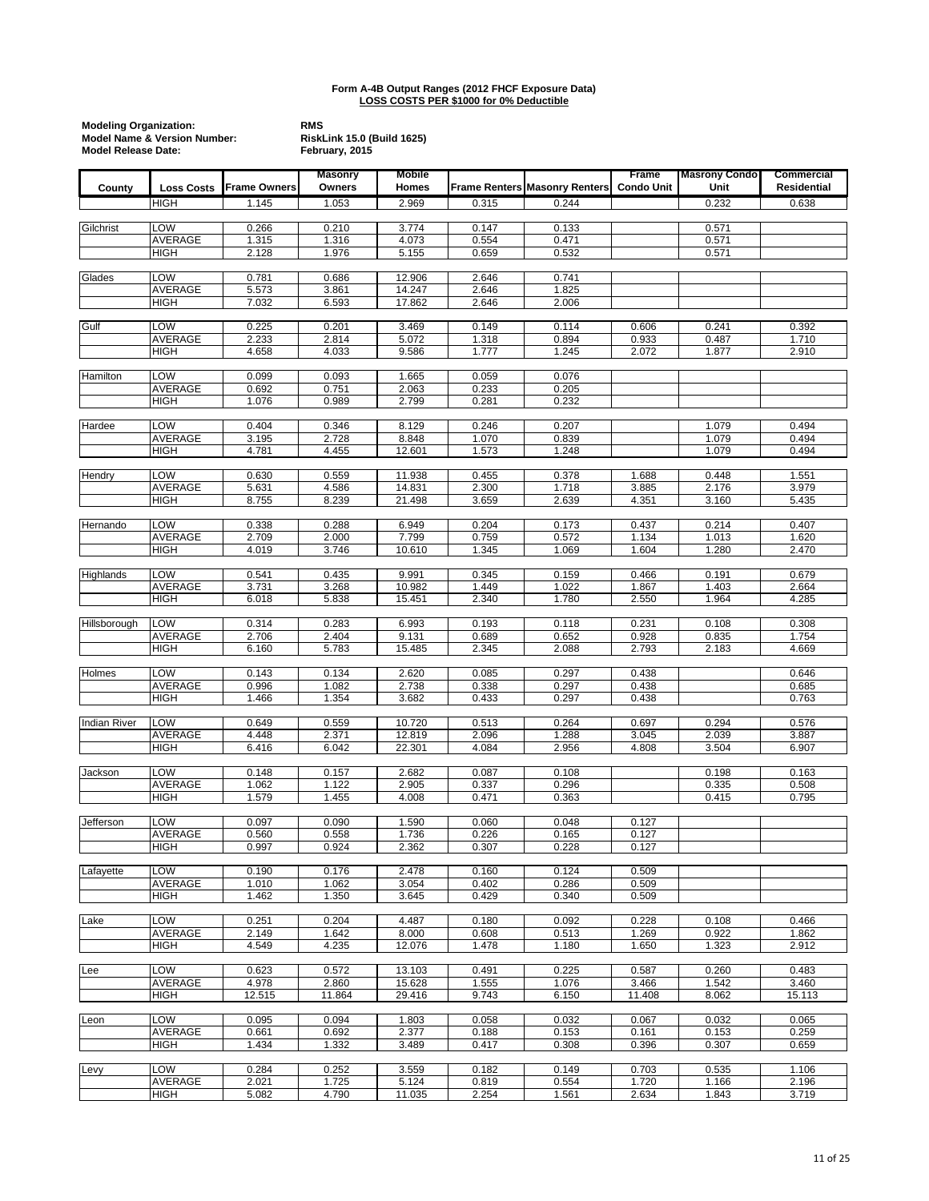|                     | <b>Modeling Organization:</b><br><b>Model Name &amp; Version Number:</b><br><b>Model Release Date:</b> |                     |                          | RiskLink 15.0 (Build 1625) |                |                                      |                            |                              |                           |
|---------------------|--------------------------------------------------------------------------------------------------------|---------------------|--------------------------|----------------------------|----------------|--------------------------------------|----------------------------|------------------------------|---------------------------|
| County              | <b>Loss Costs</b>                                                                                      | <b>Frame Owners</b> | <b>Masonry</b><br>Owners | Mobile<br>Homes            |                | <b>Frame Renters Masonry Renters</b> | Frame<br><b>Condo Unit</b> | <b>Masrony Condo</b><br>Unit | Commercial<br>Residential |
|                     | <b>HIGH</b>                                                                                            | 1.145               | 1.053                    | 2.969                      | 0.315          | 0.244                                |                            | 0.232                        | 0.638                     |
|                     |                                                                                                        |                     |                          |                            |                |                                      |                            |                              |                           |
| Gilchrist           | <b>LOW</b>                                                                                             | 0.266               | 0.210                    | 3.774                      | 0.147          | 0.133                                |                            | 0.571                        |                           |
|                     | AVERAGE<br>HIGH                                                                                        | 1.315<br>2.128      | 1.316<br>1.976           | 4.073<br>5.155             | 0.554<br>0.659 | 0.471<br>0.532                       |                            | 0.571<br>0.571               |                           |
|                     |                                                                                                        |                     |                          |                            |                |                                      |                            |                              |                           |
| Glades              | LOW                                                                                                    | 0.781               | 0.686                    | 12.906                     | 2.646          | 0.741                                |                            |                              |                           |
|                     | AVERAGE                                                                                                | 5.573               | 3.861                    | 14.247                     | 2.646          | 1.825                                |                            |                              |                           |
|                     | <b>HIGH</b>                                                                                            | 7.032               | 6.593                    | 17.862                     | 2.646          | 2.006                                |                            |                              |                           |
| Gulf                | LOW                                                                                                    | 0.225               | 0.201                    | 3.469                      | 0.149          | 0.114                                | 0.606                      | 0.241                        | 0.392                     |
|                     | <b>AVERAGE</b>                                                                                         | 2.233               | 2.814                    | 5.072                      | 1.318          | 0.894                                | 0.933                      | 0.487                        | 1.710                     |
|                     | <b>HIGH</b>                                                                                            | 4.658               | 4.033                    | 9.586                      | 1.777          | 1.245                                | 2.072                      | 1.877                        | 2.910                     |
| Hamilton            | LOW                                                                                                    | 0.099               | 0.093                    | 1.665                      | 0.059          | 0.076                                |                            |                              |                           |
|                     | <b>AVERAGE</b>                                                                                         | 0.692               | 0.751                    | 2.063                      | 0.233          | 0.205                                |                            |                              |                           |
|                     | <b>HIGH</b>                                                                                            | 1.076               | 0.989                    | 2.799                      | 0.281          | 0.232                                |                            |                              |                           |
|                     |                                                                                                        |                     |                          |                            |                |                                      |                            |                              |                           |
| Hardee              | LOW<br>AVERAGE                                                                                         | 0.404<br>3.195      | 0.346<br>2.728           | 8.129<br>8.848             | 0.246<br>1.070 | 0.207<br>0.839                       |                            | 1.079<br>1.079               | 0.494<br>0.494            |
|                     | <b>HIGH</b>                                                                                            | 4.781               | 4.455                    | 12.601                     | 1.573          | 1.248                                |                            | 1.079                        | 0.494                     |
|                     |                                                                                                        |                     |                          |                            |                |                                      |                            |                              |                           |
| Hendry              | LOW                                                                                                    | 0.630               | 0.559                    | 11.938                     | 0.455          | 0.378                                | 1.688                      | 0.448                        | 1.551                     |
|                     | <b>AVERAGE</b><br><b>HIGH</b>                                                                          | 5.631<br>8.755      | 4.586<br>8.239           | 14.831<br>21.498           | 2.300<br>3.659 | 1.718<br>2.639                       | 3.885<br>4.351             | 2.176<br>3.160               | 3.979<br>5.435            |
|                     |                                                                                                        |                     |                          |                            |                |                                      |                            |                              |                           |
| Hernando            | LOW                                                                                                    | 0.338               | 0.288                    | 6.949                      | 0.204          | 0.173                                | 0.437                      | 0.214                        | 0.407                     |
|                     | AVERAGE                                                                                                | 2.709               | 2.000                    | 7.799                      | 0.759          | 0.572                                | 1.134                      | 1.013                        | 1.620                     |
|                     | <b>HIGH</b>                                                                                            | 4.019               | 3.746                    | 10.610                     | 1.345          | 1.069                                | 1.604                      | 1.280                        | 2.470                     |
| Highlands           | LOW                                                                                                    | 0.541               | 0.435                    | 9.991                      | 0.345          | 0.159                                | 0.466                      | 0.191                        | 0.679                     |
|                     | AVERAGE                                                                                                | 3.731               | 3.268                    | 10.982                     | 1.449          | 1.022                                | 1.867                      | 1.403                        | 2.664                     |
|                     | <b>HIGH</b>                                                                                            | 6.018               | 5.838                    | 15.451                     | 2.340          | 1.780                                | 2.550                      | 1.964                        | 4.285                     |
| Hillsborough        | LOW                                                                                                    | 0.314               | 0.283                    | 6.993                      | 0.193          | 0.118                                | 0.231                      | 0.108                        | 0.308                     |
|                     | AVERAGE                                                                                                | 2.706               | 2.404                    | 9.131                      | 0.689          | 0.652                                | 0.928                      | 0.835                        | 1.754                     |
|                     | <b>HIGH</b>                                                                                            | 6.160               | 5.783                    | 15.485                     | 2.345          | 2.088                                | 2.793                      | 2.183                        | 4.669                     |
|                     | LOW                                                                                                    | 0.143               |                          |                            |                |                                      | 0.438                      |                              |                           |
| Holmes              | AVERAGE                                                                                                | 0.996               | 0.134<br>1.082           | 2.620<br>2.738             | 0.085<br>0.338 | 0.297<br>0.297                       | 0.438                      |                              | 0.646<br>0.685            |
|                     | <b>HIGH</b>                                                                                            | 1.466               | 1.354                    | 3.682                      | 0.433          | 0.297                                | 0.438                      |                              | 0.763                     |
|                     |                                                                                                        |                     |                          |                            |                |                                      |                            |                              |                           |
| <b>Indian River</b> | LOW                                                                                                    | 0.649               | 0.559                    | 10.720                     | 0.513          | 0.264                                | 0.697                      | 0.294                        | 0.576                     |
|                     | AVERAGE<br><b>HIGH</b>                                                                                 | 4.448<br>6.416      | 2.371<br>6.042           | 12.819<br>22.301           | 2.096<br>4.084 | 1.288<br>2.956                       | 3.045<br>4.808             | 2.039<br>3.504               | 3.887<br>6.907            |
|                     |                                                                                                        |                     |                          |                            |                |                                      |                            |                              |                           |
| Jackson             | LOW                                                                                                    | 0.148               | 0.157                    | 2.682                      | 0.087          | 0.108                                |                            | 0.198                        | 0.163                     |
|                     | AVERAGE                                                                                                | 1.062               | 1.122                    | 2.905                      | 0.337          | 0.296                                |                            | 0.335                        | 0.508                     |
|                     | <b>HIGH</b>                                                                                            | 1.579               | 1.455                    | 4.008                      | 0.471          | 0.363                                |                            | 0.415                        | 0.795                     |
| Jefferson           | LOW                                                                                                    | 0.097               | 0.090                    | 1.590                      | 0.060          | 0.048                                | 0.127                      |                              |                           |
|                     | AVERAGE                                                                                                | 0.560               | 0.558                    | 1.736                      | 0.226          | 0.165                                | 0.127                      |                              |                           |
|                     | <b>HIGH</b>                                                                                            | 0.997               | 0.924                    | 2.362                      | 0.307          | 0.228                                | 0.127                      |                              |                           |
| Lafayette           | <b>LOW</b>                                                                                             | 0.190               | 0.176                    | 2.478                      | 0.160          | 0.124                                | 0.509                      |                              |                           |
|                     | AVERAGE                                                                                                | 1.010               | 1.062                    | 3.054                      | 0.402          | 0.286                                | 0.509                      |                              |                           |
|                     | <b>HIGH</b>                                                                                            | 1.462               | 1.350                    | 3.645                      | 0.429          | 0.340                                | 0.509                      |                              |                           |
|                     |                                                                                                        |                     |                          |                            |                |                                      |                            |                              |                           |
| Lake                | LOW<br>AVERAGE                                                                                         | 0.251<br>2.149      | 0.204<br>1.642           | 4.487<br>8.000             | 0.180<br>0.608 | 0.092<br>0.513                       | 0.228<br>1.269             | 0.108<br>0.922               | 0.466<br>1.862            |
|                     | <b>HIGH</b>                                                                                            | 4.549               | 4.235                    | 12.076                     | 1.478          | 1.180                                | 1.650                      | 1.323                        | 2.912                     |
|                     |                                                                                                        |                     |                          |                            |                |                                      |                            |                              |                           |
| Lee                 | LOW                                                                                                    | 0.623               | 0.572                    | 13.103                     | 0.491          | 0.225                                | 0.587                      | 0.260                        | 0.483                     |
|                     | AVERAGE<br><b>HIGH</b>                                                                                 | 4.978<br>12.515     | 2.860<br>11.864          | 15.628<br>29.416           | 1.555<br>9.743 | 1.076<br>6.150                       | 3.466<br>11.408            | 1.542<br>8.062               | 3.460<br>15.113           |
|                     |                                                                                                        |                     |                          |                            |                |                                      |                            |                              |                           |
| Leon                | LOW                                                                                                    | 0.095               | 0.094                    | 1.803                      | 0.058          | 0.032                                | 0.067                      | 0.032                        | 0.065                     |
|                     | <b>AVERAGE</b>                                                                                         | 0.661               | 0.692                    | 2.377                      | 0.188          | 0.153                                | 0.161                      | 0.153                        | 0.259                     |
|                     | <b>HIGH</b>                                                                                            | 1.434               | 1.332                    | 3.489                      | 0.417          | 0.308                                | 0.396                      | 0.307                        | 0.659                     |
| Levy                | LOW                                                                                                    | 0.284               | 0.252                    | 3.559                      | 0.182          | 0.149                                | 0.703                      | 0.535                        | 1.106                     |
|                     | AVERAGE                                                                                                | 2.021               | 1.725                    | 5.124                      | 0.819          | 0.554                                | 1.720                      | 1.166                        | 2.196                     |
|                     | <b>HIGH</b>                                                                                            | 5.082               | 4.790                    | 11.035                     | 2.254          | 1.561                                | 2.634                      | 1.843                        | 3.719                     |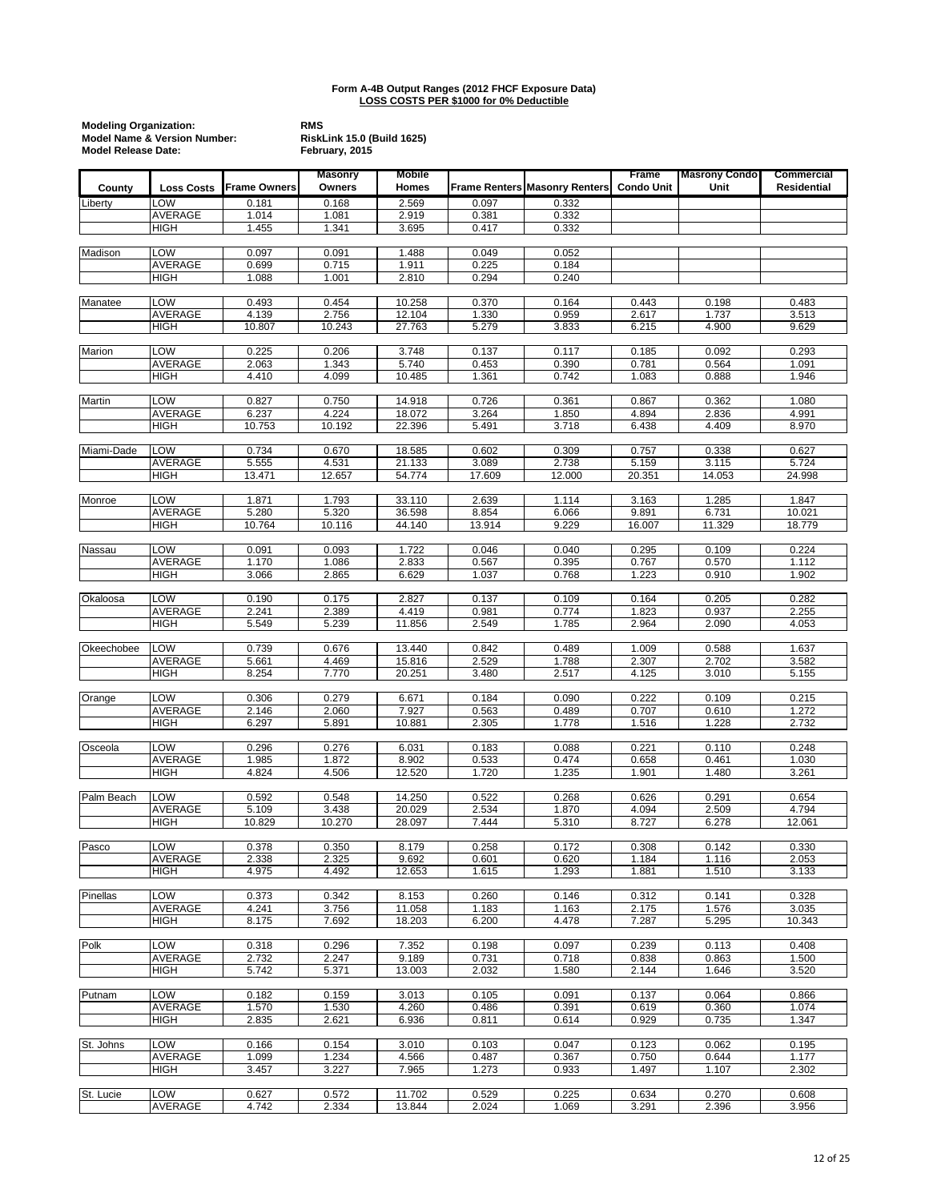|            | <b>Modeling Organization:</b><br><b>Model Name &amp; Version Number:</b><br><b>Model Release Date:</b> |                     | <b>RMS</b><br>RiskLink 15.0 (Build 1625)<br>February, 2015 |                        |                |                                      |                            |                              |                                  |
|------------|--------------------------------------------------------------------------------------------------------|---------------------|------------------------------------------------------------|------------------------|----------------|--------------------------------------|----------------------------|------------------------------|----------------------------------|
| County     | <b>Loss Costs</b>                                                                                      | <b>Frame Owners</b> | <b>Masonry</b><br>Owners                                   | <b>Mobile</b><br>Homes |                | <b>Frame Renters Masonry Renters</b> | Frame<br><b>Condo Unit</b> | <b>Masrony Condo</b><br>Unit | Commercial<br><b>Residential</b> |
| Liberty    | LOW                                                                                                    | 0.181               | 0.168                                                      | 2.569                  | 0.097          | 0.332                                |                            |                              |                                  |
|            | <b>AVERAGE</b>                                                                                         | 1.014               | 1.081                                                      | 2.919                  | 0.381          | 0.332                                |                            |                              |                                  |
|            | <b>HIGH</b>                                                                                            | 1.455               | 1.341                                                      | 3.695                  | 0.417          | 0.332                                |                            |                              |                                  |
| Madison    | LOW                                                                                                    | 0.097               | 0.091                                                      | 1.488                  | 0.049          | 0.052                                |                            |                              |                                  |
|            | <b>AVERAGE</b><br><b>HIGH</b>                                                                          | 0.699<br>1.088      | 0.715<br>1.001                                             | 1.911                  | 0.225<br>0.294 | 0.184<br>0.240                       |                            |                              |                                  |
|            |                                                                                                        |                     |                                                            | 2.810                  |                |                                      |                            |                              |                                  |
| Manatee    | LOW                                                                                                    | 0.493               | 0.454                                                      | 10.258                 | 0.370          | 0.164                                | 0.443                      | 0.198                        | 0.483                            |
|            | <b>AVERAGE</b>                                                                                         | 4.139               | 2.756                                                      | 12.104                 | 1.330          | 0.959                                | 2.617                      | 1.737                        | 3.513                            |
|            | <b>HIGH</b>                                                                                            | 10.807              | 10.243                                                     | 27.763                 | 5.279          | 3.833                                | 6.215                      | 4.900                        | 9.629                            |
| Marion     | LOW                                                                                                    | 0.225               | 0.206                                                      | 3.748                  | 0.137          | 0.117                                | 0.185                      | 0.092                        | 0.293                            |
|            | AVERAGE                                                                                                | 2.063               | 1.343                                                      | 5.740                  | 0.453          | 0.390                                | 0.781                      | 0.564                        | 1.091                            |
|            | <b>HIGH</b>                                                                                            | 4.410               | 4.099                                                      | 10.485                 | 1.361          | 0.742                                | 1.083                      | 0.888                        | 1.946                            |
| Martin     | LOW                                                                                                    | 0.827               | 0.750                                                      | 14.918                 | 0.726          | 0.361                                | 0.867                      | 0.362                        | 1.080                            |
|            | <b>AVERAGE</b>                                                                                         | 6.237               | 4.224                                                      | 18.072                 | 3.264          | 1.850                                | 4.894                      | 2.836                        | 4.991                            |
|            | <b>HIGH</b>                                                                                            | 10.753              | 10.192                                                     | 22.396                 | 5.491          | 3.718                                | 6.438                      | 4.409                        | 8.970                            |
| Miami-Dade | LOW                                                                                                    | 0.734               | 0.670                                                      | 18.585                 | 0.602          | 0.309                                | 0.757                      | 0.338                        | 0.627                            |
|            | AVERAGE                                                                                                | 5.555               | 4.531                                                      | 21.133                 | 3.089          | 2.738                                | 5.159                      | 3.115                        | 5.724                            |
|            | <b>HIGH</b>                                                                                            | 13.471              | 12.657                                                     | 54.774                 | 17.609         | 12.000                               | 20.351                     | 14.053                       | 24.998                           |
| Monroe     | LOW                                                                                                    | 1.871               | 1.793                                                      | 33.110                 | 2.639          | 1.114                                | 3.163                      | 1.285                        | 1.847                            |
|            | <b>AVERAGE</b>                                                                                         | 5.280               | 5.320                                                      | 36.598                 | 8.854          | 6.066                                | 9.891                      | 6.731                        | 10.021                           |
|            | <b>HIGH</b>                                                                                            | 10.764              | 10.116                                                     | 44.140                 | 13.914         | 9.229                                | 16.007                     | 11.329                       | 18.779                           |
|            | LOW                                                                                                    |                     |                                                            |                        |                | 0.040                                |                            |                              |                                  |
| Nassau     | AVERAGE                                                                                                | 0.091<br>1.170      | 0.093<br>1.086                                             | 1.722<br>2.833         | 0.046<br>0.567 | 0.395                                | 0.295<br>0.767             | 0.109<br>0.570               | 0.224<br>1.112                   |
|            | <b>HIGH</b>                                                                                            | 3.066               | 2.865                                                      | 6.629                  | 1.037          | 0.768                                | 1.223                      | 0.910                        | 1.902                            |
|            |                                                                                                        |                     |                                                            |                        |                |                                      |                            |                              |                                  |
| Okaloosa   | LOW<br><b>AVERAGE</b>                                                                                  | 0.190<br>2.241      | 0.175<br>2.389                                             | 2.827<br>4.419         | 0.137<br>0.981 | 0.109<br>0.774                       | 0.164<br>1.823             | 0.205<br>0.937               | 0.282<br>2.255                   |
|            | <b>HIGH</b>                                                                                            | 5.549               | 5.239                                                      | 11.856                 | 2.549          | 1.785                                | 2.964                      | 2.090                        | 4.053                            |
|            |                                                                                                        |                     |                                                            |                        |                |                                      |                            |                              |                                  |
| Okeechobee | LOW<br>AVERAGE                                                                                         | 0.739<br>5.661      | 0.676<br>4.469                                             | 13.440<br>15.816       | 0.842<br>2.529 | 0.489<br>1.788                       | 1.009<br>2.307             | 0.588<br>2.702               | 1.637<br>3.582                   |
|            | <b>HIGH</b>                                                                                            | 8.254               | 7.770                                                      | 20.251                 | 3.480          | 2.517                                | 4.125                      | 3.010                        | 5.155                            |
|            |                                                                                                        |                     |                                                            |                        |                |                                      |                            |                              |                                  |
| Orange     | LOW                                                                                                    | 0.306               | 0.279                                                      | 6.671                  | 0.184          | 0.090                                | 0.222                      | 0.109                        | 0.215                            |
|            | <b>AVERAGE</b><br><b>HIGH</b>                                                                          | 2.146<br>6.297      | 2.060<br>5.891                                             | 7.927<br>10.881        | 0.563<br>2.305 | 0.489<br>1.778                       | 0.707<br>1.516             | 0.610<br>1.228               | 1.272<br>2.732                   |
|            |                                                                                                        |                     |                                                            |                        |                |                                      |                            |                              |                                  |
| Osceola    | LOW                                                                                                    | 0.296               | 0.276                                                      | 6.031                  | 0.183          | 0.088                                | 0.221                      | 0.110                        | 0.248                            |
|            | <b>AVERAGE</b><br><b>HIGH</b>                                                                          | 1.985<br>4.824      | 1.872<br>4.506                                             | 8.902<br>12.520        | 0.533<br>1.720 | 0.474<br>1.235                       | 0.658<br>1.901             | 0.461<br>1.480               | 1.030<br>3.261                   |
|            |                                                                                                        |                     |                                                            |                        |                |                                      |                            |                              |                                  |
| Palm Beach | <b>LOW</b>                                                                                             | 0.592               | 0.548                                                      | 14.250                 | 0.522          | 0.268                                | 0.626                      | 0.291                        | 0.654                            |
|            | <b>AVERAGE</b>                                                                                         | 5.109               | 3.438                                                      | 20.029                 | 2.534          | 1.870                                | 4.094                      | 2.509                        | 4.794                            |
|            | <b>HIGH</b>                                                                                            | 10.829              | 10.270                                                     | 28.097                 | 7.444          | 5.310                                | 8.727                      | 6.278                        | 12.061                           |
| Pasco      | LOW                                                                                                    | 0.378               | 0.350                                                      | 8.179                  | 0.258          | 0.172                                | 0.308                      | 0.142                        | 0.330                            |
|            | <b>AVERAGE</b>                                                                                         | 2.338               | 2.325                                                      | 9.692                  | 0.601          | 0.620                                | 1.184                      | 1.116                        | 2.053                            |
|            | <b>HIGH</b>                                                                                            | 4.975               | 4.492                                                      | 12.653                 | 1.615          | 1.293                                | 1.881                      | 1.510                        | 3.133                            |
| Pinellas   | LOW                                                                                                    | 0.373               | 0.342                                                      | 8.153                  | 0.260          | 0.146                                | 0.312                      | 0.141                        | 0.328                            |
|            | AVERAGE                                                                                                | 4.241               | 3.756                                                      | 11.058                 | 1.183          | 1.163                                | 2.175                      | 1.576                        | 3.035                            |
|            | HIGH                                                                                                   | 8.175               | 7.692                                                      | 18.203                 | 6.200          | 4.478                                | 7.287                      | 5.295                        | 10.343                           |
| Polk       | LOW                                                                                                    | 0.318               | 0.296                                                      | 7.352                  | 0.198          | 0.097                                | 0.239                      | 0.113                        | 0.408                            |
|            | <b>AVERAGE</b>                                                                                         | 2.732               | 2.247                                                      | 9.189                  | 0.731          | 0.718                                | 0.838                      | 0.863                        | 1.500                            |
|            | <b>HIGH</b>                                                                                            | 5.742               | 5.371                                                      | 13.003                 | 2.032          | 1.580                                | 2.144                      | 1.646                        | 3.520                            |
| Putnam     | LOW                                                                                                    | 0.182               | 0.159                                                      | 3.013                  | 0.105          | 0.091                                | 0.137                      | 0.064                        | 0.866                            |
|            | AVERAGE                                                                                                | 1.570               | 1.530                                                      | 4.260                  | 0.486          | 0.391                                | 0.619                      | 0.360                        | 1.074                            |
|            | <b>HIGH</b>                                                                                            | 2.835               | 2.621                                                      | 6.936                  | 0.811          | 0.614                                | 0.929                      | 0.735                        | 1.347                            |
| St. Johns  | <b>LOW</b>                                                                                             | 0.166               | 0.154                                                      | 3.010                  | 0.103          | 0.047                                | 0.123                      | 0.062                        | 0.195                            |
|            | AVERAGE                                                                                                | 1.099               | 1.234                                                      | 4.566                  | 0.487          | 0.367                                | 0.750                      | 0.644                        | 1.177                            |
|            | <b>HIGH</b>                                                                                            | 3.457               | 3.227                                                      | 7.965                  | 1.273          | 0.933                                | 1.497                      | 1.107                        | 2.302                            |
| St. Lucie  | LOW                                                                                                    | 0.627               | 0.572                                                      | 11.702                 | 0.529          | 0.225                                | 0.634                      | 0.270                        | 0.608                            |
|            | AVERAGE                                                                                                | 4.742               | 2.334                                                      | 13.844                 | 2.024          | 1.069                                | 3.291                      | 2.396                        | 3.956                            |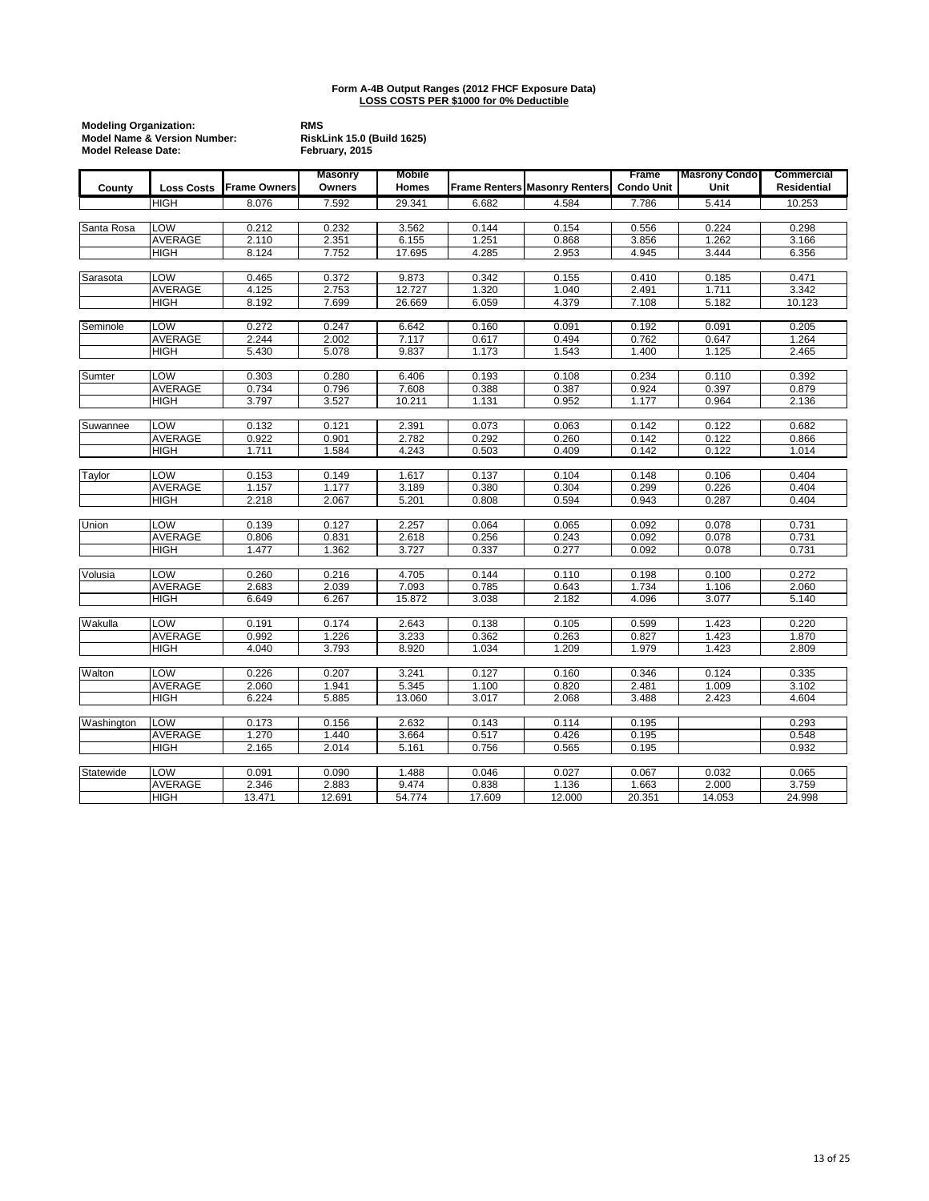|            | <b>Modeling Organization:</b><br><b>Model Name &amp; Version Number:</b><br><b>Model Release Date:</b> |                     |                          | <b>RMS</b><br><b>RiskLink 15.0 (Build 1625)</b><br>February, 2015 |        |                                      |                            |                              |                           |  |
|------------|--------------------------------------------------------------------------------------------------------|---------------------|--------------------------|-------------------------------------------------------------------|--------|--------------------------------------|----------------------------|------------------------------|---------------------------|--|
| County     | <b>Loss Costs</b>                                                                                      | <b>Frame Owners</b> | <b>Masonry</b><br>Owners | Mobile<br><b>Homes</b>                                            |        | <b>Frame Renters Masonry Renters</b> | Frame<br><b>Condo Unit</b> | <b>Masrony Condo</b><br>Unit | Commercial<br>Residential |  |
|            | <b>HIGH</b>                                                                                            | 8.076               | 7.592                    | 29.341                                                            | 6.682  | 4.584                                | 7.786                      | 5.414                        | 10.253                    |  |
|            |                                                                                                        |                     |                          |                                                                   |        |                                      |                            |                              |                           |  |
| Santa Rosa | LOW                                                                                                    | 0.212               | 0.232                    | 3.562                                                             | 0.144  | 0.154                                | 0.556                      | 0.224                        | 0.298                     |  |
|            | AVERAGE                                                                                                | 2.110               | 2.351                    | 6.155                                                             | 1.251  | 0.868                                | 3.856                      | 1.262                        | 3.166                     |  |
|            | <b>HIGH</b>                                                                                            | 8.124               | 7.752                    | 17.695                                                            | 4.285  | 2.953                                | 4.945                      | 3.444                        | 6.356                     |  |
|            |                                                                                                        |                     |                          |                                                                   |        |                                      |                            |                              |                           |  |
| Sarasota   | LOW                                                                                                    | 0.465               | 0.372                    | 9.873                                                             | 0.342  | 0.155                                | 0.410                      | 0.185                        | 0.471                     |  |
|            | <b>AVERAGE</b>                                                                                         | 4.125               | 2.753                    | 12.727                                                            | 1.320  | 1.040                                | 2.491                      | 1.711                        | 3.342                     |  |
|            | <b>HIGH</b>                                                                                            | 8.192               | 7.699                    | 26.669                                                            | 6.059  | 4.379                                | 7.108                      | 5.182                        | 10.123                    |  |
|            |                                                                                                        |                     |                          |                                                                   |        |                                      |                            |                              |                           |  |
| Seminole   | LOW                                                                                                    | 0.272               | 0.247                    | 6.642                                                             | 0.160  | 0.091                                | 0.192                      | 0.091                        | 0.205                     |  |
|            | <b>AVERAGE</b>                                                                                         | 2.244               | 2.002                    | 7.117                                                             | 0.617  | 0.494                                | 0.762                      | 0.647                        | 1.264                     |  |
|            | <b>HIGH</b>                                                                                            | 5.430               | 5.078                    | 9.837                                                             | 1.173  | 1.543                                | 1.400                      | 1.125                        | 2.465                     |  |
|            |                                                                                                        |                     |                          |                                                                   |        |                                      |                            |                              |                           |  |
| Sumter     | LOW                                                                                                    | 0.303               | 0.280                    | 6.406                                                             | 0.193  | 0.108                                | 0.234                      | 0.110                        | 0.392                     |  |
|            | AVERAGE                                                                                                | 0.734               | 0.796                    | 7.608                                                             | 0.388  | 0.387                                | 0.924                      | 0.397                        | 0.879                     |  |
|            | <b>HIGH</b>                                                                                            | 3.797               | 3.527                    | 10.211                                                            | 1.131  | 0.952                                | 1.177                      | 0.964                        | 2.136                     |  |
|            |                                                                                                        |                     |                          |                                                                   |        |                                      |                            |                              |                           |  |
| Suwannee   | LOW                                                                                                    | 0.132               | 0.121                    | 2.391                                                             | 0.073  | 0.063                                | 0.142                      | 0.122                        | 0.682                     |  |
|            | <b>AVERAGE</b>                                                                                         | 0.922               | 0.901                    | 2.782                                                             | 0.292  | 0.260                                | 0.142                      | 0.122                        | 0.866                     |  |
|            | <b>HIGH</b>                                                                                            | 1.711               | 1.584                    | 4.243                                                             | 0.503  | 0.409                                | 0.142                      | 0.122                        | 1.014                     |  |
|            |                                                                                                        |                     |                          |                                                                   |        |                                      |                            |                              |                           |  |
| Taylor     | LOW                                                                                                    | 0.153               | 0.149                    | 1.617                                                             | 0.137  | 0.104                                | 0.148                      | 0.106                        | 0.404                     |  |
|            | AVERAGE                                                                                                | 1.157               | 1.177                    | 3.189                                                             | 0.380  | 0.304                                | 0.299                      | 0.226                        | 0.404                     |  |
|            | <b>HIGH</b>                                                                                            | 2.218               | 2.067                    | 5.201                                                             | 0.808  | 0.594                                | 0.943                      | 0.287                        | 0.404                     |  |
|            |                                                                                                        |                     |                          |                                                                   |        |                                      |                            |                              |                           |  |
| Union      | <b>LOW</b>                                                                                             | 0.139               | 0.127                    | 2.257                                                             | 0.064  | 0.065                                | 0.092                      | 0.078                        | 0.731                     |  |
|            | AVERAGE                                                                                                | 0.806               | 0.831                    | 2.618                                                             | 0.256  | 0.243                                | 0.092                      | 0.078                        | 0.731                     |  |
|            | <b>HIGH</b>                                                                                            | 1.477               | 1.362                    | 3.727                                                             | 0.337  | 0.277                                | 0.092                      | 0.078                        | 0.731                     |  |
|            |                                                                                                        |                     |                          |                                                                   |        |                                      |                            |                              |                           |  |
| Volusia    | LOW                                                                                                    | 0.260               | 0.216                    | 4.705                                                             | 0.144  | 0.110                                | 0.198                      | 0.100                        | 0.272                     |  |
|            | <b>AVERAGE</b>                                                                                         | 2.683               | 2.039                    | 7.093                                                             | 0.785  | 0.643                                | 1.734                      | 1.106                        | 2.060                     |  |
|            | <b>HIGH</b>                                                                                            | 6.649               | 6.267                    | 15.872                                                            | 3.038  | 2.182                                | 4.096                      | 3.077                        | 5.140                     |  |
|            |                                                                                                        |                     |                          |                                                                   |        |                                      |                            |                              |                           |  |
| Wakulla    | LOW                                                                                                    | 0.191               | 0.174                    | 2.643                                                             | 0.138  | 0.105                                | 0.599                      | 1.423                        | 0.220                     |  |
|            | <b>AVERAGE</b>                                                                                         | 0.992               | 1.226                    | 3.233                                                             | 0.362  | 0.263                                | 0.827                      | 1.423                        | 1.870                     |  |
|            | <b>HIGH</b>                                                                                            | 4.040               | 3.793                    | 8.920                                                             | 1.034  | 1.209                                | 1.979                      | 1.423                        | 2.809                     |  |
|            |                                                                                                        |                     |                          |                                                                   |        |                                      |                            |                              |                           |  |
| Walton     | LOW                                                                                                    | 0.226               | 0.207                    | 3.241                                                             | 0.127  | 0.160                                | 0.346                      | 0.124                        | 0.335                     |  |
|            | <b>AVERAGE</b>                                                                                         | 2.060               | 1.941                    | 5.345                                                             | 1.100  | 0.820                                | 2.481                      | 1.009                        | 3.102                     |  |
|            | <b>HIGH</b>                                                                                            | 6.224               | 5.885                    | 13.060                                                            | 3.017  | 2.068                                | 3.488                      | 2.423                        | 4.604                     |  |
|            |                                                                                                        |                     |                          |                                                                   |        |                                      |                            |                              |                           |  |
| Washington | <b>LOW</b>                                                                                             | 0.173               | 0.156                    | 2.632                                                             | 0.143  | 0.114                                | 0.195                      |                              | 0.293                     |  |
|            | AVERAGE                                                                                                | 1.270               | 1.440                    | 3.664                                                             | 0.517  | 0.426                                | 0.195                      |                              | 0.548                     |  |
|            | <b>HIGH</b>                                                                                            | 2.165               | 2.014                    | 5.161                                                             | 0.756  | 0.565                                | 0.195                      |                              | 0.932                     |  |
|            |                                                                                                        |                     |                          |                                                                   |        |                                      |                            |                              |                           |  |
| Statewide  | <b>LOW</b>                                                                                             | 0.091               | 0.090                    | 1.488                                                             | 0.046  | 0.027                                | 0.067                      | 0.032                        | 0.065                     |  |
|            | <b>AVERAGE</b>                                                                                         | 2.346               | 2.883                    | 9.474                                                             | 0.838  | 1.136                                | 1.663                      | 2.000                        | 3.759                     |  |
|            | <b>HIGH</b>                                                                                            | 13.471              | 12.691                   | 54.774                                                            | 17.609 | 12.000                               | 20.351                     | 14.053                       | 24.998                    |  |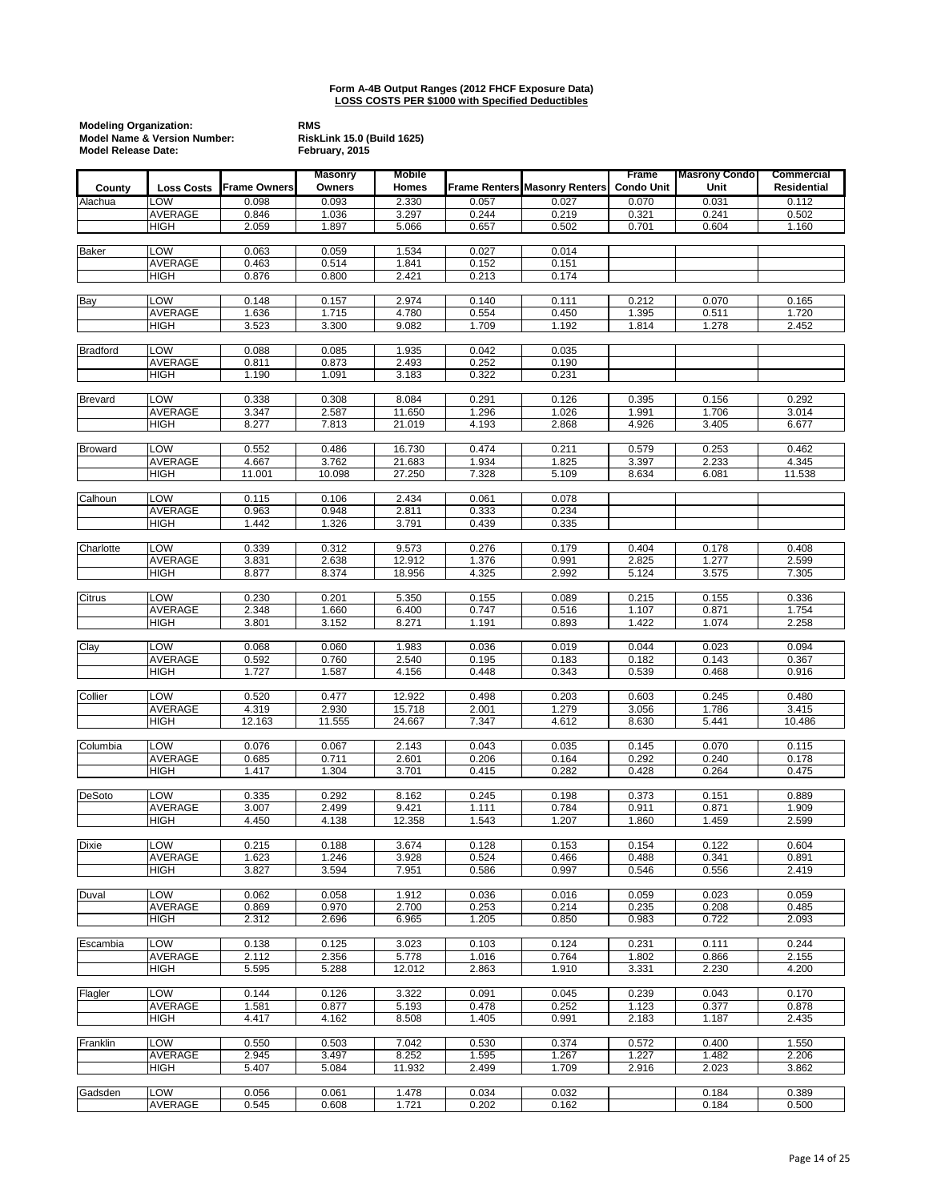| <b>Modeling Organization:</b><br><b>Model Release Date:</b> | <b>Model Name &amp; Version Number:</b> |                     | <b>RMS</b><br><b>RiskLink 15.0 (Build 1625)</b><br>February, 2015 |                  |                |                                      |                                   |                              |                           |
|-------------------------------------------------------------|-----------------------------------------|---------------------|-------------------------------------------------------------------|------------------|----------------|--------------------------------------|-----------------------------------|------------------------------|---------------------------|
| County                                                      | <b>Loss Costs</b>                       | <b>Frame Owners</b> | <b>Masonry</b><br>Owners                                          | Mobile<br>Homes  |                | <b>Frame Renters Masonry Renters</b> | <b>Frame</b><br><b>Condo Unit</b> | <b>Masrony Condo</b><br>Unit | Commercial<br>Residential |
| Alachua                                                     | LOW                                     | 0.098               | 0.093                                                             | 2.330            | 0.057          | 0.027                                | 0.070                             | 0.031                        | 0.112                     |
|                                                             | AVERAGE                                 | 0.846               | 1.036                                                             | 3.297            | 0.244          | 0.219                                | 0.321                             | 0.241                        | 0.502                     |
|                                                             | <b>HIGH</b>                             | 2.059               | 1.897                                                             | 5.066            | 0.657          | 0.502                                | 0.701                             | 0.604                        | 1.160                     |
| <b>Baker</b>                                                | LOW                                     | 0.063               | 0.059                                                             | 1.534            | 0.027          | 0.014                                |                                   |                              |                           |
|                                                             | <b>AVERAGE</b><br><b>HIGH</b>           | 0.463<br>0.876      | 0.514<br>0.800                                                    | 1.841<br>2.421   | 0.152<br>0.213 | 0.151<br>0.174                       |                                   |                              |                           |
|                                                             | LOW                                     | 0.148               |                                                                   | 2.974            | 0.140          |                                      | 0.212                             | 0.070                        |                           |
| Bay                                                         | AVERAGE                                 | 1.636               | 0.157<br>1.715                                                    | 4.780            | 0.554          | 0.111<br>0.450                       | 1.395                             | 0.511                        | 0.165<br>1.720            |
|                                                             | HIGH                                    | 3.523               | 3.300                                                             | 9.082            | 1.709          | 1.192                                | 1.814                             | 1.278                        | 2.452                     |
| <b>Bradford</b>                                             | LOW                                     | 0.088               | 0.085                                                             | 1.935            | 0.042          | 0.035                                |                                   |                              |                           |
|                                                             | AVERAGE                                 | 0.811               | 0.873                                                             | 2.493            | 0.252          | 0.190                                |                                   |                              |                           |
|                                                             | <b>HIGH</b>                             | 1.190               | 1.091                                                             | 3.183            | 0.322          | 0.231                                |                                   |                              |                           |
| <b>Brevard</b>                                              | LOW                                     | 0.338               | 0.308                                                             | 8.084            | 0.291          | 0.126                                | 0.395                             | 0.156                        | 0.292                     |
|                                                             | AVERAGE                                 | 3.347               | 2.587                                                             | 11.650           | 1.296          | 1.026                                | 1.991                             | 1.706                        | 3.014                     |
|                                                             | <b>HIGH</b>                             | 8.277               | 7.813                                                             | 21.019           | 4.193          | 2.868                                | 4.926                             | 3.405                        | 6.677                     |
| <b>Broward</b>                                              | LOW                                     | 0.552               | 0.486                                                             | 16.730           | 0.474          | 0.211                                | 0.579                             | 0.253                        | 0.462                     |
|                                                             | AVERAGE                                 | 4.667               | 3.762                                                             | 21.683           | 1.934          | 1.825                                | 3.397                             | 2.233                        | 4.345                     |
|                                                             | HIGH                                    | 11.001              | 10.098                                                            | 27.250           | 7.328          | 5.109                                | 8.634                             | 6.081                        | 11.538                    |
| Calhoun                                                     | LOW                                     | 0.115               | 0.106                                                             | 2.434            | 0.061          | 0.078                                |                                   |                              |                           |
|                                                             | <b>AVERAGE</b>                          | 0.963               | 0.948                                                             | 2.811            | 0.333          | 0.234                                |                                   |                              |                           |
|                                                             | <b>HIGH</b>                             | 1.442               | 1.326                                                             | 3.791            | 0.439          | 0.335                                |                                   |                              |                           |
| Charlotte                                                   | LOW                                     | 0.339               | 0.312                                                             | 9.573            | 0.276          | 0.179                                | 0.404                             | 0.178                        | 0.408                     |
|                                                             | AVERAGE                                 | 3.831               | 2.638                                                             | 12.912           | 1.376          | 0.991                                | 2.825                             | 1.277                        | 2.599                     |
|                                                             | <b>HIGH</b>                             | 8.877               | 8.374                                                             | 18.956           | 4.325          | 2.992                                | 5.124                             | 3.575                        | 7.305                     |
| Citrus                                                      | LOW                                     | 0.230               | 0.201                                                             | 5.350            | 0.155          | 0.089                                | 0.215                             | 0.155                        | 0.336                     |
|                                                             | <b>AVERAGE</b><br><b>HIGH</b>           | 2.348<br>3.801      | 1.660<br>3.152                                                    | 6.400<br>8.271   | 0.747<br>1.191 | 0.516<br>0.893                       | 1.107<br>1.422                    | 0.871<br>1.074               | 1.754<br>2.258            |
|                                                             |                                         |                     |                                                                   |                  |                |                                      |                                   |                              |                           |
| Clay                                                        | LOW                                     | 0.068               | 0.060                                                             | 1.983            | 0.036          | 0.019                                | 0.044                             | 0.023                        | 0.094                     |
|                                                             | AVERAGE<br><b>HIGH</b>                  | 0.592<br>1.727      | 0.760<br>1.587                                                    | 2.540<br>4.156   | 0.195<br>0.448 | 0.183<br>0.343                       | 0.182<br>0.539                    | 0.143<br>0.468               | 0.367<br>0.916            |
|                                                             | LOW                                     | 0.520               |                                                                   |                  | 0.498          |                                      | 0.603                             |                              |                           |
| Collier                                                     | <b>AVERAGE</b>                          | 4.319               | 0.477<br>2.930                                                    | 12.922<br>15.718 | 2.001          | 0.203<br>1.279                       | 3.056                             | 0.245<br>1.786               | 0.480<br>3.415            |
|                                                             | <b>HIGH</b>                             | 12.163              | 11.555                                                            | 24.667           | 7.347          | 4.612                                | 8.630                             | 5.441                        | 10.486                    |
| Columbia                                                    | LOW                                     | 0.076               | 0.067                                                             | 2.143            | 0.043          | 0.035                                | 0.145                             | 0.070                        | 0.115                     |
|                                                             | AVERAGE                                 | 0.685               | 0.711                                                             | 2.601            | 0.206          | 0.164                                | 0.292                             | 0.240                        | 0.178                     |
|                                                             | HIGH                                    | 1.417               | 1.304                                                             | 3.701            | 0.415          | 0.282                                | 0.428                             | 0.264                        | 0.475                     |
| <b>DeSoto</b>                                               | <b>LOW</b>                              | 0.335               | 0.292                                                             | 8.162            | 0.245          | 0.198                                | 0.373                             | 0.151                        | 0.889                     |
|                                                             | AVERAGE                                 | 3.007               | 2.499                                                             | 9.421            | 1.111          | 0.784                                | 0.911                             | 0.871                        | 1.909                     |
|                                                             | HIGH                                    | 4.450               | 4.138                                                             | 12.358           | 1.543          | 1.207                                | 1.860                             | 1.459                        | 2.599                     |
| <b>Dixie</b>                                                | <b>LOW</b>                              | 0.215               | 0.188                                                             | 3.674            | 0.128          | 0.153                                | 0.154                             | 0.122                        | 0.604                     |
|                                                             | AVERAGE                                 | 1.623               | 1.246                                                             | 3.928            | 0.524          | 0.466                                | 0.488                             | 0.341                        | 0.891                     |
|                                                             | HIGH                                    | 3.827               | 3.594                                                             | 7.951            | 0.586          | 0.997                                | 0.546                             | 0.556                        | 2.419                     |
| Duval                                                       | LOW                                     | 0.062               | 0.058                                                             | 1.912            | 0.036          | 0.016                                | 0.059                             | 0.023                        | 0.059                     |
|                                                             | AVERAGE<br><b>HIGH</b>                  | 0.869<br>2.312      | 0.970<br>2.696                                                    | 2.700<br>6.965   | 0.253<br>1.205 | 0.214<br>0.850                       | 0.235<br>0.983                    | 0.208<br>0.722               | 0.485<br>2.093            |
|                                                             |                                         |                     |                                                                   |                  |                |                                      |                                   |                              |                           |
| Escambia                                                    | LOW<br><b>AVERAGE</b>                   | 0.138<br>2.112      | 0.125<br>2.356                                                    | 3.023<br>5.778   | 0.103<br>1.016 | 0.124<br>0.764                       | 0.231<br>1.802                    | 0.111<br>0.866               | 0.244<br>2.155            |
|                                                             | <b>HIGH</b>                             | 5.595               | 5.288                                                             | 12.012           | 2.863          | 1.910                                | 3.331                             | 2.230                        | 4.200                     |
| Flagler                                                     | LOW                                     | 0.144               | 0.126                                                             | 3.322            | 0.091          | 0.045                                | 0.239                             | 0.043                        | 0.170                     |
|                                                             | AVERAGE                                 | 1.581               | 0.877                                                             | 5.193            | 0.478          | 0.252                                | 1.123                             | 0.377                        | 0.878                     |
|                                                             | HIGH                                    | 4.417               | 4.162                                                             | 8.508            | 1.405          | 0.991                                | 2.183                             | 1.187                        | 2.435                     |
| Franklin                                                    | LOW                                     | 0.550               | 0.503                                                             | 7.042            | 0.530          | 0.374                                | 0.572                             | 0.400                        | 1.550                     |
|                                                             | <b>AVERAGE</b>                          | 2.945               | 3.497                                                             | 8.252            | 1.595          | 1.267                                | 1.227                             | 1.482                        | 2.206                     |
|                                                             | HIGH                                    | 5.407               | 5.084                                                             | 11.932           | 2.499          | 1.709                                | 2.916                             | 2.023                        | 3.862                     |
| Gadsden                                                     | LOW                                     | 0.056               | 0.061                                                             | 1.478            | 0.034          | 0.032                                |                                   | 0.184                        | 0.389                     |
|                                                             | AVERAGE                                 | 0.545               | 0.608                                                             | 1.721            | 0.202          | 0.162                                |                                   | 0.184                        | 0.500                     |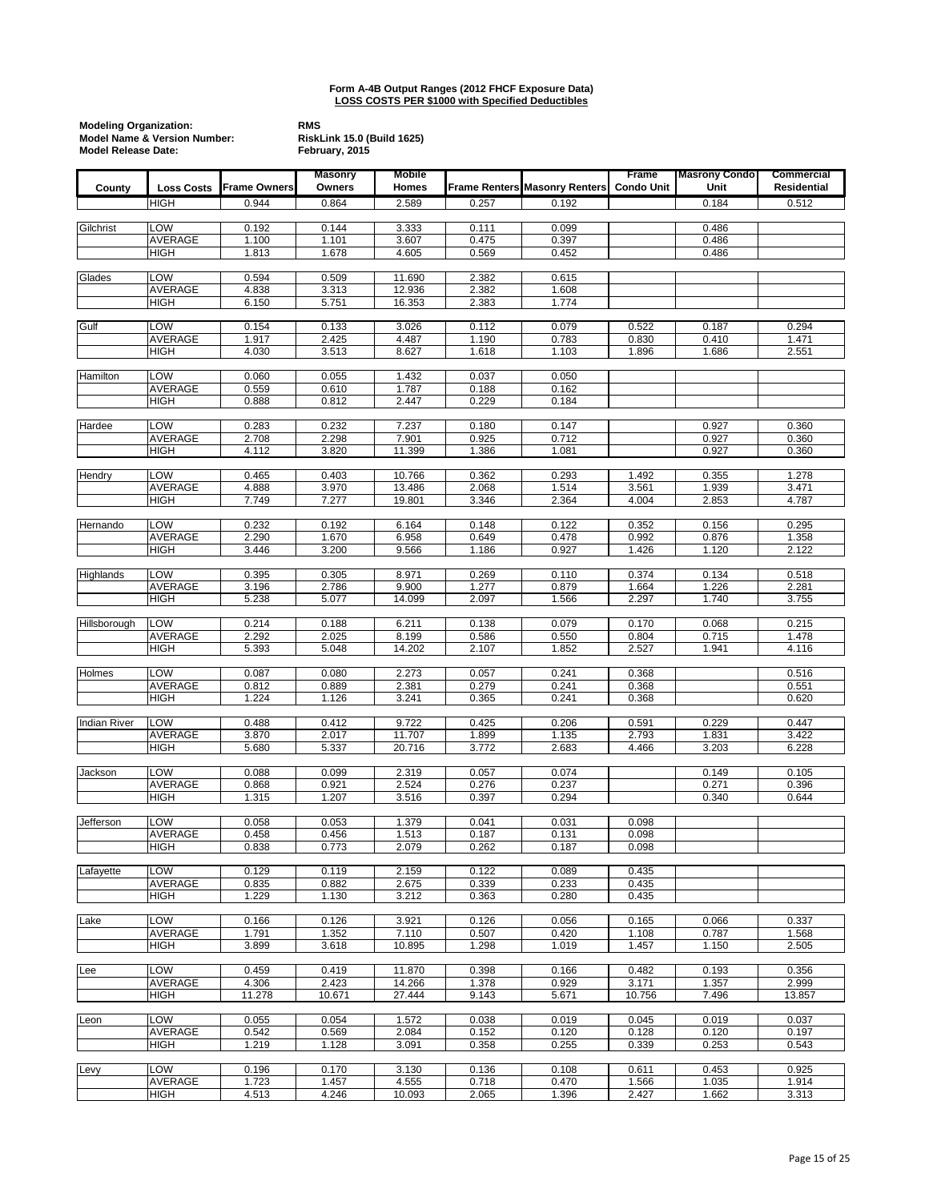|                     | <b>Modeling Organization:</b><br><b>Model Name &amp; Version Number:</b><br><b>Model Release Date:</b> |                     |                          | <b>RiskLink 15.0 (Build 1625)</b> |                |                                      |                            |                              |                                  |
|---------------------|--------------------------------------------------------------------------------------------------------|---------------------|--------------------------|-----------------------------------|----------------|--------------------------------------|----------------------------|------------------------------|----------------------------------|
| County              | <b>Loss Costs</b>                                                                                      | <b>Frame Owners</b> | <b>Masonry</b><br>Owners | Mobile<br>Homes                   |                | <b>Frame Renters Masonry Renters</b> | Frame<br><b>Condo Unit</b> | <b>Masrony Condo</b><br>Unit | Commercial<br><b>Residential</b> |
|                     | <b>HIGH</b>                                                                                            | 0.944               | 0.864                    | 2.589                             | 0.257          | 0.192                                |                            | 0.184                        | 0.512                            |
|                     |                                                                                                        |                     |                          |                                   |                |                                      |                            |                              |                                  |
| Gilchrist           | LOW                                                                                                    | 0.192               | 0.144                    | 3.333                             | 0.111          | 0.099                                |                            | 0.486                        |                                  |
|                     | <b>AVERAGE</b><br><b>HIGH</b>                                                                          | 1.100<br>1.813      | 1.101<br>1.678           | 3.607<br>4.605                    | 0.475<br>0.569 | 0.397<br>0.452                       |                            | 0.486<br>0.486               |                                  |
|                     |                                                                                                        |                     |                          |                                   |                |                                      |                            |                              |                                  |
| Glades              | LOW                                                                                                    | 0.594               | 0.509                    | 11.690                            | 2.382          | 0.615                                |                            |                              |                                  |
|                     | <b>AVERAGE</b><br><b>HIGH</b>                                                                          | 4.838<br>6.150      | 3.313                    | 12.936<br>16.353                  | 2.382<br>2.383 | 1.608<br>1.774                       |                            |                              |                                  |
|                     |                                                                                                        |                     | 5.751                    |                                   |                |                                      |                            |                              |                                  |
| Gulf                | LOW                                                                                                    | 0.154               | 0.133                    | 3.026                             | 0.112          | 0.079                                | 0.522                      | 0.187                        | 0.294                            |
|                     | <b>AVERAGE</b>                                                                                         | 1.917               | 2.425                    | 4.487                             | 1.190          | 0.783                                | 0.830                      | 0.410                        | 1.471                            |
|                     | <b>HIGH</b>                                                                                            | 4.030               | 3.513                    | 8.627                             | 1.618          | 1.103                                | 1.896                      | 1.686                        | 2.551                            |
| Hamilton            | LOW                                                                                                    | 0.060               | 0.055                    | 1.432                             | 0.037          | 0.050                                |                            |                              |                                  |
|                     | AVERAGE                                                                                                | 0.559               | 0.610                    | 1.787                             | 0.188          | 0.162                                |                            |                              |                                  |
|                     | <b>HIGH</b>                                                                                            | 0.888               | 0.812                    | 2.447                             | 0.229          | 0.184                                |                            |                              |                                  |
| Hardee              | LOW                                                                                                    | 0.283               | 0.232                    | 7.237                             | 0.180          | 0.147                                |                            | 0.927                        | 0.360                            |
|                     | <b>AVERAGE</b>                                                                                         | 2.708               | 2.298                    | 7.901                             | 0.925          | 0.712                                |                            | 0.927                        | 0.360                            |
|                     | <b>HIGH</b>                                                                                            | 4.112               | 3.820                    | 11.399                            | 1.386          | 1.081                                |                            | 0.927                        | 0.360                            |
|                     |                                                                                                        |                     |                          |                                   |                |                                      |                            |                              |                                  |
| Hendry              | LOW<br><b>AVERAGE</b>                                                                                  | 0.465<br>4.888      | 0.403<br>3.970           | 10.766<br>13.486                  | 0.362<br>2.068 | 0.293<br>1.514                       | 1.492<br>3.561             | 0.355<br>1.939               | 1.278<br>3.471                   |
|                     | <b>HIGH</b>                                                                                            | 7.749               | 7.277                    | 19.801                            | 3.346          | 2.364                                | 4.004                      | 2.853                        | 4.787                            |
|                     |                                                                                                        |                     |                          |                                   |                |                                      |                            |                              |                                  |
| Hernando            | LOW                                                                                                    | 0.232               | 0.192                    | 6.164                             | 0.148          | 0.122                                | 0.352                      | 0.156                        | 0.295                            |
|                     | <b>AVERAGE</b><br><b>HIGH</b>                                                                          | 2.290<br>3.446      | 1.670<br>3.200           | 6.958<br>9.566                    | 0.649<br>1.186 | 0.478<br>0.927                       | 0.992<br>1.426             | 0.876<br>1.120               | 1.358<br>2.122                   |
|                     |                                                                                                        |                     |                          |                                   |                |                                      |                            |                              |                                  |
| Highlands           | LOW                                                                                                    | 0.395               | 0.305                    | 8.971                             | 0.269          | 0.110                                | 0.374                      | 0.134                        | 0.518                            |
|                     | <b>AVERAGE</b>                                                                                         | 3.196               | 2.786                    | 9.900                             | 1.277          | 0.879                                | 1.664                      | 1.226                        | 2.281                            |
|                     | <b>HIGH</b>                                                                                            | 5.238               | 5.077                    | 14.099                            | 2.097          | 1.566                                | 2.297                      | 1.740                        | 3.755                            |
| Hillsborough        | LOW                                                                                                    | 0.214               | 0.188                    | 6.211                             | 0.138          | 0.079                                | 0.170                      | 0.068                        | 0.215                            |
|                     | <b>AVERAGE</b>                                                                                         | 2.292               | 2.025                    | 8.199                             | 0.586          | 0.550                                | 0.804                      | 0.715                        | 1.478                            |
|                     | <b>HIGH</b>                                                                                            | 5.393               | 5.048                    | 14.202                            | 2.107          | 1.852                                | 2.527                      | 1.941                        | 4.116                            |
| Holmes              | LOW                                                                                                    | 0.087               | 0.080                    | 2.273                             | 0.057          | 0.241                                | 0.368                      |                              | 0.516                            |
|                     | AVERAGE                                                                                                | 0.812               | 0.889                    | 2.381                             | 0.279          | 0.241                                | 0.368                      |                              | 0.551                            |
|                     | <b>HIGH</b>                                                                                            | 1.224               | 1.126                    | 3.241                             | 0.365          | 0.241                                | 0.368                      |                              | 0.620                            |
|                     |                                                                                                        |                     |                          | 9.722                             |                |                                      |                            |                              |                                  |
| <b>Indian River</b> | <b>LOW</b><br><b>AVERAGE</b>                                                                           | 0.488<br>3.870      | 0.412<br>2.017           | 11.707                            | 0.425<br>1.899 | 0.206<br>1.135                       | 0.591<br>2.793             | 0.229<br>1.831               | 0.447<br>3.422                   |
|                     | <b>HIGH</b>                                                                                            | 5.680               | 5.337                    | 20.716                            | 3.772          | 2.683                                | 4.466                      | 3.203                        | 6.228                            |
|                     |                                                                                                        |                     |                          |                                   |                |                                      |                            |                              |                                  |
| Jackson             | LOW<br><b>AVERAGE</b>                                                                                  | 0.088               | 0.099                    | 2.319                             | 0.057          | 0.074                                |                            | 0.149                        | 0.105                            |
|                     | HIGH                                                                                                   | 0.868<br>1.315      | 0.921<br>1.207           | 2.524<br>3.516                    | 0.276<br>0.397 | 0.237<br>0.294                       |                            | 0.271<br>0.340               | 0.396<br>0.644                   |
|                     |                                                                                                        |                     |                          |                                   |                |                                      |                            |                              |                                  |
| Jefferson           | LOW                                                                                                    | 0.058               | 0.053                    | 1.379                             | 0.041          | 0.031                                | 0.098                      |                              |                                  |
|                     | AVERAGE<br><b>HIGH</b>                                                                                 | 0.458<br>0.838      | 0.456<br>0.773           | 1.513<br>2.079                    | 0.187<br>0.262 | 0.131<br>0.187                       | 0.098<br>0.098             |                              |                                  |
|                     |                                                                                                        |                     |                          |                                   |                |                                      |                            |                              |                                  |
| Lafayette           | LOW                                                                                                    | 0.129               | 0.119                    | 2.159                             | 0.122          | 0.089                                | 0.435                      |                              |                                  |
|                     | AVERAGE                                                                                                | 0.835               | 0.882                    | 2.675                             | 0.339          | 0.233                                | 0.435                      |                              |                                  |
|                     | <b>HIGH</b>                                                                                            | 1.229               | 1.130                    | 3.212                             | 0.363          | 0.280                                | 0.435                      |                              |                                  |
| Lake                | LOW                                                                                                    | 0.166               | 0.126                    | 3.921                             | 0.126          | 0.056                                | 0.165                      | 0.066                        | 0.337                            |
|                     | <b>AVERAGE</b>                                                                                         | 1.791               | 1.352                    | 7.110                             | 0.507          | 0.420                                | 1.108                      | 0.787                        | 1.568                            |
|                     | <b>HIGH</b>                                                                                            | 3.899               | 3.618                    | 10.895                            | 1.298          | 1.019                                | 1.457                      | 1.150                        | 2.505                            |
| Lee                 | LOW                                                                                                    | 0.459               | 0.419                    | 11.870                            | 0.398          | 0.166                                | 0.482                      | 0.193                        | 0.356                            |
|                     | <b>AVERAGE</b>                                                                                         | 4.306               | 2.423                    | 14.266                            | 1.378          | 0.929                                | 3.171                      | 1.357                        | 2.999                            |
|                     | <b>HIGH</b>                                                                                            | 11.278              | 10.671                   | 27.444                            | 9.143          | 5.671                                | 10.756                     | 7.496                        | 13.857                           |
|                     |                                                                                                        |                     |                          |                                   |                |                                      |                            |                              |                                  |
| Leon                | LOW<br><b>AVERAGE</b>                                                                                  | 0.055<br>0.542      | 0.054<br>0.569           | 1.572<br>2.084                    | 0.038<br>0.152 | 0.019<br>0.120                       | 0.045<br>0.128             | 0.019<br>0.120               | 0.037<br>0.197                   |
|                     | <b>HIGH</b>                                                                                            | 1.219               | 1.128                    | 3.091                             | 0.358          | 0.255                                | 0.339                      | 0.253                        | 0.543                            |
|                     |                                                                                                        |                     |                          |                                   |                |                                      |                            |                              |                                  |
| Levy                | LOW                                                                                                    | 0.196               | 0.170                    | 3.130                             | 0.136          | 0.108                                | 0.611                      | 0.453                        | 0.925                            |
|                     | AVERAGE<br><b>HIGH</b>                                                                                 | 1.723<br>4.513      | 1.457<br>4.246           | 4.555<br>10.093                   | 0.718<br>2.065 | 0.470<br>1.396                       | 1.566<br>2.427             | 1.035<br>1.662               | 1.914                            |
|                     |                                                                                                        |                     |                          |                                   |                |                                      |                            |                              | 3.313                            |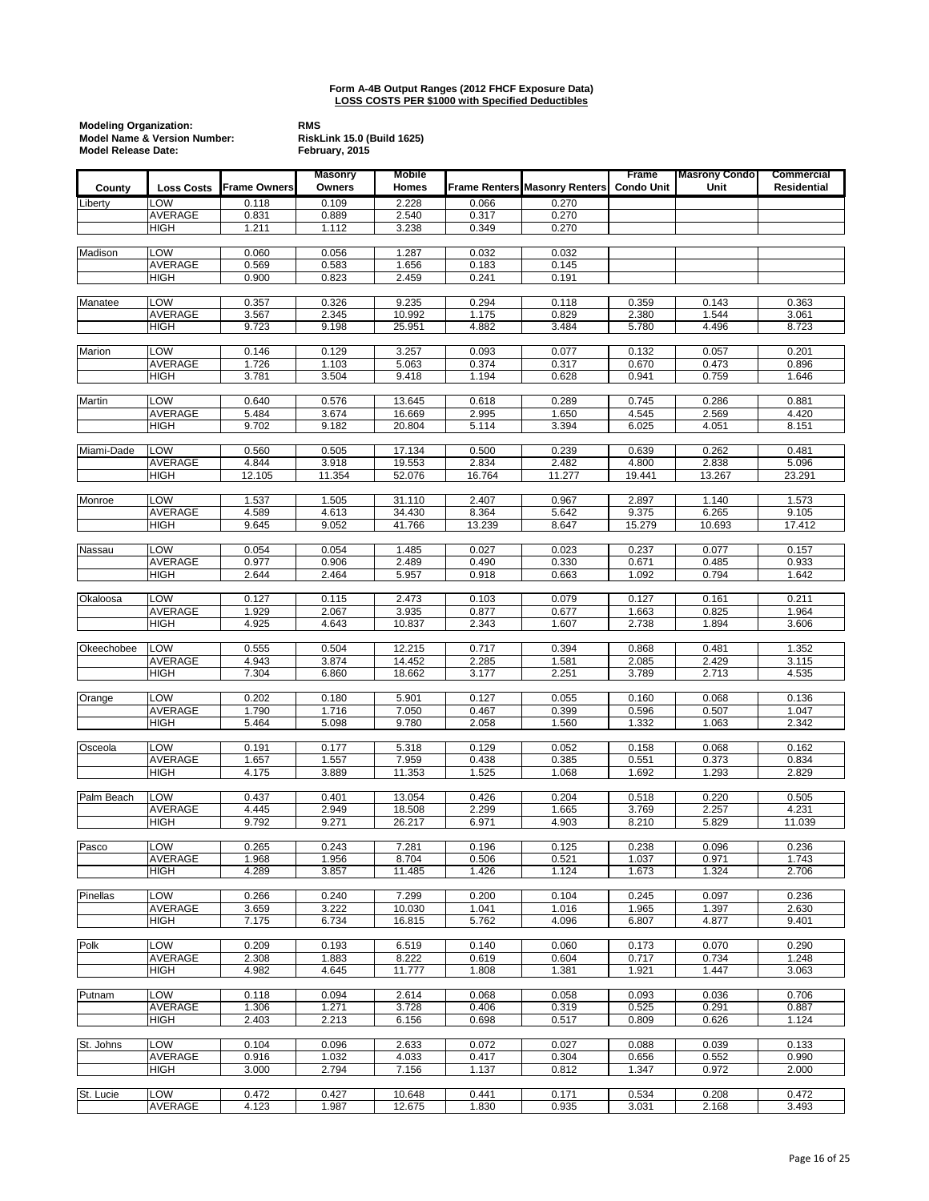|               | <b>Modeling Organization:</b><br>Model Name & Version Number:<br><b>Model Release Date:</b> |                     |                          | <b>RiskLink 15.0 (Build 1625)</b> |                |                                      |                                   |                              |                           |
|---------------|---------------------------------------------------------------------------------------------|---------------------|--------------------------|-----------------------------------|----------------|--------------------------------------|-----------------------------------|------------------------------|---------------------------|
| County        | <b>Loss Costs</b>                                                                           | <b>Frame Owners</b> | <b>Masonry</b><br>Owners | <b>Mobile</b><br>Homes            |                | <b>Frame Renters Masonry Renters</b> | <b>Frame</b><br><b>Condo Unit</b> | <b>Masrony Condo</b><br>Unit | Commercial<br>Residential |
| Liberty       | LOW                                                                                         | 0.118               | 0.109                    | 2.228                             | 0.066          | 0.270                                |                                   |                              |                           |
|               | <b>AVERAGE</b>                                                                              | 0.831               | 0.889                    | 2.540                             | 0.317          | 0.270                                |                                   |                              |                           |
|               | <b>HIGH</b>                                                                                 | 1.211               | 1.112                    | 3.238                             | 0.349          | 0.270                                |                                   |                              |                           |
| Madison       | LOW                                                                                         | 0.060               | 0.056                    | 1.287                             | 0.032          | 0.032                                |                                   |                              |                           |
|               | <b>AVERAGE</b><br><b>HIGH</b>                                                               | 0.569<br>0.900      | 0.583<br>0.823           | 1.656<br>2.459                    | 0.183<br>0.241 | 0.145<br>0.191                       |                                   |                              |                           |
|               |                                                                                             |                     |                          |                                   |                |                                      |                                   |                              |                           |
| Manatee       | LOW<br>AVERAGE                                                                              | 0.357<br>3.567      | 0.326<br>2.345           | 9.235<br>10.992                   | 0.294<br>1.175 | 0.118<br>0.829                       | 0.359<br>2.380                    | 0.143<br>1.544               | 0.363<br>3.061            |
|               | <b>HIGH</b>                                                                                 | 9.723               | 9.198                    | 25.951                            | 4.882          | 3.484                                | 5.780                             | 4.496                        | 8.723                     |
| Marion        | LOW                                                                                         | 0.146               | 0.129                    | 3.257                             | 0.093          | 0.077                                | 0.132                             | 0.057                        | 0.201                     |
|               | AVERAGE                                                                                     | 1.726               | 1.103                    | 5.063                             | 0.374          | 0.317                                | 0.670                             | 0.473                        | 0.896                     |
|               | <b>HIGH</b>                                                                                 | 3.781               | 3.504                    | 9.418                             | 1.194          | 0.628                                | 0.941                             | 0.759                        | 1.646                     |
| <b>Martin</b> | LOW                                                                                         | 0.640               | 0.576                    | 13.645                            | 0.618          | 0.289                                | 0.745                             | 0.286                        | 0.881                     |
|               | <b>AVERAGE</b>                                                                              | 5.484               | 3.674                    | 16.669                            | 2.995          | 1.650                                | 4.545                             | 2.569                        | 4.420                     |
|               | HIGH                                                                                        | 9.702               | 9.182                    | 20.804                            | 5.114          | 3.394                                | 6.025                             | 4.051                        | 8.151                     |
| Miami-Dade    | LOW                                                                                         | 0.560               | 0.505                    | 17.134                            | 0.500          | 0.239                                | 0.639                             | 0.262                        | 0.481                     |
|               | AVERAGE                                                                                     | 4.844               | 3.918                    | 19.553                            | 2.834          | 2.482                                | 4.800                             | 2.838                        | 5.096                     |
|               | HIGH                                                                                        | 12.105              | 11.354                   | 52.076                            | 16.764         | 11.277                               | 19.441                            | 13.267                       | 23.291                    |
| Monroe        | LOW                                                                                         | 1.537               | 1.505                    | 31.110                            | 2.407          | 0.967                                | 2.897                             | 1.140                        | 1.573                     |
|               | AVERAGE                                                                                     | 4.589               | 4.613                    | 34.430                            | 8.364          | 5.642                                | 9.375                             | 6.265                        | 9.105                     |
|               | <b>HIGH</b>                                                                                 | 9.645               | 9.052                    | 41.766                            | 13.239         | 8.647                                | 15.279                            | 10.693                       | 17.412                    |
| Nassau        | LOW                                                                                         | 0.054               | 0.054                    | 1.485                             | 0.027          | 0.023                                | 0.237                             | 0.077                        | 0.157                     |
|               | AVERAGE<br><b>HIGH</b>                                                                      | 0.977<br>2.644      | 0.906<br>2.464           | 2.489<br>5.957                    | 0.490<br>0.918 | 0.330<br>0.663                       | 0.671<br>1.092                    | 0.485<br>0.794               | 0.933<br>1.642            |
|               |                                                                                             |                     |                          |                                   |                |                                      |                                   |                              |                           |
| Okaloosa      | LOW<br><b>AVERAGE</b>                                                                       | 0.127<br>1.929      | 0.115<br>2.067           | 2.473<br>3.935                    | 0.103<br>0.877 | 0.079<br>0.677                       | 0.127<br>1.663                    | 0.161<br>0.825               | 0.211<br>1.964            |
|               | <b>HIGH</b>                                                                                 | 4.925               | 4.643                    | 10.837                            | 2.343          | 1.607                                | 2.738                             | 1.894                        | 3.606                     |
| Okeechobee    | LOW                                                                                         | 0.555               | 0.504                    | 12.215                            | 0.717          | 0.394                                | 0.868                             | 0.481                        | 1.352                     |
|               | <b>AVERAGE</b>                                                                              | 4.943               | 3.874                    | 14.452                            | 2.285          | 1.581                                | 2.085                             | 2.429                        | 3.115                     |
|               | <b>HIGH</b>                                                                                 | 7.304               | 6.860                    | 18.662                            | 3.177          | 2.251                                | 3.789                             | 2.713                        | 4.535                     |
| Orange        | LOW                                                                                         | 0.202               | 0.180                    | 5.901                             | 0.127          | 0.055                                | 0.160                             | 0.068                        | 0.136                     |
|               | <b>AVERAGE</b>                                                                              | 1.790               | 1.716                    | 7.050                             | 0.467          | 0.399                                | 0.596                             | 0.507                        | 1.047                     |
|               | <b>HIGH</b>                                                                                 | 5.464               | 5.098                    | 9.780                             | 2.058          | 1.560                                | 1.332                             | 1.063                        | 2.342                     |
| Osceola       | LOW                                                                                         | 0.191               | 0.177                    | 5.318                             | 0.129          | 0.052                                | 0.158                             | 0.068                        | 0.162                     |
|               | AVERAGE                                                                                     | 1.657               | 1.557                    | 7.959                             | 0.438          | 0.385                                | 0.551                             | 0.373                        | 0.834                     |
|               | HIGH                                                                                        | 4.175               | 3.889                    | 11.353                            | 1.525          | 1.068                                | 1.692                             | 1.293                        | 2.829                     |
| Palm Beach    | LOW                                                                                         | 0.437               | 0.401                    | 13.054                            | 0.426          | 0.204                                | 0.518                             | 0.220                        | 0.505                     |
|               | <b>AVERAGE</b><br><b>HIGH</b>                                                               | 4.445<br>9.792      | 2.949<br>9.271           | 18.508<br>26.217                  | 2.299<br>6.971 | 1.665<br>4.903                       | 3.769<br>8.210                    | 2.257<br>5.829               | 4.231<br>11.039           |
|               |                                                                                             |                     |                          |                                   |                |                                      |                                   |                              |                           |
| Pasco         | LOW<br><b>AVERAGE</b>                                                                       | 0.265<br>1.968      | 0.243<br>1.956           | 7.281<br>8.704                    | 0.196<br>0.506 | 0.125<br>0.521                       | 0.238<br>1.037                    | 0.096<br>0.971               | 0.236<br>1.743            |
|               | HIGH                                                                                        | 4.289               | 3.857                    | 11.485                            | 1.426          | 1.124                                | 1.673                             | 1.324                        | 2.706                     |
|               | LOW                                                                                         |                     |                          |                                   |                |                                      |                                   |                              |                           |
| Pinellas      | <b>AVERAGE</b>                                                                              | 0.266<br>3.659      | 0.240<br>3.222           | 7.299<br>10.030                   | 0.200<br>1.041 | 0.104<br>1.016                       | 0.245<br>1.965                    | 0.097<br>1.397               | 0.236<br>2.630            |
|               | HIGH                                                                                        | 7.175               | 6.734                    | 16.815                            | 5.762          | 4.096                                | 6.807                             | 4.877                        | 9.401                     |
| Polk          | LOW                                                                                         | 0.209               | 0.193                    | 6.519                             | 0.140          | 0.060                                | 0.173                             | 0.070                        | 0.290                     |
|               | AVERAGE                                                                                     | 2.308               | 1.883                    | 8.222                             | 0.619          | 0.604                                | 0.717                             | 0.734                        | 1.248                     |
|               | HIGH                                                                                        | 4.982               | 4.645                    | 11.777                            | 1.808          | 1.381                                | 1.921                             | 1.447                        | 3.063                     |
| Putnam        | LOW                                                                                         | 0.118               | 0.094                    | 2.614                             | 0.068          | 0.058                                | 0.093                             | 0.036                        | 0.706                     |
|               | AVERAGE                                                                                     | 1.306               | 1.271                    | 3.728                             | 0.406          | 0.319                                | 0.525                             | 0.291                        | 0.887                     |
|               | HIGH                                                                                        | 2.403               | 2.213                    | 6.156                             | 0.698          | 0.517                                | 0.809                             | 0.626                        | 1.124                     |
| St. Johns     | LOW                                                                                         | 0.104               | 0.096                    | 2.633                             | 0.072          | 0.027                                | 0.088                             | 0.039                        | 0.133                     |
|               | AVERAGE<br><b>HIGH</b>                                                                      | 0.916<br>3.000      | 1.032<br>2.794           | 4.033<br>7.156                    | 0.417<br>1.137 | 0.304<br>0.812                       | 0.656<br>1.347                    | 0.552<br>0.972               | 0.990<br>2.000            |
|               |                                                                                             |                     |                          |                                   |                |                                      |                                   |                              |                           |
| St. Lucie     | LOW<br>AVERAGE                                                                              | 0.472<br>4.123      | 0.427<br>1.987           | 10.648<br>12.675                  | 0.441<br>1.830 | 0.171<br>0.935                       | 0.534<br>3.031                    | 0.208<br>2.168               | 0.472<br>3.493            |
|               |                                                                                             |                     |                          |                                   |                |                                      |                                   |                              |                           |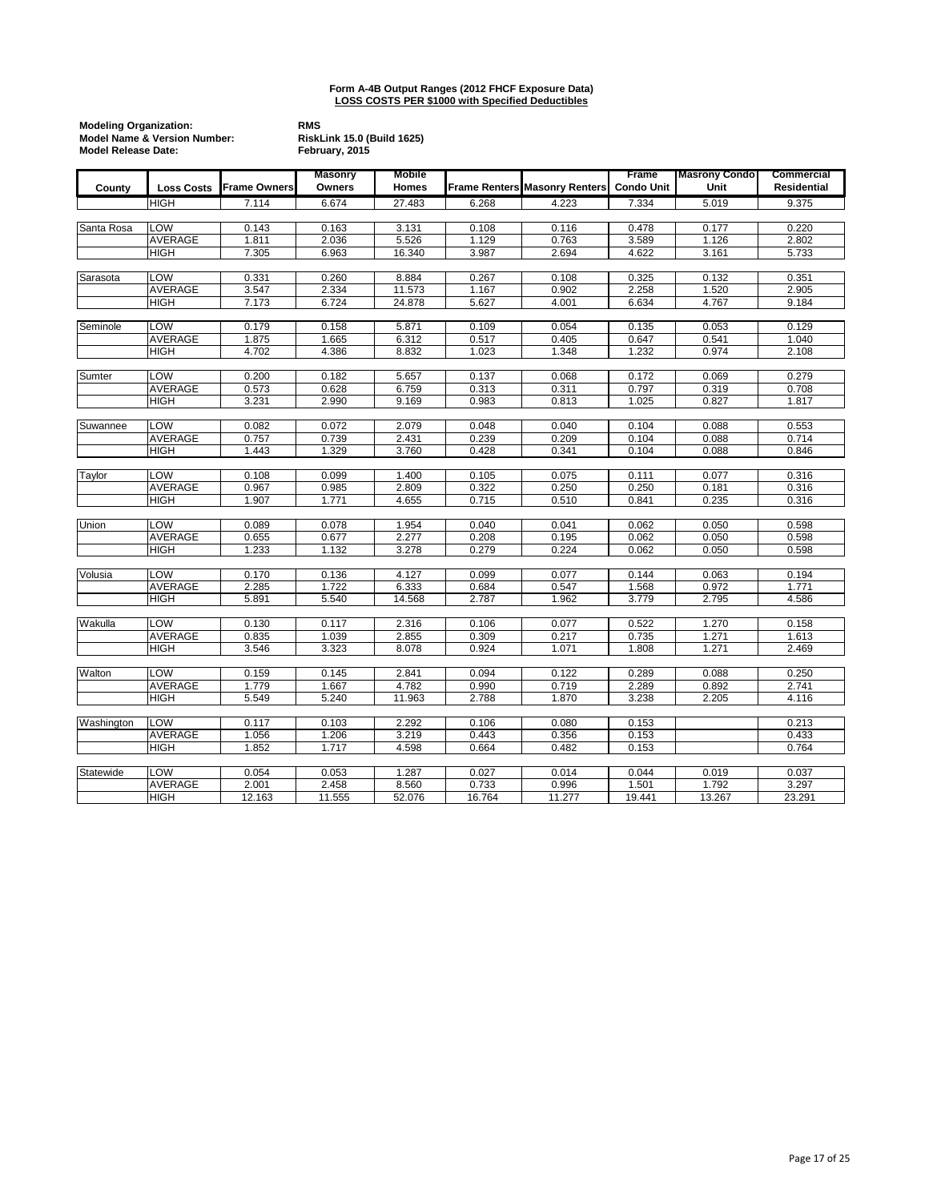|            | <b>Modeling Organization:</b><br>Model Name & Version Number:<br><b>Model Release Date:</b> |                     |                          | <b>RMS</b><br><b>RiskLink 15.0 (Build 1625)</b><br>February, 2015 |        |                                      |                            |                              |                           |  |
|------------|---------------------------------------------------------------------------------------------|---------------------|--------------------------|-------------------------------------------------------------------|--------|--------------------------------------|----------------------------|------------------------------|---------------------------|--|
| County     | <b>Loss Costs</b>                                                                           | <b>Frame Owners</b> | <b>Masonry</b><br>Owners | Mobile<br><b>Homes</b>                                            |        | <b>Frame Renters Masonry Renters</b> | Frame<br><b>Condo Unit</b> | <b>Masrony Condo</b><br>Unit | Commercial<br>Residential |  |
|            | <b>HIGH</b>                                                                                 | 7.114               | 6.674                    | 27.483                                                            | 6.268  | 4.223                                | 7.334                      | 5.019                        | 9.375                     |  |
|            |                                                                                             |                     |                          |                                                                   |        |                                      |                            |                              |                           |  |
| Santa Rosa | LOW                                                                                         | 0.143               | 0.163                    | 3.131                                                             | 0.108  | 0.116                                | 0.478                      | 0.177                        | 0.220                     |  |
|            | <b>AVERAGE</b>                                                                              | 1.811               | 2.036                    | 5.526                                                             | 1.129  | 0.763                                | 3.589                      | 1.126                        | 2.802                     |  |
|            | <b>HIGH</b>                                                                                 | 7.305               | 6.963                    | 16.340                                                            | 3.987  | 2.694                                | 4.622                      | 3.161                        | 5.733                     |  |
|            |                                                                                             |                     |                          |                                                                   |        |                                      |                            |                              |                           |  |
| Sarasota   | LOW                                                                                         | 0.331               | 0.260                    | 8.884                                                             | 0.267  | 0.108                                | 0.325                      | 0.132                        | 0.351                     |  |
|            | <b>AVERAGE</b>                                                                              | 3.547               | 2.334                    | 11.573                                                            | 1.167  | 0.902                                | 2.258                      | 1.520                        | 2.905                     |  |
|            | <b>HIGH</b>                                                                                 | 7.173               | 6.724                    | 24.878                                                            | 5.627  | 4.001                                | 6.634                      | 4.767                        | 9.184                     |  |
| Seminole   | LOW                                                                                         | 0.179               | 0.158                    | 5.871                                                             | 0.109  | 0.054                                | 0.135                      | 0.053                        | 0.129                     |  |
|            | <b>AVERAGE</b>                                                                              | 1.875               | 1.665                    | 6.312                                                             | 0.517  | 0.405                                | 0.647                      | 0.541                        | 1.040                     |  |
|            | <b>HIGH</b>                                                                                 | 4.702               | 4.386                    | 8.832                                                             | 1.023  | 1.348                                | 1.232                      | 0.974                        | 2.108                     |  |
|            |                                                                                             |                     |                          |                                                                   |        |                                      |                            |                              |                           |  |
| Sumter     | LOW                                                                                         | 0.200               | 0.182                    | 5.657                                                             | 0.137  | 0.068                                | 0.172                      | 0.069                        | 0.279                     |  |
|            | AVERAGE                                                                                     | 0.573               | 0.628                    | 6.759                                                             | 0.313  | 0.311                                | 0.797                      | 0.319                        | 0.708                     |  |
|            | <b>HIGH</b>                                                                                 | 3.231               | 2.990                    | 9.169                                                             | 0.983  | 0.813                                | 1.025                      | 0.827                        | 1.817                     |  |
| Suwannee   | LOW                                                                                         | 0.082               | 0.072                    | 2.079                                                             | 0.048  | 0.040                                | 0.104                      | 0.088                        | 0.553                     |  |
|            | AVERAGE                                                                                     | 0.757               | 0.739                    | 2.431                                                             | 0.239  | 0.209                                | 0.104                      | 0.088                        | 0.714                     |  |
|            | <b>HIGH</b>                                                                                 | 1.443               | 1.329                    | 3.760                                                             | 0.428  | 0.341                                | 0.104                      | 0.088                        | 0.846                     |  |
|            |                                                                                             |                     |                          |                                                                   |        |                                      |                            |                              |                           |  |
| Taylor     | LOW                                                                                         | 0.108               | 0.099                    | 1.400                                                             | 0.105  | 0.075                                | 0.111                      | 0.077                        | 0.316                     |  |
|            | AVERAGE                                                                                     | 0.967               | 0.985                    | 2.809                                                             | 0.322  | 0.250                                | 0.250                      | 0.181                        | 0.316                     |  |
|            | HIGH                                                                                        | 1.907               | 1.771                    | 4.655                                                             | 0.715  | 0.510                                | 0.841                      | 0.235                        | 0.316                     |  |
|            |                                                                                             |                     |                          |                                                                   |        |                                      |                            |                              |                           |  |
| Union      | LOW                                                                                         | 0.089               | 0.078                    | 1.954                                                             | 0.040  | 0.041                                | 0.062                      | 0.050                        | 0.598                     |  |
|            | AVERAGE                                                                                     | 0.655               | 0.677                    | 2.277                                                             | 0.208  | 0.195                                | 0.062                      | 0.050                        | 0.598                     |  |
|            | <b>HIGH</b>                                                                                 | 1.233               | 1.132                    | 3.278                                                             | 0.279  | 0.224                                | 0.062                      | 0.050                        | 0.598                     |  |
| Volusia    | LOW                                                                                         | 0.170               | 0.136                    | 4.127                                                             | 0.099  | 0.077                                | 0.144                      | 0.063                        | 0.194                     |  |
|            | AVERAGE                                                                                     | 2.285               | 1.722                    | 6.333                                                             | 0.684  | 0.547                                | 1.568                      | 0.972                        | 1.771                     |  |
|            | <b>HIGH</b>                                                                                 | 5.891               | 5.540                    | 14.568                                                            | 2.787  | 1.962                                | 3.779                      | 2.795                        | 4.586                     |  |
|            |                                                                                             |                     |                          |                                                                   |        |                                      |                            |                              |                           |  |
| Wakulla    | LOW                                                                                         | 0.130               | 0.117                    | 2.316                                                             | 0.106  | 0.077                                | 0.522                      | 1.270                        | 0.158                     |  |
|            | <b>AVERAGE</b>                                                                              | 0.835               | 1.039                    | 2.855                                                             | 0.309  | 0.217                                | 0.735                      | 1.271                        | 1.613                     |  |
|            | <b>HIGH</b>                                                                                 | 3.546               | 3.323                    | 8.078                                                             | 0.924  | 1.071                                | 1.808                      | 1.271                        | 2.469                     |  |
| Walton     | LOW                                                                                         | 0.159               | 0.145                    | 2.841                                                             | 0.094  | 0.122                                | 0.289                      | 0.088                        | 0.250                     |  |
|            | AVERAGE                                                                                     | 1.779               | 1.667                    | 4.782                                                             | 0.990  | 0.719                                | 2.289                      | 0.892                        | 2.741                     |  |
|            | <b>HIGH</b>                                                                                 | 5.549               | 5.240                    | 11.963                                                            | 2.788  | 1.870                                | 3.238                      | 2.205                        | 4.116                     |  |
|            |                                                                                             |                     |                          |                                                                   |        |                                      |                            |                              |                           |  |
| Washington | LOW                                                                                         | 0.117               | 0.103                    | 2.292                                                             | 0.106  | 0.080                                | 0.153                      |                              | 0.213                     |  |
|            | <b>AVERAGE</b>                                                                              | 1.056               | 1.206                    | 3.219                                                             | 0.443  | 0.356                                | 0.153                      |                              | 0.433                     |  |
|            | <b>HIGH</b>                                                                                 | 1.852               | 1.717                    | 4.598                                                             | 0.664  | 0.482                                | 0.153                      |                              | 0.764                     |  |
| Statewide  | LOW                                                                                         | 0.054               | 0.053                    | 1.287                                                             | 0.027  | 0.014                                | 0.044                      | 0.019                        | 0.037                     |  |
|            | AVERAGE                                                                                     | 2.001               | 2.458                    | 8.560                                                             | 0.733  | 0.996                                | 1.501                      | 1.792                        | 3.297                     |  |
|            | <b>HIGH</b>                                                                                 | 12.163              | 11.555                   | 52.076                                                            | 16.764 | 11.277                               | 19.441                     | 13.267                       | 23.291                    |  |
|            |                                                                                             |                     |                          |                                                                   |        |                                      |                            |                              |                           |  |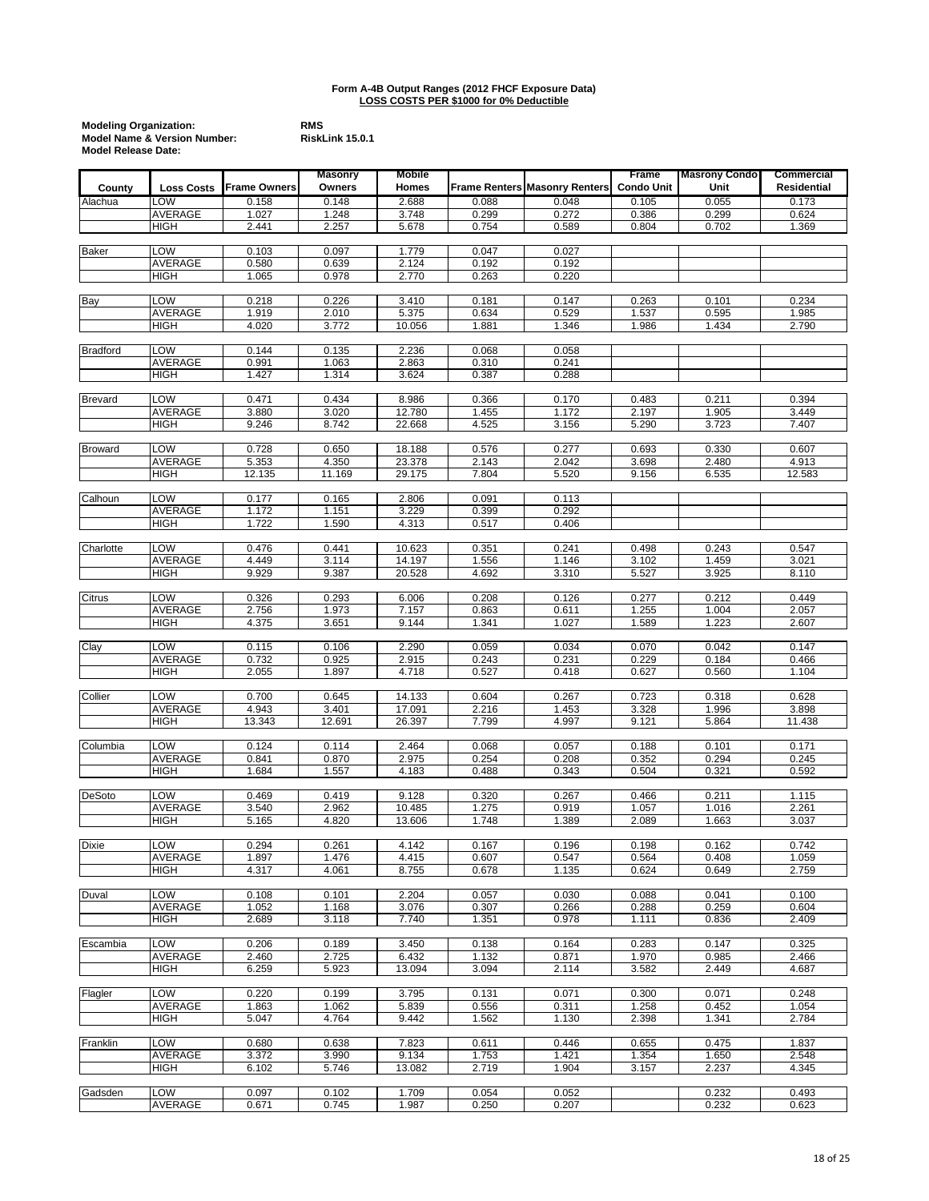| <b>Modeling Organization:</b>           | <b>RMS</b> |
|-----------------------------------------|------------|
| <b>Model Name &amp; Version Number:</b> | Risk       |
| <b>Model Release Date:</b>              |            |

|                 |                   |                | <b>Masonry</b> | <b>Mobile</b>    |                |                                      | Frame             | <b>Masrony Condo</b> | Commercial     |
|-----------------|-------------------|----------------|----------------|------------------|----------------|--------------------------------------|-------------------|----------------------|----------------|
| County          | <b>Loss Costs</b> | Frame Owners   | Owners         | Homes            |                | <b>Frame Renters Masonry Renters</b> | <b>Condo Unit</b> | Unit                 | Residential    |
| Alachua         | LOW               | 0.158          | 0.148          | 2.688            | 0.088          | 0.048                                | 0.105             | 0.055                | 0.173          |
|                 | AVERAGE           | 1.027          | 1.248          | 3.748            | 0.299          | 0.272                                | 0.386             | 0.299                | 0.624          |
|                 | <b>HIGH</b>       | 2.441          | 2.257          | 5.678            | 0.754          | 0.589                                | 0.804             | 0.702                | 1.369          |
|                 |                   |                |                |                  |                |                                      |                   |                      |                |
| <b>Baker</b>    | LOW               | 0.103          | 0.097          | 1.779            | 0.047          | 0.027                                |                   |                      |                |
|                 | AVERAGE           | 0.580          | 0.639          | 2.124            | 0.192          | 0.192                                |                   |                      |                |
|                 | HIGH              | 1.065          | 0.978          | 2.770            | 0.263          | 0.220                                |                   |                      |                |
|                 |                   |                |                |                  |                |                                      |                   |                      |                |
| <b>Bay</b>      | LOW               | 0.218          | 0.226          | 3.410            | 0.181          | 0.147                                | 0.263             | 0.101                | 0.234          |
|                 | <b>AVERAGE</b>    | 1.919          | 2.010          | 5.375            | 0.634          | 0.529                                | 1.537             | 0.595                | 1.985          |
|                 | HIGH              | 4.020          | 3.772          | 10.056           | 1.881          | 1.346                                | 1.986             | 1.434                | 2.790          |
|                 |                   |                |                |                  |                |                                      |                   |                      |                |
| <b>Bradford</b> | LOW               | 0.144          | 0.135          | 2.236            | 0.068          | 0.058                                |                   |                      |                |
|                 | <b>AVERAGE</b>    | 0.991          | 1.063          | 2.863            | 0.310          | 0.241                                |                   |                      |                |
|                 | HIGH              | 1.427          | 1.314          | 3.624            | 0.387          | 0.288                                |                   |                      |                |
|                 |                   |                |                |                  |                |                                      |                   |                      |                |
| <b>Brevard</b>  | LOW               | 0.471          | 0.434          | 8.986            | 0.366          | 0.170                                | 0.483             | 0.211                | 0.394          |
|                 | AVERAGE           | 3.880          | 3.020          | 12.780           | 1.455          | 1.172                                | 2.197             | 1.905                | 3.449          |
|                 | <b>HIGH</b>       | 9.246          | 8.742          | 22.668           | 4.525          | 3.156                                | 5.290             | 3.723                | 7.407          |
|                 |                   |                |                |                  |                |                                      |                   |                      |                |
| <b>Broward</b>  | LOW               | 0.728          | 0.650          | 18.188           | 0.576          | 0.277                                | 0.693             | 0.330                | 0.607          |
|                 | <b>AVERAGE</b>    | 5.353          | 4.350          | 23.378           | 2.143          | 2.042                                | 3.698             | 2.480                | 4.913          |
|                 | HIGH              | 12.135         | 11.169         | 29.175           | 7.804          | 5.520                                | 9.156             | 6.535                | 12.583         |
|                 |                   |                |                |                  |                |                                      |                   |                      |                |
| Calhoun         | LOW               | 0.177          | 0.165          | 2.806            | 0.091          | 0.113                                |                   |                      |                |
|                 | <b>AVERAGE</b>    | 1.172          | 1.151          | 3.229            | 0.399          | 0.292                                |                   |                      |                |
|                 | HIGH              | 1.722          | 1.590          | 4.313            | 0.517          | 0.406                                |                   |                      |                |
|                 |                   |                |                |                  |                |                                      |                   |                      |                |
| Charlotte       | LOW               | 0.476          | 0.441          | 10.623           | 0.351          | 0.241                                | 0.498             | 0.243                | 0.547          |
|                 | AVERAGE           | 4.449          | 3.114          | 14.197           | 1.556          | 1.146                                | 3.102             | 1.459                | 3.021          |
|                 | HIGH              | 9.929          | 9.387          | 20.528           | 4.692          | 3.310                                | 5.527             | 3.925                | 8.110          |
|                 |                   |                |                |                  |                |                                      |                   |                      |                |
| Citrus          | LOW               | 0.326          | 0.293          | 6.006            | 0.208          | 0.126                                | 0.277             | 0.212                | 0.449          |
|                 | AVERAGE           | 2.756          | 1.973          | 7.157            | 0.863          | 0.611                                | 1.255             | 1.004                | 2.057          |
|                 | <b>HIGH</b>       | 4.375          | 3.651          | 9.144            | 1.341          | 1.027                                | 1.589             | 1.223                | 2.607          |
|                 |                   |                |                |                  |                |                                      |                   |                      |                |
| Clay            | LOW               | 0.115          | 0.106          | 2.290            | 0.059          | 0.034                                | 0.070             | 0.042                | 0.147          |
|                 | <b>AVERAGE</b>    | 0.732          | 0.925          | 2.915            | 0.243          | 0.231                                | 0.229             | 0.184                | 0.466          |
|                 | <b>HIGH</b>       | 2.055          | 1.897          | 4.718            | 0.527          | 0.418                                | 0.627             | 0.560                | 1.104          |
|                 | LOW               |                |                |                  |                |                                      |                   |                      |                |
| Collier         | AVERAGE           | 0.700<br>4.943 | 0.645<br>3.401 | 14.133<br>17.091 | 0.604<br>2.216 | 0.267                                | 0.723             | 0.318<br>1.996       | 0.628<br>3.898 |
|                 | HIGH              | 13.343         | 12.691         | 26.397           | 7.799          | 1.453<br>4.997                       | 3.328<br>9.121    | 5.864                | 11.438         |
|                 |                   |                |                |                  |                |                                      |                   |                      |                |
| Columbia        | LOW               | 0.124          | 0.114          | 2.464            | 0.068          | 0.057                                | 0.188             | 0.101                | 0.171          |
|                 | AVERAGE           | 0.841          | 0.870          | 2.975            | 0.254          | 0.208                                | 0.352             | 0.294                | 0.245          |
|                 | <b>HIGH</b>       | 1.684          | 1.557          | 4.183            | 0.488          | 0.343                                | 0.504             | 0.321                | 0.592          |
|                 |                   |                |                |                  |                |                                      |                   |                      |                |
| <b>DeSoto</b>   | LOW               | 0.469          | 0.419          | 9.128            | 0.320          | 0.267                                | 0.466             | 0.211                | 1.115          |
|                 | AVERAGE           | 3.540          | 2.962          | 10.485           | 1.275          | 0.919                                | 1.057             | 1.016                | 2.261          |
|                 | <b>HIGH</b>       | 5.165          | 4.820          | 13.606           | 1.748          | 1.389                                | 2.089             | 1.663                | 3.037          |
|                 |                   |                |                |                  |                |                                      |                   |                      |                |
| Dixie           | <b>LOW</b>        | 0.294          | 0.261          | 4.142            | 0.167          | 0.196                                | 0.198             | 0.162                | 0.742          |
|                 | AVERAGE           | 1.897          | 1.476          | 4.415            | 0.607          | 0.547                                | 0.564             | 0.408                | 1.059          |
|                 | HIGH              | 4.317          | 4.061          | 8.755            | 0.678          | 1.135                                | 0.624             | 0.649                | 2.759          |
|                 |                   |                |                |                  |                |                                      |                   |                      |                |
| Duval           | LOW               | 0.108          | 0.101          | 2.204            | 0.057          | 0.030                                | 0.088             | 0.041                | 0.100          |
|                 | AVERAGE           | 1.052          | 1.168          | 3.076            | 0.307          | 0.266                                | 0.288             | 0.259                | 0.604          |
|                 | HIGH              | 2.689          | 3.118          | 7.740            | 1.351          | 0.978                                | 1.111             | 0.836                | 2.409          |
|                 |                   |                |                |                  |                |                                      |                   |                      |                |
| Escambia        | LOW               | 0.206          | 0.189          | 3.450            | 0.138          | 0.164                                | 0.283             | 0.147                | 0.325          |
|                 | AVERAGE           | 2.460          | 2.725          | 6.432            | 1.132          | 0.871                                | 1.970             | 0.985                | 2.466          |
|                 | HIGH              | 6.259          | 5.923          | 13.094           | 3.094          | 2.114                                | 3.582             | 2.449                | 4.687          |
|                 |                   |                |                |                  |                |                                      |                   |                      |                |
| Flagler         | LOW               | 0.220          | 0.199          | 3.795            | 0.131          | 0.071                                | 0.300             | 0.071                | 0.248          |
|                 | AVERAGE           | 1.863          | 1.062          | 5.839            | 0.556          | 0.311                                | 1.258             | 0.452                | 1.054          |
|                 | <b>HIGH</b>       | 5.047          | 4.764          | 9.442            | 1.562          | 1.130                                | 2.398             | 1.341                | 2.784          |
|                 |                   |                |                |                  |                |                                      |                   |                      |                |
| Franklin        | <b>LOW</b>        | 0.680          | 0.638          | 7.823            | 0.611          | 0.446                                | 0.655             | 0.475                | 1.837          |
|                 | <b>AVERAGE</b>    | 3.372          | 3.990          | 9.134            | 1.753          | 1.421                                | 1.354             | 1.650                | 2.548          |
|                 | HIGH              | 6.102          | 5.746          | 13.082           | 2.719          | 1.904                                | 3.157             | 2.237                | 4.345          |
|                 |                   |                |                |                  |                |                                      |                   |                      |                |
| Gadsden         | LOW               | 0.097          | 0.102          | 1.709            | 0.054          | 0.052                                |                   | 0.232                | 0.493          |
|                 | <b>AVERAGE</b>    | 0.671          | 0.745          | 1.987            | 0.250          | 0.207                                |                   | 0.232                | 0.623          |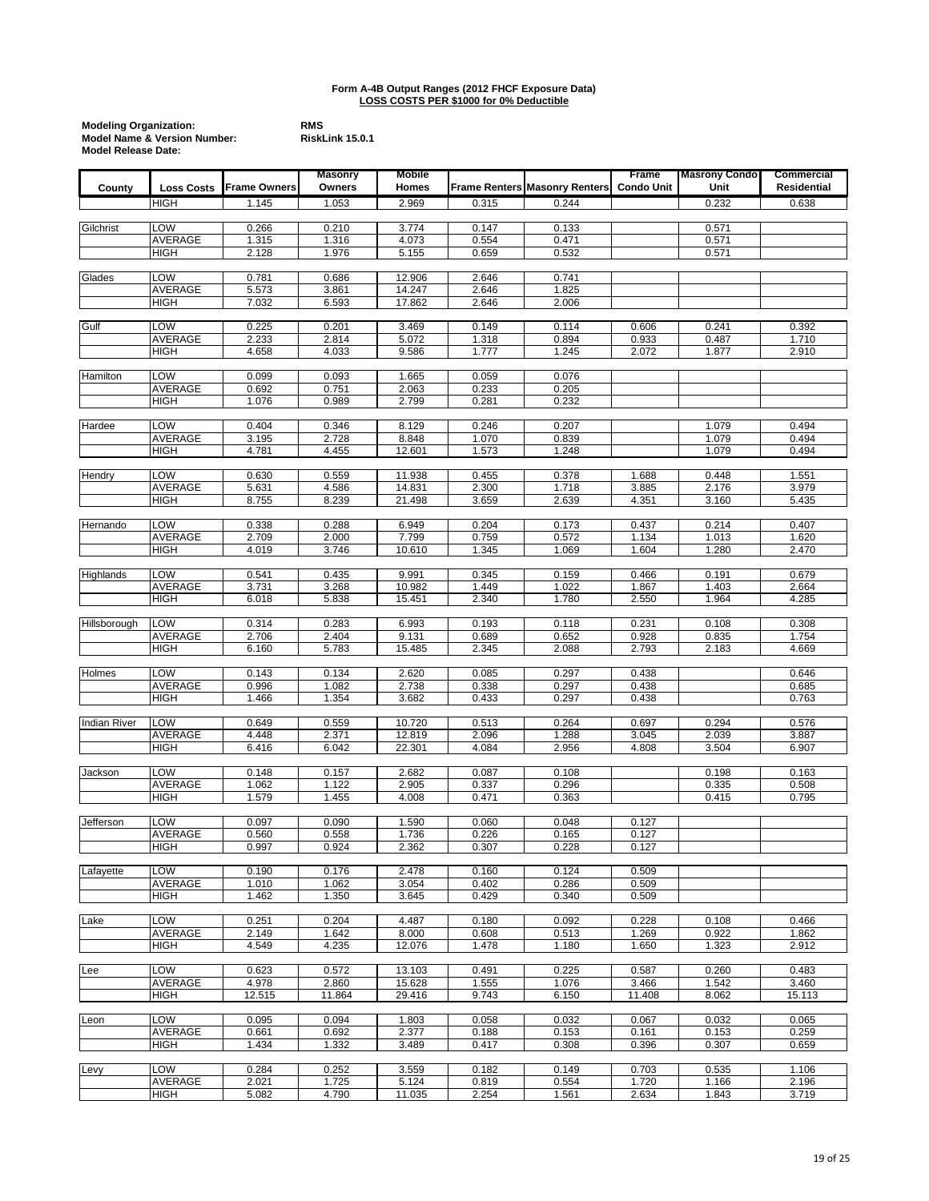| <b>Modeling Organization:</b>           | <b>RMS</b> |
|-----------------------------------------|------------|
| <b>Model Name &amp; Version Number:</b> | Risk       |
| <b>Model Release Date:</b>              |            |

|                     |                               |                     | <b>Masonry</b> | <b>Mobile</b>    |                |                                      | Frame             | <b>Masrony Condo</b> | Commercial         |
|---------------------|-------------------------------|---------------------|----------------|------------------|----------------|--------------------------------------|-------------------|----------------------|--------------------|
| County              | <b>Loss Costs</b>             | <b>Frame Owners</b> | Owners         | Homes            |                | <b>Frame Renters Masonry Renters</b> | <b>Condo Unit</b> | Unit                 | <b>Residential</b> |
|                     | HIGH                          | 1.145               | 1.053          | 2.969            | 0.315          | 0.244                                |                   | 0.232                | 0.638              |
| Gilchrist           | LOW                           | 0.266               | 0.210          | 3.774            | 0.147          | 0.133                                |                   | 0.571                |                    |
|                     | AVERAGE                       | 1.315               | 1.316          | 4.073            | 0.554          | 0.471                                |                   | 0.571                |                    |
|                     | HIGH                          | 2.128               | 1.976          | 5.155            | 0.659          | 0.532                                |                   | 0.571                |                    |
|                     |                               |                     |                |                  |                |                                      |                   |                      |                    |
| Glades              | LOW<br><b>AVERAGE</b>         | 0.781<br>5.573      | 0.686<br>3.861 | 12.906<br>14.247 | 2.646<br>2.646 | 0.741<br>1.825                       |                   |                      |                    |
|                     | HIGH                          | 7.032               | 6.593          | 17.862           | 2.646          | 2.006                                |                   |                      |                    |
|                     |                               |                     |                |                  |                |                                      |                   |                      |                    |
| Gulf                | LOW                           | 0.225               | 0.201          | 3.469            | 0.149          | 0.114                                | 0.606             | 0.241                | 0.392              |
|                     | <b>AVERAGE</b><br><b>HIGH</b> | 2.233<br>4.658      | 2.814<br>4.033 | 5.072<br>9.586   | 1.318<br>1.777 | 0.894<br>1.245                       | 0.933<br>2.072    | 0.487<br>1.877       | 1.710<br>2.910     |
|                     |                               |                     |                |                  |                |                                      |                   |                      |                    |
| Hamilton            | LOW                           | 0.099               | 0.093          | 1.665            | 0.059          | 0.076                                |                   |                      |                    |
|                     | <b>AVERAGE</b>                | 0.692               | 0.751          | 2.063<br>2.799   | 0.233          | 0.205<br>0.232                       |                   |                      |                    |
|                     | HIGH                          | 1.076               | 0.989          |                  | 0.281          |                                      |                   |                      |                    |
| Hardee              | LOW                           | 0.404               | 0.346          | 8.129            | 0.246          | 0.207                                |                   | 1.079                | 0.494              |
|                     | AVERAGE                       | 3.195               | 2.728          | 8.848            | 1.070          | 0.839                                |                   | 1.079                | 0.494              |
|                     | HIGH                          | 4.781               | 4.455          | 12.601           | 1.573          | 1.248                                |                   | 1.079                | 0.494              |
| Hendry              | LOW                           | 0.630               | 0.559          | 11.938           | 0.455          | 0.378                                | 1.688             | 0.448                | 1.551              |
|                     | AVERAGE                       | 5.631               | 4.586          | 14.831           | 2.300          | 1.718                                | 3.885             | 2.176                | 3.979              |
|                     | <b>HIGH</b>                   | 8.755               | 8.239          | 21.498           | 3.659          | 2.639                                | 4.351             | 3.160                | 5.435              |
|                     |                               |                     |                |                  |                |                                      |                   |                      |                    |
| Hernando            | LOW<br>AVERAGE                | 0.338<br>2.709      | 0.288<br>2.000 | 6.949<br>7.799   | 0.204<br>0.759 | 0.173<br>0.572                       | 0.437<br>1.134    | 0.214<br>1.013       | 0.407<br>1.620     |
|                     | <b>HIGH</b>                   | 4.019               | 3.746          | 10.610           | 1.345          | 1.069                                | 1.604             | 1.280                | 2.470              |
|                     |                               |                     |                |                  |                |                                      |                   |                      |                    |
| Highlands           | LOW<br><b>AVERAGE</b>         | 0.541               | 0.435          | 9.991            | 0.345          | 0.159                                | 0.466             | 0.191                | 0.679              |
|                     | <b>HIGH</b>                   | 3.731<br>6.018      | 3.268<br>5.838 | 10.982<br>15.451 | 1.449<br>2.340 | 1.022<br>1.780                       | 1.867<br>2.550    | 1.403<br>1.964       | 2.664<br>4.285     |
|                     |                               |                     |                |                  |                |                                      |                   |                      |                    |
| Hillsborough        | LOW                           | 0.314               | 0.283          | 6.993            | 0.193          | 0.118                                | 0.231             | 0.108                | 0.308              |
|                     | AVERAGE<br>HIGH               | 2.706<br>6.160      | 2.404<br>5.783 | 9.131<br>15.485  | 0.689<br>2.345 | 0.652<br>2.088                       | 0.928<br>2.793    | 0.835<br>2.183       | 1.754<br>4.669     |
|                     |                               |                     |                |                  |                |                                      |                   |                      |                    |
| <b>Holmes</b>       | LOW                           | 0.143               | 0.134          | 2.620            | 0.085          | 0.297                                | 0.438             |                      | 0.646              |
|                     | AVERAGE                       | 0.996               | 1.082          | 2.738            | 0.338          | 0.297                                | 0.438             |                      | 0.685              |
|                     | HIGH                          | 1.466               | 1.354          | 3.682            | 0.433          | 0.297                                | 0.438             |                      | 0.763              |
| <b>Indian River</b> | LOW                           | 0.649               | 0.559          | 10.720           | 0.513          | 0.264                                | 0.697             | 0.294                | 0.576              |
|                     | AVERAGE                       | 4.448               | 2.371          | 12.819           | 2.096          | 1.288                                | 3.045             | 2.039                | 3.887              |
|                     | <b>HIGH</b>                   | 6.416               | 6.042          | 22.301           | 4.084          | 2.956                                | 4.808             | 3.504                | 6.907              |
| Jackson             | LOW                           | 0.148               | 0.157          | 2.682            | 0.087          | 0.108                                |                   | 0.198                | 0.163              |
|                     | <b>AVERAGE</b>                | 1.062               | 1.122          | 2.905            | 0.337          | 0.296                                |                   | 0.335                | 0.508              |
|                     | <b>HIGH</b>                   | 1.579               | 1.455          | 4.008            | 0.471          | 0.363                                |                   | 0.415                | 0.795              |
|                     |                               |                     |                |                  |                |                                      |                   |                      |                    |
| Jefferson           | LOW<br><b>AVERAGE</b>         | 0.097<br>0.560      | 0.090<br>0.558 | 1.590<br>1.736   | 0.060<br>0.226 | 0.048<br>0.165                       | 0.127<br>0.127    |                      |                    |
|                     | HIGH                          | 0.997               | 0.924          | 2.362            | 0.307          | 0.228                                | 0.127             |                      |                    |
|                     |                               |                     |                |                  |                |                                      |                   |                      |                    |
| Lafayette           | LOW<br>AVERAGE                | 0.190<br>1.010      | 0.176<br>1.062 | 2.478<br>3.054   | 0.160<br>0.402 | 0.124<br>0.286                       | 0.509<br>0.509    |                      |                    |
|                     | <b>HIGH</b>                   | 1.462               | 1.350          | 3.645            | 0.429          | 0.340                                | 0.509             |                      |                    |
|                     |                               |                     |                |                  |                |                                      |                   |                      |                    |
| Lake                | LOW                           | 0.251               | 0.204          | 4.487            | 0.180          | 0.092                                | 0.228             | 0.108                | 0.466              |
|                     | <b>AVERAGE</b>                | 2.149               | 1.642          | 8.000            | 0.608          | 0.513                                | 1.269             | 0.922                | 1.862              |
|                     | <b>HIGH</b>                   | 4.549               | 4.235          | 12.076           | 1.478          | 1.180                                | 1.650             | 1.323                | 2.912              |
| Lee                 | LOW                           | 0.623               | 0.572          | 13.103           | 0.491          | 0.225                                | 0.587             | 0.260                | 0.483              |
|                     | AVERAGE                       | 4.978               | 2.860          | 15.628           | 1.555          | 1.076                                | 3.466             | 1.542                | 3.460              |
|                     | <b>HIGH</b>                   | 12.515              | 11.864         | 29.416           | 9.743          | 6.150                                | 11.408            | 8.062                | 15.113             |
| Leon                | LOW                           | 0.095               | 0.094          | 1.803            | 0.058          | 0.032                                | 0.067             | 0.032                | 0.065              |
|                     | <b>AVERAGE</b>                | 0.661               | 0.692          | 2.377            | 0.188          | 0.153                                | 0.161             | 0.153                | 0.259              |
|                     | <b>HIGH</b>                   | 1.434               | 1.332          | 3.489            | 0.417          | 0.308                                | 0.396             | 0.307                | 0.659              |
| Levy                | LOW                           | 0.284               | 0.252          | 3.559            | 0.182          | 0.149                                | 0.703             | 0.535                | 1.106              |
|                     | AVERAGE                       | 2.021               | 1.725          | 5.124            | 0.819          | 0.554                                | 1.720             | 1.166                | 2.196              |
|                     | HIGH                          | 5.082               | 4.790          | 11.035           | 2.254          | 1.561                                | 2.634             | 1.843                | 3.719              |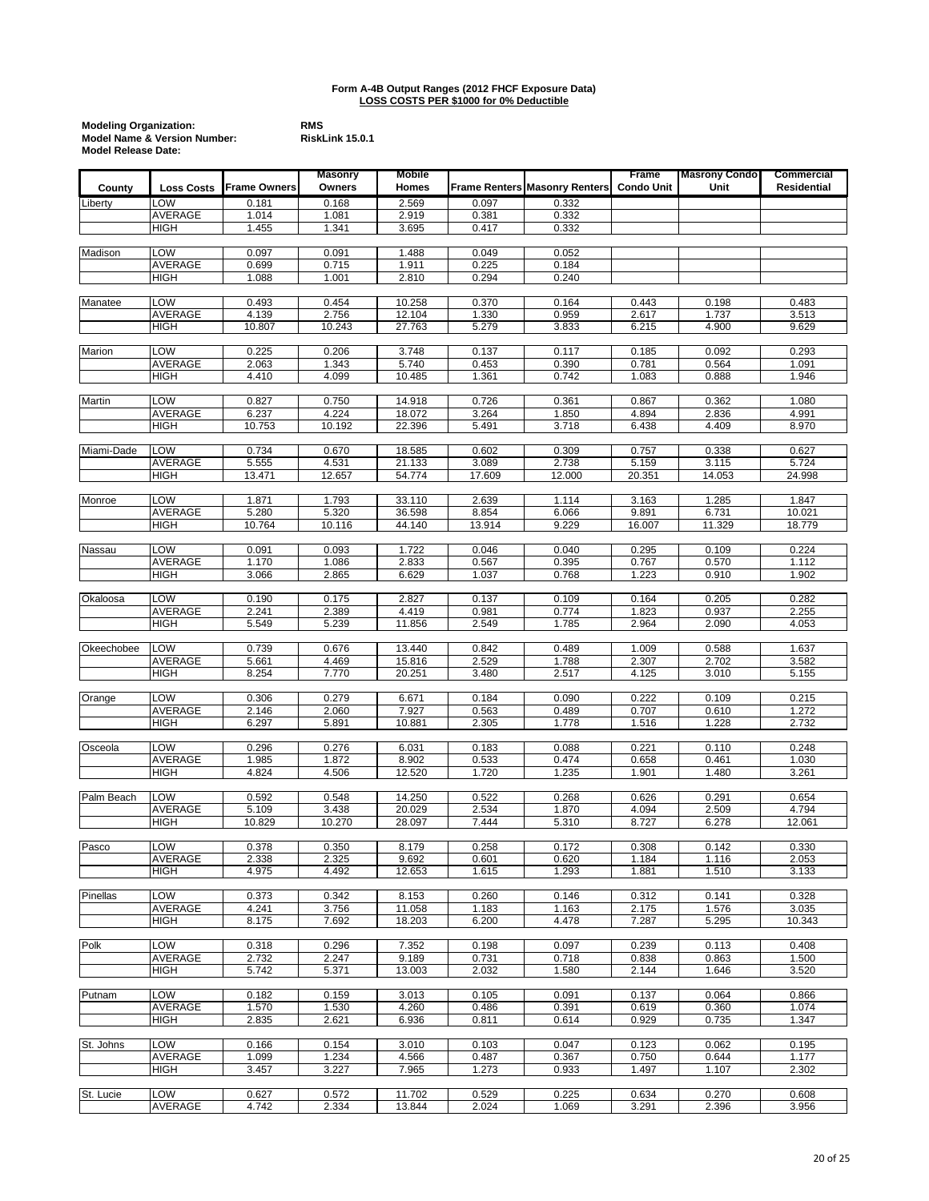| <b>Modeling Organization:</b>           | <b>RMS</b> |
|-----------------------------------------|------------|
| <b>Model Name &amp; Version Number:</b> | Risk       |
| <b>Model Release Date:</b>              |            |

|               |                       |                | <b>Masonry</b> | <b>Mobile</b>    |                |                                      | Frame             | <b>Masrony Condo</b> | Commercial         |
|---------------|-----------------------|----------------|----------------|------------------|----------------|--------------------------------------|-------------------|----------------------|--------------------|
| County        | <b>Loss Costs</b>     | Frame Owners   | Owners         | Homes            |                | <b>Frame Renters Masonry Renters</b> | <b>Condo Unit</b> | Unit                 | <b>Residential</b> |
| Liberty       | LOW                   | 0.181          | 0.168          | 2.569            | 0.097          | 0.332                                |                   |                      |                    |
|               | AVERAGE               | 1.014          | 1.081          | 2.919            | 0.381          | 0.332                                |                   |                      |                    |
|               | <b>HIGH</b>           | 1.455          | 1.341          | 3.695            | 0.417          | 0.332                                |                   |                      |                    |
|               |                       |                |                |                  |                |                                      |                   |                      |                    |
| Madison       | LOW                   | 0.097          | 0.091          | 1.488            | 0.049          | 0.052                                |                   |                      |                    |
|               | AVERAGE               | 0.699          | 0.715          | 1.911            | 0.225          | 0.184                                |                   |                      |                    |
|               | HIGH                  | 1.088          | 1.001          | 2.810            | 0.294          | 0.240                                |                   |                      |                    |
|               |                       |                |                |                  |                |                                      |                   |                      |                    |
| Manatee       | LOW                   | 0.493          | 0.454          | 10.258           | 0.370          | 0.164                                | 0.443             | 0.198                | 0.483              |
|               | AVERAGE               | 4.139          | 2.756          | 12.104           | 1.330          | 0.959                                | 2.617             | 1.737                | 3.513              |
|               | HIGH                  | 10.807         | 10.243         | 27.763           | 5.279          | 3.833                                | 6.215             | 4.900                | 9.629              |
|               |                       |                |                |                  |                |                                      |                   |                      |                    |
| Marion        | LOW                   | 0.225          | 0.206          | 3.748            | 0.137          | 0.117                                | 0.185             | 0.092                | 0.293              |
|               | AVERAGE               | 2.063          | 1.343          | 5.740            | 0.453          | 0.390                                | 0.781             | 0.564                | 1.091              |
|               | HIGH                  | 4.410          | 4.099          | 10.485           | 1.361          | 0.742                                | 1.083             | 0.888                | 1.946              |
|               |                       |                |                |                  |                |                                      |                   |                      |                    |
| <b>Martin</b> | LOW                   | 0.827          | 0.750          | 14.918           | 0.726          | 0.361                                | 0.867             | 0.362                | 1.080              |
|               | AVERAGE               | 6.237          | 4.224          | 18.072           | 3.264          | 1.850                                | 4.894             | 2.836                | 4.991              |
|               | <b>HIGH</b>           | 10.753         | 10.192         | 22.396           | 5.491          | 3.718                                | 6.438             | 4.409                | 8.970              |
|               |                       |                |                |                  |                |                                      |                   |                      |                    |
| Miami-Dade    | LOW                   | 0.734          | 0.670          | 18.585           | 0.602          | 0.309                                | 0.757             | 0.338                | 0.627              |
|               | AVERAGE               | 5.555          | 4.531          | 21.133           | 3.089          | 2.738                                | 5.159             | 3.115                | 5.724              |
|               | HIGH                  | 13.471         | 12.657         | 54.774           | 17.609         | 12.000                               | 20.351            | 14.053               | 24.998             |
| Monroe        | LOW                   | 1.871          | 1.793          | 33.110           | 2.639          | 1.114                                | 3.163             | 1.285                | 1.847              |
|               | <b>AVERAGE</b>        | 5.280          | 5.320          | 36.598           | 8.854          | 6.066                                | 9.891             | 6.731                | 10.021             |
|               | HIGH                  | 10.764         | 10.116         | 44.140           | 13.914         | 9.229                                | 16.007            | 11.329               | 18.779             |
|               |                       |                |                |                  |                |                                      |                   |                      |                    |
| Nassau        | LOW                   | 0.091          | 0.093          | 1.722            | 0.046          | 0.040                                | 0.295             | 0.109                | 0.224              |
|               | AVERAGE               | 1.170          | 1.086          | 2.833            | 0.567          | 0.395                                | 0.767             | 0.570                | 1.112              |
|               | <b>HIGH</b>           | 3.066          | 2.865          | 6.629            | 1.037          | 0.768                                | 1.223             | 0.910                | 1.902              |
|               |                       |                |                |                  |                |                                      |                   |                      |                    |
| Okaloosa      | LOW                   | 0.190          | 0.175          | 2.827            | 0.137          | 0.109                                | 0.164             | 0.205                | 0.282              |
|               | <b>AVERAGE</b>        | 2.241          | 2.389          | 4.419            | 0.981          | 0.774                                | 1.823             | 0.937                | 2.255              |
|               | HIGH                  | 5.549          | 5.239          | 11.856           | 2.549          | 1.785                                | 2.964             | 2.090                | 4.053              |
|               |                       |                |                |                  |                |                                      |                   |                      |                    |
| Okeechobee    | LOW                   | 0.739          | 0.676          | 13.440           | 0.842          | 0.489                                | 1.009             | 0.588                | 1.637              |
|               | AVERAGE               | 5.661          | 4.469          | 15.816           | 2.529          | 1.788                                | 2.307             | 2.702                | 3.582              |
|               | <b>HIGH</b>           | 8.254          | 7.770          | 20.251           | 3.480          | 2.517                                | 4.125             | 3.010                | 5.155              |
|               |                       |                |                |                  |                |                                      |                   |                      |                    |
| Orange        | LOW                   | 0.306          | 0.279          | 6.671            | 0.184          | 0.090                                | 0.222             | 0.109                | 0.215              |
|               | AVERAGE               | 2.146          | 2.060          | 7.927            | 0.563          | 0.489                                | 0.707             | 0.610                | 1.272              |
|               | HIGH                  | 6.297          | 5.891          | 10.881           | 2.305          | 1.778                                | 1.516             | 1.228                | 2.732              |
|               |                       |                |                |                  |                |                                      |                   |                      |                    |
| Osceola       | LOW                   | 0.296          | 0.276          | 6.031            | 0.183          | 0.088                                | 0.221             | 0.110                | 0.248              |
|               | AVERAGE               | 1.985          | 1.872          | 8.902            | 0.533          | 0.474                                | 0.658             | 0.461                | 1.030              |
|               | <b>HIGH</b>           | 4.824          | 4.506          | 12.520           | 1.720          | 1.235                                | 1.901             | 1.480                | 3.261              |
|               |                       |                |                |                  |                |                                      |                   |                      |                    |
| Palm Beach    | LOW<br><b>AVERAGE</b> | 0.592<br>5.109 | 0.548<br>3.438 | 14.250<br>20.029 | 0.522<br>2.534 | 0.268                                | 0.626<br>4.094    | 0.291<br>2.509       | 0.654<br>4.794     |
|               |                       |                |                |                  |                | 1.870                                |                   |                      |                    |
|               | HIGH                  | 10.829         | 10.270         | 28.097           | 7.444          | 5.310                                | 8.727             | 6.278                | 12.061             |
| Pasco         | LOW                   | 0.378          | 0.350          | 8.179            | 0.258          | 0.172                                | 0.308             | 0.142                | 0.330              |
|               | AVERAGE               | 2.338          | 2.325          | 9.692            | 0.601          | 0.620                                | 1.184             | 1.116                | 2.053              |
|               | HIGH                  | 4.975          | 4.492          | 12.653           | 1.615          | 1.293                                | 1.881             | 1.510                | 3.133              |
|               |                       |                |                |                  |                |                                      |                   |                      |                    |
| Pinellas      | LOW                   | 0.373          | 0.342          | 8.153            | 0.260          | 0.146                                | 0.312             | 0.141                | 0.328              |
|               | <b>AVERAGE</b>        | 4.241          | 3.756          | 11.058           | 1.183          | 1.163                                | 2.175             | 1.576                | 3.035              |
|               | HIGH                  | 8.175          | 7.692          | 18.203           | 6.200          | 4.478                                | 7.287             | 5.295                | 10.343             |
|               |                       |                |                |                  |                |                                      |                   |                      |                    |
| Polk          | LOW                   | 0.318          | 0.296          | 7.352            | 0.198          | 0.097                                | 0.239             | 0.113                | 0.408              |
|               | AVERAGE               | 2.732          | 2.247          | 9.189            | 0.731          | 0.718                                | 0.838             | 0.863                | 1.500              |
|               | <b>HIGH</b>           | 5.742          | 5.371          | 13.003           | 2.032          | 1.580                                | 2.144             | 1.646                | 3.520              |
|               |                       |                |                |                  |                |                                      |                   |                      |                    |
| Putnam        | LOW                   | 0.182          | 0.159          | 3.013            | 0.105          | 0.091                                | 0.137             | 0.064                | 0.866              |
|               | <b>AVERAGE</b>        | 1.570          | 1.530          | 4.260            | 0.486          | 0.391                                | 0.619             | 0.360                | 1.074              |
|               | <b>HIGH</b>           | 2.835          | 2.621          | 6.936            | 0.811          | 0.614                                | 0.929             | 0.735                | 1.347              |
|               |                       |                |                |                  |                |                                      |                   |                      |                    |
| St. Johns     | <b>LOW</b>            | 0.166          | 0.154          | 3.010            | 0.103          | 0.047                                | 0.123             | 0.062                | 0.195              |
|               | AVERAGE               | 1.099          | 1.234          | 4.566            | 0.487          | 0.367                                | 0.750             | 0.644                | 1.177              |
|               | HIGH                  | 3.457          | 3.227          | 7.965            | 1.273          | 0.933                                | 1.497             | 1.107                | 2.302              |
|               |                       |                |                |                  |                |                                      |                   |                      |                    |
| St. Lucie     | LOW                   | 0.627          | 0.572          | 11.702           | 0.529          | 0.225                                | 0.634             | 0.270                | 0.608              |
|               | AVERAGE               | 4.742          | 2.334          | 13.844           | 2.024          | 1.069                                | 3.291             | 2.396                | 3.956              |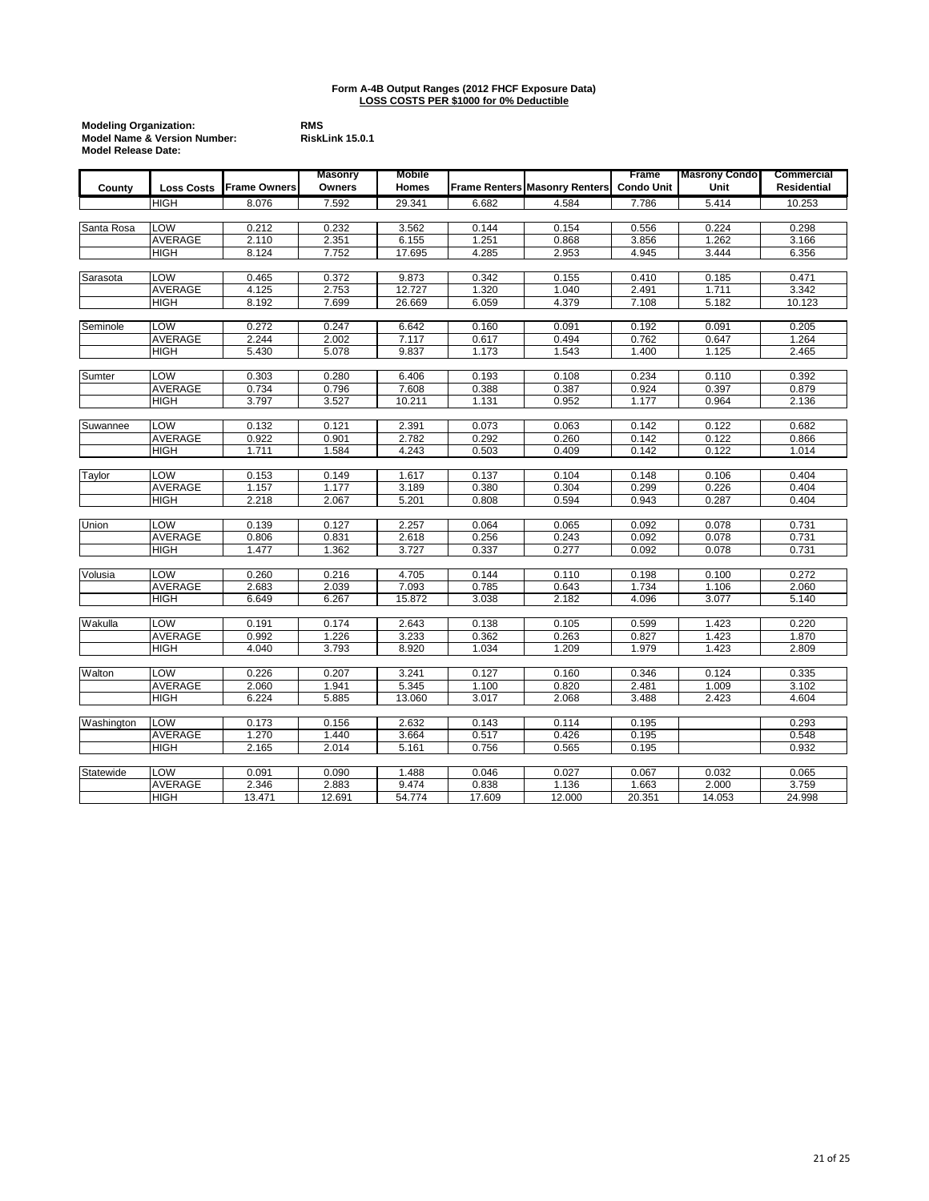| <b>Modeling Organization:</b>           | <b>RMS</b> |
|-----------------------------------------|------------|
| <b>Model Name &amp; Version Number:</b> | Risk       |
| <b>Model Release Date:</b>              |            |

|            |                   |                     | <b>Masonry</b> | <b>Mobile</b>  |        |                                      | Frame             | <b>Masrony Condo</b> | Commercial     |
|------------|-------------------|---------------------|----------------|----------------|--------|--------------------------------------|-------------------|----------------------|----------------|
| County     | <b>Loss Costs</b> | <b>Frame Owners</b> | Owners         | Homes          |        | <b>Frame Renters Masonry Renters</b> | <b>Condo Unit</b> | Unit                 | Residential    |
|            | <b>HIGH</b>       | 8.076               | 7.592          | 29.341         | 6.682  | 4.584                                | 7.786             | 5.414                | 10.253         |
|            |                   |                     |                |                |        |                                      |                   |                      |                |
| Santa Rosa | LOW               | 0.212               | 0.232          | 3.562          | 0.144  | 0.154                                | 0.556             | 0.224                | 0.298          |
|            | <b>AVERAGE</b>    | 2.110               | 2.351          | 6.155          | 1.251  | 0.868                                | 3.856             | 1.262                | 3.166          |
|            | HIGH              | 8.124               | 7.752          | 17.695         | 4.285  | 2.953                                | 4.945             | 3.444                | 6.356          |
| Sarasota   | LOW               | 0.465               | 0.372          | 9.873          | 0.342  | 0.155                                | 0.410             | 0.185                | 0.471          |
|            | <b>AVERAGE</b>    | 4.125               | 2.753          | 12.727         | 1.320  | 1.040                                | 2.491             | 1.711                | 3.342          |
|            | HIGH              | 8.192               | 7.699          | 26.669         | 6.059  | 4.379                                | 7.108             | 5.182                | 10.123         |
|            |                   |                     |                |                |        |                                      |                   |                      |                |
| Seminole   | LOW               | 0.272               | 0.247          | 6.642          | 0.160  | 0.091                                | 0.192             | 0.091                | 0.205          |
|            | <b>AVERAGE</b>    | 2.244               | 2.002          | 7.117          | 0.617  | 0.494                                | 0.762             | 0.647                | 1.264          |
|            | <b>HIGH</b>       | 5.430               | 5.078          | 9.837          | 1.173  | 1.543                                | 1.400             | 1.125                | 2.465          |
|            |                   |                     |                |                |        |                                      |                   |                      |                |
| Sumter     | LOW               | 0.303               | 0.280          | 6.406          | 0.193  | 0.108                                | 0.234             | 0.110                | 0.392          |
|            | AVERAGE           | 0.734               | 0.796          | 7.608          | 0.388  | 0.387                                | 0.924             | 0.397                | 0.879          |
|            | <b>HIGH</b>       | 3.797               | 3.527          | 10.211         | 1.131  | 0.952                                | 1.177             | 0.964                | 2.136          |
| Suwannee   | LOW               | 0.132               | 0.121          | 2.391          | 0.073  | 0.063                                | 0.142             | 0.122                | 0.682          |
|            | <b>AVERAGE</b>    | 0.922               | 0.901          | 2.782          | 0.292  | 0.260                                | 0.142             | 0.122                | 0.866          |
|            | HIGH              | 1.711               | 1.584          | 4.243          | 0.503  | 0.409                                | 0.142             | 0.122                | 1.014          |
|            |                   |                     |                |                |        |                                      |                   |                      |                |
| Taylor     | LOW               | 0.153               | 0.149          | 1.617          | 0.137  | 0.104                                | 0.148             | 0.106                | 0.404          |
|            | <b>AVERAGE</b>    | 1.157               | 1.177          | 3.189          | 0.380  | 0.304                                | 0.299             | 0.226                | 0.404          |
|            | HIGH              | 2.218               | 2.067          | 5.201          | 0.808  | 0.594                                | 0.943             | 0.287                | 0.404          |
|            | LOW               | 0.139               |                | 2.257          | 0.064  |                                      |                   | 0.078                |                |
| Union      | <b>AVERAGE</b>    | 0.806               | 0.127<br>0.831 |                | 0.256  | 0.065<br>0.243                       | 0.092<br>0.092    | 0.078                | 0.731<br>0.731 |
|            | HIGH              | 1.477               | 1.362          | 2.618<br>3.727 | 0.337  | 0.277                                | 0.092             | 0.078                | 0.731          |
|            |                   |                     |                |                |        |                                      |                   |                      |                |
| Volusia    | LOW               | 0.260               | 0.216          | 4.705          | 0.144  | 0.110                                | 0.198             | 0.100                | 0.272          |
|            | <b>AVERAGE</b>    | 2.683               | 2.039          | 7.093          | 0.785  | 0.643                                | 1.734             | 1.106                | 2.060          |
|            | <b>HIGH</b>       | 6.649               | 6.267          | 15.872         | 3.038  | 2.182                                | 4.096             | 3.077                | 5.140          |
|            |                   |                     |                |                |        |                                      |                   |                      |                |
| Wakulla    | LOW               | 0.191               | 0.174          | 2.643          | 0.138  | 0.105                                | 0.599             | 1.423                | 0.220          |
|            | <b>AVERAGE</b>    | 0.992               | 1.226          | 3.233          | 0.362  | 0.263                                | 0.827             | 1.423                | 1.870          |
|            | HIGH              | 4.040               | 3.793          | 8.920          | 1.034  | 1.209                                | 1.979             | 1.423                | 2.809          |
| Walton     | LOW               | 0.226               | 0.207          | 3.241          | 0.127  | 0.160                                | 0.346             | 0.124                | 0.335          |
|            | <b>AVERAGE</b>    | 2.060               | 1.941          | 5.345          | 1.100  | 0.820                                | 2.481             | 1.009                | 3.102          |
|            | HIGH              | 6.224               | 5.885          | 13.060         | 3.017  | 2.068                                | 3.488             | 2.423                | 4.604          |
|            |                   |                     |                |                |        |                                      |                   |                      |                |
| Washington | <b>LOW</b>        | 0.173               | 0.156          | 2.632          | 0.143  | 0.114                                | 0.195             |                      | 0.293          |
|            | <b>AVERAGE</b>    | 1.270               | 1.440          | 3.664          | 0.517  | 0.426                                | 0.195             |                      | 0.548          |
|            | HIGH              | 2.165               | 2.014          | 5.161          | 0.756  | 0.565                                | 0.195             |                      | 0.932          |
|            |                   |                     |                |                |        |                                      |                   |                      |                |
| Statewide  | LOW               | 0.091               | 0.090          | 1.488          | 0.046  | 0.027                                | 0.067             | 0.032                | 0.065          |
|            | AVERAGE           | 2.346               | 2.883          | 9.474          | 0.838  | 1.136                                | 1.663             | 2.000                | 3.759          |
|            | <b>HIGH</b>       | 13.471              | 12.691         | 54.774         | 17.609 | 12.000                               | 20.351            | 14.053               | 24.998         |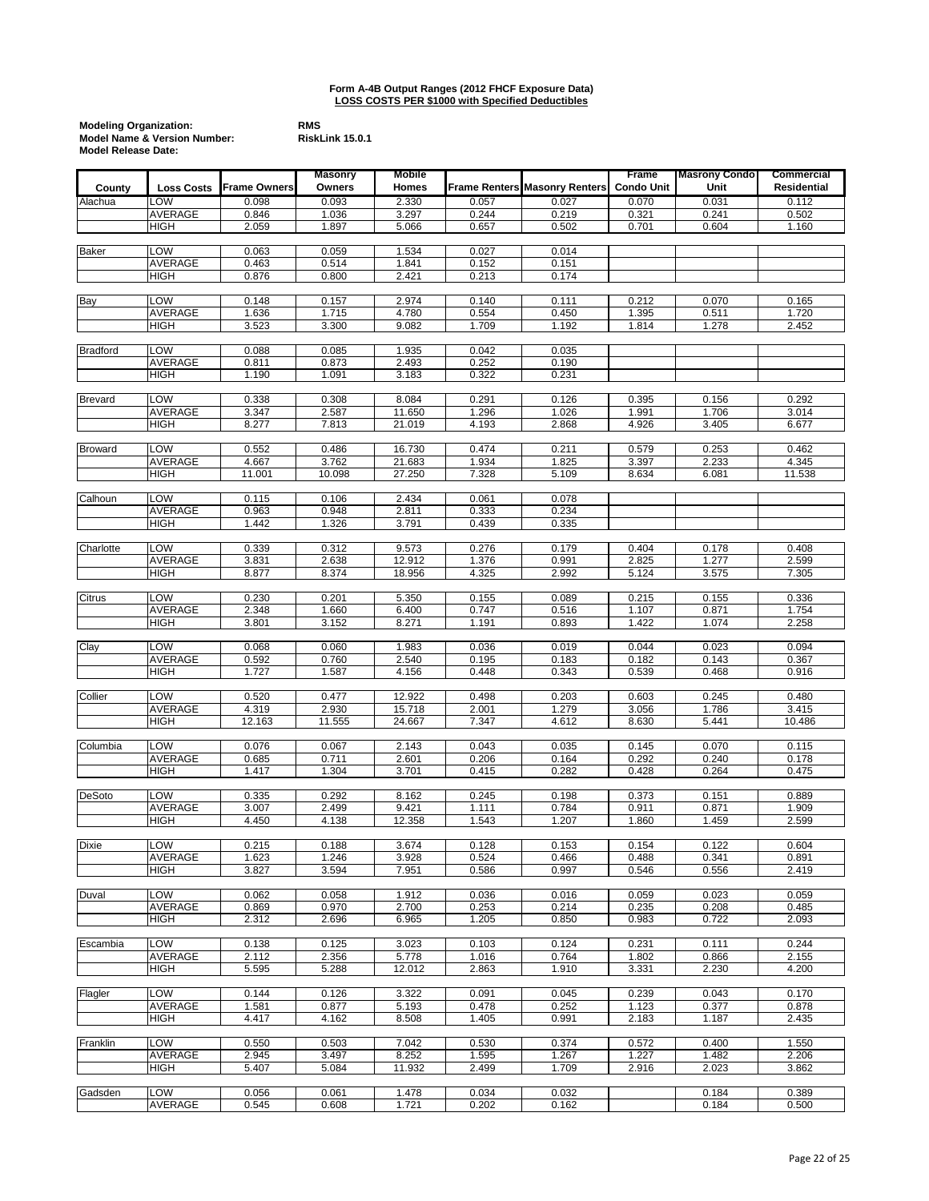| <b>Modeling Organization:</b>           | <b>RMS</b> |
|-----------------------------------------|------------|
| <b>Model Name &amp; Version Number:</b> | Risk       |
| <b>Model Release Date:</b>              |            |

|                 |                   |                     | <b>Masonry</b> | <b>Mobile</b>    |                |                                      | Frame             | <b>Masrony Condo</b> | <b>Commercial</b>  |
|-----------------|-------------------|---------------------|----------------|------------------|----------------|--------------------------------------|-------------------|----------------------|--------------------|
| County          | <b>Loss Costs</b> | <b>Frame Owners</b> | Owners         | Homes            |                | <b>Frame Renters Masonry Renters</b> | <b>Condo Unit</b> | Unit                 | <b>Residential</b> |
| Alachua         | LOW               | 0.098               | 0.093          | 2.330            | 0.057          | 0.027                                | 0.070             | 0.031                | 0.112              |
|                 | AVERAGE           | 0.846               | 1.036          | 3.297            | 0.244          | 0.219                                | 0.321             | 0.241                | 0.502              |
|                 | <b>HIGH</b>       | 2.059               | 1.897          | 5.066            | 0.657          | 0.502                                | 0.701             | 0.604                | 1.160              |
|                 |                   |                     |                |                  |                |                                      |                   |                      |                    |
| <b>Baker</b>    | LOW<br>AVERAGE    | 0.063<br>0.463      | 0.059<br>0.514 | 1.534<br>1.841   | 0.027<br>0.152 | 0.014<br>0.151                       |                   |                      |                    |
|                 | HIGH              | 0.876               | 0.800          | 2.421            | 0.213          | 0.174                                |                   |                      |                    |
|                 |                   |                     |                |                  |                |                                      |                   |                      |                    |
| <b>Bay</b>      | LOW               | 0.148               | 0.157          | 2.974            | 0.140          | 0.111                                | 0.212             | 0.070                | 0.165              |
|                 | <b>AVERAGE</b>    | 1.636               | 1.715          | 4.780            | 0.554          | 0.450                                | 1.395             | 0.511                | 1.720              |
|                 | HIGH              | 3.523               | 3.300          | 9.082            | 1.709          | 1.192                                | 1.814             | 1.278                | 2.452              |
|                 |                   |                     |                |                  |                |                                      |                   |                      |                    |
| <b>Bradford</b> | LOW               | 0.088               | 0.085          | 1.935            | 0.042          | 0.035                                |                   |                      |                    |
|                 | <b>AVERAGE</b>    | 0.811<br>1.190      | 0.873<br>1.091 | 2.493<br>3.183   | 0.252<br>0.322 | 0.190<br>0.231                       |                   |                      |                    |
|                 | HIGH              |                     |                |                  |                |                                      |                   |                      |                    |
| <b>Brevard</b>  | LOW               | 0.338               | 0.308          | 8.084            | 0.291          | 0.126                                | 0.395             | 0.156                | 0.292              |
|                 | AVERAGE           | 3.347               | 2.587          | 11.650           | 1.296          | 1.026                                | 1.991             | 1.706                | 3.014              |
|                 | HIGH              | 8.277               | 7.813          | 21.019           | 4.193          | 2.868                                | 4.926             | 3.405                | 6.677              |
|                 |                   |                     |                |                  |                |                                      |                   |                      |                    |
| <b>Broward</b>  | LOW               | 0.552               | 0.486          | 16.730           | 0.474          | 0.211                                | 0.579             | 0.253                | 0.462              |
|                 | AVERAGE           | 4.667               | 3.762          | 21.683           | 1.934          | 1.825                                | 3.397             | 2.233                | 4.345              |
|                 | HIGH              | 11.001              | 10.098         | 27.250           | 7.328          | 5.109                                | 8.634             | 6.081                | 11.538             |
| Calhoun         | LOW               | 0.115               | 0.106          | 2.434            | 0.061          | 0.078                                |                   |                      |                    |
|                 | AVERAGE           | 0.963               | 0.948          | 2.811            | 0.333          | 0.234                                |                   |                      |                    |
|                 | HIGH              | 1.442               | 1.326          | 3.791            | 0.439          | 0.335                                |                   |                      |                    |
|                 |                   |                     |                |                  |                |                                      |                   |                      |                    |
| Charlotte       | LOW               | 0.339               | 0.312          | 9.573            | 0.276          | 0.179                                | 0.404             | 0.178                | 0.408              |
|                 | AVERAGE           | 3.831               | 2.638          | 12.912           | 1.376          | 0.991                                | 2.825             | 1.277                | 2.599              |
|                 | <b>HIGH</b>       | 8.877               | 8.374          | 18.956           | 4.325          | 2.992                                | 5.124             | 3.575                | 7.305              |
|                 | LOW               |                     |                |                  |                |                                      |                   |                      |                    |
| Citrus          | AVERAGE           | 0.230<br>2.348      | 0.201<br>1.660 | 5.350<br>6.400   | 0.155<br>0.747 | 0.089<br>0.516                       | 0.215<br>1.107    | 0.155<br>0.871       | 0.336<br>1.754     |
|                 | HIGH              | 3.801               | 3.152          | 8.271            | 1.191          | 0.893                                | 1.422             | 1.074                | 2.258              |
|                 |                   |                     |                |                  |                |                                      |                   |                      |                    |
| Clay            | LOW               | 0.068               | 0.060          | 1.983            | 0.036          | 0.019                                | 0.044             | 0.023                | 0.094              |
|                 | AVERAGE           | 0.592               | 0.760          | 2.540            | 0.195          | 0.183                                | 0.182             | 0.143                | 0.367              |
|                 | HIGH              | 1.727               | 1.587          | 4.156            | 0.448          | 0.343                                | 0.539             | 0.468                | 0.916              |
|                 |                   |                     |                |                  |                |                                      |                   |                      |                    |
| Collier         | LOW<br>AVERAGE    | 0.520<br>4.319      | 0.477<br>2.930 | 12.922<br>15.718 | 0.498<br>2.001 | 0.203<br>1.279                       | 0.603<br>3.056    | 0.245<br>1.786       | 0.480<br>3.415     |
|                 | HIGH              | 12.163              | 11.555         | 24.667           | 7.347          | 4.612                                | 8.630             | 5.441                | 10.486             |
|                 |                   |                     |                |                  |                |                                      |                   |                      |                    |
| Columbia        | LOW               | 0.076               | 0.067          | 2.143            | 0.043          | 0.035                                | 0.145             | 0.070                | 0.115              |
|                 | AVERAGE           | 0.685               | 0.711          | 2.601            | 0.206          | 0.164                                | 0.292             | 0.240                | 0.178              |
|                 | <b>HIGH</b>       | 1.417               | 1.304          | 3.701            | 0.415          | 0.282                                | 0.428             | 0.264                | 0.475              |
|                 |                   |                     |                |                  |                |                                      |                   |                      |                    |
| <b>DeSoto</b>   | LOW<br>AVERAGE    | 0.335               | 0.292          | 8.162            | 0.245          | 0.198                                | 0.373             | 0.151                | 0.889              |
|                 | HIGH              | 3.007<br>4.450      | 2.499<br>4.138 | 9.421<br>12.358  | 1.111<br>1.543 | 0.784<br>1.207                       | 0.911<br>1.860    | 0.871<br>1.459       | 1.909<br>2.599     |
|                 |                   |                     |                |                  |                |                                      |                   |                      |                    |
| <b>Dixie</b>    | <b>LOW</b>        | 0.215               | 0.188          | 3.674            | 0.128          | 0.153                                | 0.154             | 0.122                | 0.604              |
|                 | AVERAGE           | 1.623               | 1.246          | 3.928            | 0.524          | 0.466                                | 0.488             | 0.341                | 0.891              |
|                 | HIGH              | 3.827               | 3.594          | 7.951            | 0.586          | 0.997                                | 0.546             | 0.556                | 2.419              |
|                 |                   |                     |                |                  |                |                                      |                   |                      |                    |
| Duval           | LOW               | 0.062               | 0.058          | 1.912            | 0.036          | 0.016                                | 0.059             | 0.023                | 0.059              |
|                 | <b>AVERAGE</b>    | 0.869               | 0.970          | 2.700            | 0.253          | 0.214                                | 0.235             | 0.208                | 0.485              |
|                 | HIGH              | 2.312               | 2.696          | 6.965            | 1.205          | 0.850                                | 0.983             | 0.722                | 2.093              |
| Escambia        | LOW               | 0.138               | 0.125          | 3.023            | 0.103          | 0.124                                | 0.231             | 0.111                | 0.244              |
|                 | AVERAGE           | 2.112               | 2.356          | 5.778            | 1.016          | 0.764                                | 1.802             | 0.866                | 2.155              |
|                 | <b>HIGH</b>       | 5.595               | 5.288          | 12.012           | 2.863          | 1.910                                | 3.331             | 2.230                | 4.200              |
|                 |                   |                     |                |                  |                |                                      |                   |                      |                    |
| Flagler         | LOW               | 0.144               | 0.126          | 3.322            | 0.091          | 0.045                                | 0.239             | 0.043                | 0.170              |
|                 | <b>AVERAGE</b>    | 1.581               | 0.877          | 5.193            | 0.478          | 0.252                                | 1.123             | 0.377                | 0.878              |
|                 | HIGH              | 4.417               | 4.162          | 8.508            | 1.405          | 0.991                                | 2.183             | 1.187                | 2.435              |
|                 | LOW               |                     |                |                  |                |                                      |                   |                      |                    |
| Franklin        | AVERAGE           | 0.550<br>2.945      | 0.503<br>3.497 | 7.042<br>8.252   | 0.530<br>1.595 | 0.374<br>1.267                       | 0.572<br>1.227    | 0.400<br>1.482       | 1.550<br>2.206     |
|                 | HIGH              | 5.407               | 5.084          | 11.932           | 2.499          | 1.709                                | 2.916             | 2.023                | 3.862              |
|                 |                   |                     |                |                  |                |                                      |                   |                      |                    |
| Gadsden         | LOW               | 0.056               | 0.061          | 1.478            | 0.034          | 0.032                                |                   | 0.184                | 0.389              |
|                 | AVERAGE           | 0.545               | 0.608          | 1.721            | 0.202          | 0.162                                |                   | 0.184                | 0.500              |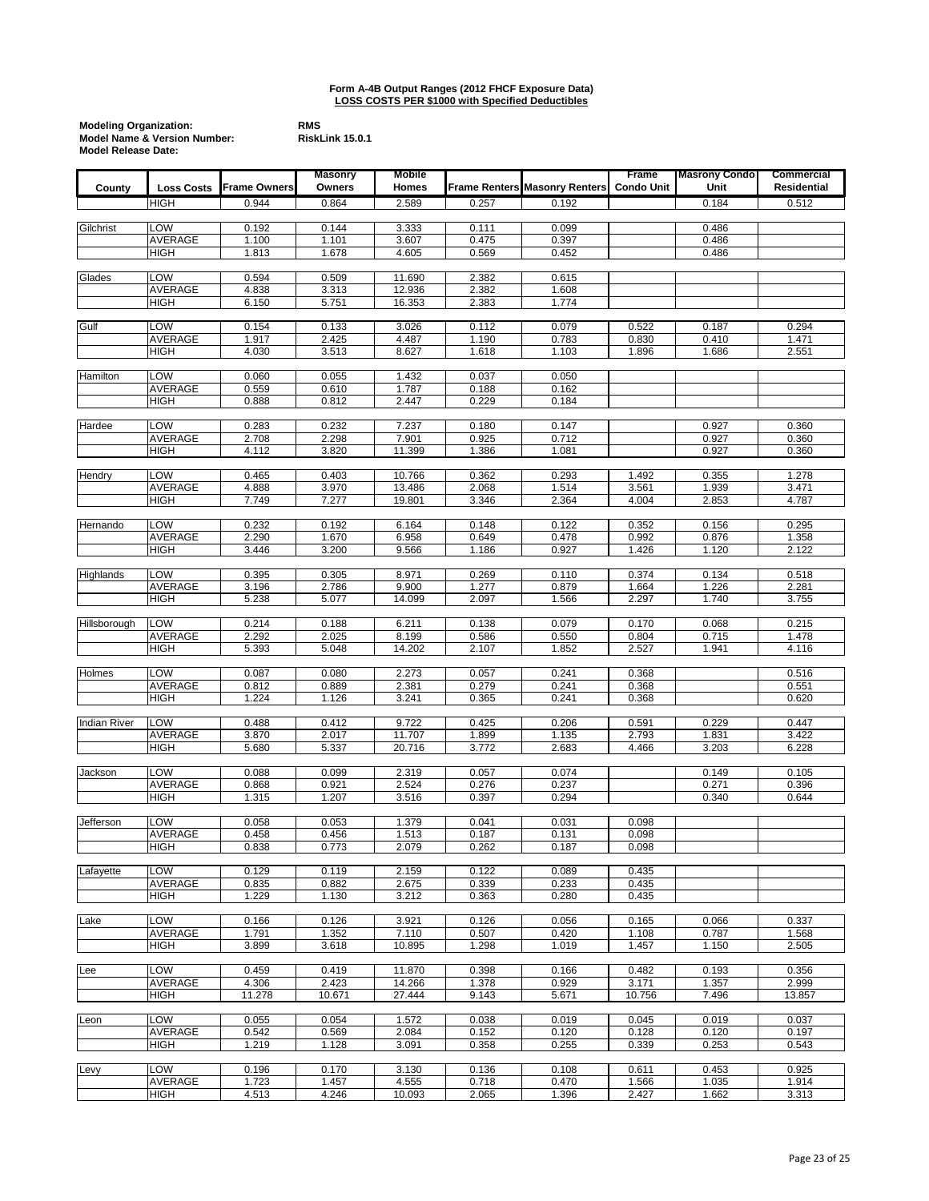| <b>Modeling Organization:</b>           | <b>RMS</b> |
|-----------------------------------------|------------|
| <b>Model Name &amp; Version Number:</b> | Risk       |
| <b>Model Release Date:</b>              |            |

|                     |                        |                | <b>Masonry</b> | <b>Mobile</b>    |                |                               | Frame             | <b>Masrony Condo</b> | <b>Commercial</b>  |
|---------------------|------------------------|----------------|----------------|------------------|----------------|-------------------------------|-------------------|----------------------|--------------------|
| County              | <b>Loss Costs</b>      | Frame Owners   | Owners         | Homes            |                | Frame Renters Masonry Renters | <b>Condo Unit</b> | Unit                 | <b>Residential</b> |
|                     | HIGH                   | 0.944          | 0.864          | 2.589            | 0.257          | 0.192                         |                   | 0.184                | 0.512              |
|                     |                        |                |                |                  |                |                               |                   |                      |                    |
| Gilchrist           | LOW                    | 0.192          | 0.144          | 3.333            | 0.111          | 0.099                         |                   | 0.486                |                    |
|                     | AVERAGE<br><b>HIGH</b> | 1.100<br>1.813 | 1.101<br>1.678 | 3.607<br>4.605   | 0.475<br>0.569 | 0.397<br>0.452                |                   | 0.486<br>0.486       |                    |
|                     |                        |                |                |                  |                |                               |                   |                      |                    |
| Glades              | LOW                    | 0.594          | 0.509          | 11.690           | 2.382          | 0.615                         |                   |                      |                    |
|                     | <b>AVERAGE</b>         | 4.838          | 3.313          | 12.936           | 2.382          | 1.608                         |                   |                      |                    |
|                     | HIGH                   | 6.150          | 5.751          | 16.353           | 2.383          | 1.774                         |                   |                      |                    |
|                     | LOW                    |                |                |                  |                |                               |                   |                      |                    |
| Gulf                | <b>AVERAGE</b>         | 0.154<br>1.917 | 0.133<br>2.425 | 3.026<br>4.487   | 0.112<br>1.190 | 0.079<br>0.783                | 0.522<br>0.830    | 0.187<br>0.410       | 0.294<br>1.471     |
|                     | <b>HIGH</b>            | 4.030          | 3.513          | 8.627            | 1.618          | 1.103                         | 1.896             | 1.686                | 2.551              |
|                     |                        |                |                |                  |                |                               |                   |                      |                    |
| Hamilton            | LOW                    | 0.060          | 0.055          | 1.432            | 0.037          | 0.050                         |                   |                      |                    |
|                     | AVERAGE                | 0.559          | 0.610          | 1.787            | 0.188          | 0.162                         |                   |                      |                    |
|                     | HIGH                   | 0.888          | 0.812          | 2.447            | 0.229          | 0.184                         |                   |                      |                    |
| Hardee              | LOW                    | 0.283          | 0.232          | 7.237            | 0.180          | 0.147                         |                   | 0.927                | 0.360              |
|                     | AVERAGE                | 2.708          | 2.298          | 7.901            | 0.925          | 0.712                         |                   | 0.927                | 0.360              |
|                     | HIGH                   | 4.112          | 3.820          | 11.399           | 1.386          | 1.081                         |                   | 0.927                | 0.360              |
|                     |                        |                |                |                  |                |                               |                   |                      |                    |
| Hendry              | LOW<br>AVERAGE         | 0.465          | 0.403<br>3.970 | 10.766           | 0.362<br>2.068 | 0.293<br>1.514                | 1.492             | 0.355<br>1.939       | 1.278<br>3.471     |
|                     | HIGH                   | 4.888<br>7.749 | 7.277          | 13.486<br>19.801 | 3.346          | 2.364                         | 3.561<br>4.004    | 2.853                | 4.787              |
|                     |                        |                |                |                  |                |                               |                   |                      |                    |
| Hernando            | <b>LOW</b>             | 0.232          | 0.192          | 6.164            | 0.148          | 0.122                         | 0.352             | 0.156                | 0.295              |
|                     | AVERAGE                | 2.290          | 1.670          | 6.958            | 0.649          | 0.478                         | 0.992             | 0.876                | 1.358              |
|                     | <b>HIGH</b>            | 3.446          | 3.200          | 9.566            | 1.186          | 0.927                         | 1.426             | 1.120                | 2.122              |
| Highlands           | LOW                    | 0.395          | 0.305          | 8.971            | 0.269          | 0.110                         | 0.374             | 0.134                | 0.518              |
|                     | AVERAGE                | 3.196          | 2.786          | 9.900            | 1.277          | 0.879                         | 1.664             | 1.226                | 2.281              |
|                     | HIGH                   | 5.238          | 5.077          | 14.099           | 2.097          | 1.566                         | 2.297             | 1.740                | 3.755              |
|                     |                        |                |                |                  |                |                               |                   |                      |                    |
| Hillsborough        | LOW                    | 0.214          | 0.188          | 6.211            | 0.138          | 0.079                         | 0.170             | 0.068                | 0.215              |
|                     | <b>AVERAGE</b><br>HIGH | 2.292<br>5.393 | 2.025<br>5.048 | 8.199<br>14.202  | 0.586<br>2.107 | 0.550<br>1.852                | 0.804<br>2.527    | 0.715<br>1.941       | 1.478<br>4.116     |
|                     |                        |                |                |                  |                |                               |                   |                      |                    |
| Holmes              | LOW                    | 0.087          | 0.080          | 2.273            | 0.057          | 0.241                         | 0.368             |                      | 0.516              |
|                     | AVERAGE                | 0.812          | 0.889          | 2.381            | 0.279          | 0.241                         | 0.368             |                      | 0.551              |
|                     | <b>HIGH</b>            | 1.224          | 1.126          | 3.241            | 0.365          | 0.241                         | 0.368             |                      | 0.620              |
| <b>Indian River</b> | LOW                    | 0.488          | 0.412          | 9.722            | 0.425          | 0.206                         | 0.591             | 0.229                | 0.447              |
|                     | <b>AVERAGE</b>         | 3.870          | 2.017          | 11.707           | 1.899          | 1.135                         | 2.793             | 1.831                | 3.422              |
|                     | <b>HIGH</b>            | 5.680          | 5.337          | 20.716           | 3.772          | 2.683                         | 4.466             | 3.203                | 6.228              |
|                     |                        |                |                |                  |                |                               |                   |                      |                    |
| Jackson             | LOW                    | 0.088          | 0.099          | 2.319            | 0.057          | 0.074                         |                   | 0.149                | 0.105              |
|                     | AVERAGE<br>HIGH        | 0.868<br>1.315 | 0.921<br>1.207 | 2.524<br>3.516   | 0.276<br>0.397 | 0.237<br>0.294                |                   | 0.271<br>0.340       | 0.396<br>0.644     |
|                     |                        |                |                |                  |                |                               |                   |                      |                    |
| Jefferson           | LOW                    | 0.058          | 0.053          | 1.379            | 0.041          | 0.031                         | 0.098             |                      |                    |
|                     | AVERAGE                | 0.458          | 0.456          | 1.513            | 0.187          | 0.131                         | 0.098             |                      |                    |
|                     | HIGH                   | 0.838          | 0.773          | 2.079            | 0.262          | 0.187                         | 0.098             |                      |                    |
| Lafayette           | LOW                    | 0.129          | 0.119          | 2.159            | 0.122          | 0.089                         | 0.435             |                      |                    |
|                     | AVERAGE                | 0.835          | 0.882          | 2.675            | 0.339          | 0.233                         | 0.435             |                      |                    |
|                     | <b>HIGH</b>            | 1.229          | 1.130          | 3.212            | 0.363          | 0.280                         | 0.435             |                      |                    |
|                     |                        |                |                |                  |                |                               |                   |                      |                    |
| Lake                | LOW                    | 0.166          | 0.126          | 3.921            | 0.126          | 0.056                         | 0.165             | 0.066                | 0.337              |
|                     | <b>AVERAGE</b>         | 1.791          | 1.352          | 7.110            | 0.507          | 0.420                         | 1.108             | 0.787                | 1.568              |
|                     | <b>HIGH</b>            | 3.899          | 3.618          | 10.895           | 1.298          | 1.019                         | 1.457             | 1.150                | 2.505              |
| Lee                 | LOW                    | 0.459          | 0.419          | 11.870           | 0.398          | 0.166                         | 0.482             | 0.193                | 0.356              |
|                     | AVERAGE                | 4.306          | 2.423          | 14.266           | 1.378          | 0.929                         | 3.171             | 1.357                | 2.999              |
|                     | <b>HIGH</b>            | 11.278         | 10.671         | 27.444           | 9.143          | 5.671                         | 10.756            | 7.496                | 13.857             |
|                     |                        |                |                |                  |                |                               |                   |                      |                    |
| Leon                | LOW<br><b>AVERAGE</b>  | 0.055<br>0.542 | 0.054<br>0.569 | 1.572<br>2.084   | 0.038<br>0.152 | 0.019<br>0.120                | 0.045<br>0.128    | 0.019<br>0.120       | 0.037<br>0.197     |
|                     | <b>HIGH</b>            | 1.219          | 1.128          | 3.091            | 0.358          | 0.255                         | 0.339             | 0.253                | 0.543              |
|                     |                        |                |                |                  |                |                               |                   |                      |                    |
| Levy                | LOW                    | 0.196          | 0.170          | 3.130            | 0.136          | 0.108                         | 0.611             | 0.453                | 0.925              |
|                     | AVERAGE                | 1.723          | 1.457          | 4.555            | 0.718          | 0.470                         | 1.566             | 1.035                | 1.914              |
|                     | HIGH                   | 4.513          | 4.246          | 10.093           | 2.065          | 1.396                         | 2.427             | 1.662                | 3.313              |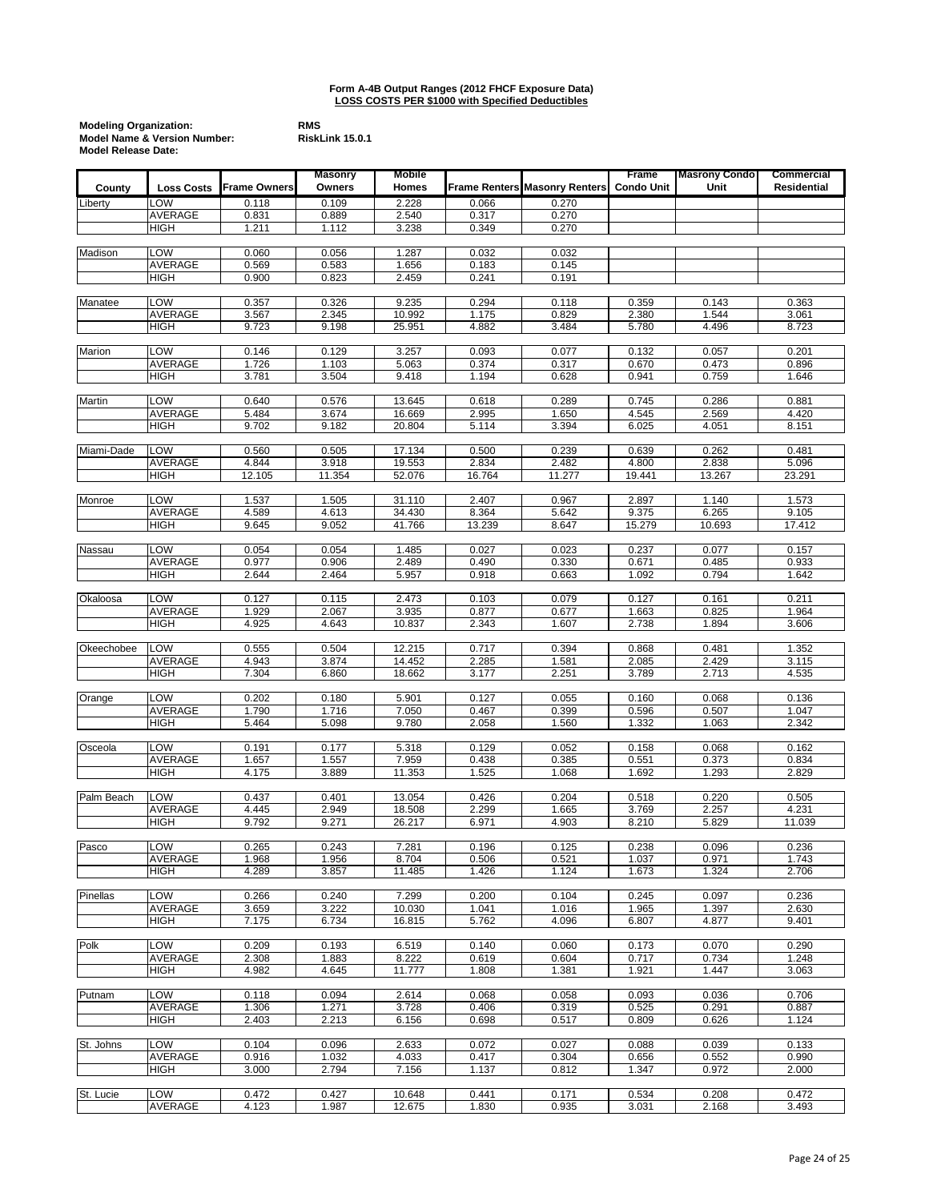| <b>Modeling Organization:</b>           | <b>RMS</b> |
|-----------------------------------------|------------|
| <b>Model Name &amp; Version Number:</b> | Risk       |
| <b>Model Release Date:</b>              |            |

|               |                       |                     | <b>Masonry</b> | <b>Mobile</b>   |                |                                      | Frame             | <b>Masrony Condo</b> | <b>Commercial</b> |
|---------------|-----------------------|---------------------|----------------|-----------------|----------------|--------------------------------------|-------------------|----------------------|-------------------|
| County        | <b>Loss Costs</b>     | <b>Frame Owners</b> | Owners         | Homes           |                | <b>Frame Renters Masonry Renters</b> | <b>Condo Unit</b> | Unit                 | Residential       |
| Liberty       | LOW                   | 0.118               | 0.109          | 2.228           | 0.066          | 0.270                                |                   |                      |                   |
|               | <b>AVERAGE</b>        | 0.831               | 0.889          | 2.540           | 0.317          | 0.270                                |                   |                      |                   |
|               | <b>HIGH</b>           | 1.211               | 1.112          | 3.238           | 0.349          | 0.270                                |                   |                      |                   |
|               |                       |                     |                |                 |                |                                      |                   |                      |                   |
| Madison       | LOW<br><b>AVERAGE</b> | 0.060               | 0.056          | 1.287           | 0.032          | 0.032                                |                   |                      |                   |
|               | <b>HIGH</b>           | 0.569<br>0.900      | 0.583<br>0.823 | 1.656<br>2.459  | 0.183<br>0.241 | 0.145<br>0.191                       |                   |                      |                   |
|               |                       |                     |                |                 |                |                                      |                   |                      |                   |
| Manatee       | LOW                   | 0.357               | 0.326          | 9.235           | 0.294          | 0.118                                | 0.359             | 0.143                | 0.363             |
|               | AVERAGE               | 3.567               | 2.345          | 10.992          | 1.175          | 0.829                                | 2.380             | 1.544                | 3.061             |
|               | <b>HIGH</b>           | 9.723               | 9.198          | 25.951          | 4.882          | 3.484                                | 5.780             | 4.496                | 8.723             |
|               |                       |                     |                |                 |                |                                      |                   |                      |                   |
| Marion        | LOW                   | 0.146               | 0.129          | 3.257           | 0.093          | 0.077                                | 0.132             | 0.057                | 0.201             |
|               | AVERAGE               | 1.726               | 1.103          | 5.063           | 0.374          | 0.317                                | 0.670             | 0.473                | 0.896             |
|               | HIGH                  | 3.781               | 3.504          | 9.418           | 1.194          | 0.628                                | 0.941             | 0.759                | 1.646             |
| <b>Martin</b> | LOW                   | 0.640               | 0.576          | 13.645          | 0.618          | 0.289                                | 0.745             | 0.286                | 0.881             |
|               | AVERAGE               | 5.484               | 3.674          | 16.669          | 2.995          | 1.650                                | 4.545             | 2.569                | 4.420             |
|               | <b>HIGH</b>           | 9.702               | 9.182          | 20.804          | 5.114          | 3.394                                | 6.025             | 4.051                | 8.151             |
|               |                       |                     |                |                 |                |                                      |                   |                      |                   |
| Miami-Dade    | LOW                   | 0.560               | 0.505          | 17.134          | 0.500          | 0.239                                | 0.639             | 0.262                | 0.481             |
|               | AVERAGE               | 4.844               | 3.918          | 19.553          | 2.834          | 2.482                                | 4.800             | 2.838                | 5.096             |
|               | HIGH                  | 12.105              | 11.354         | 52.076          | 16.764         | 11.277                               | 19.441            | 13.267               | 23.291            |
| Monroe        | LOW                   | 1.537               | 1.505          | 31.110          | 2.407          | 0.967                                | 2.897             | 1.140                | 1.573             |
|               | AVERAGE               | 4.589               | 4.613          | 34.430          | 8.364          | 5.642                                | 9.375             | 6.265                | 9.105             |
|               | HIGH                  | 9.645               | 9.052          | 41.766          | 13.239         | 8.647                                | 15.279            | 10.693               | 17.412            |
|               |                       |                     |                |                 |                |                                      |                   |                      |                   |
| Nassau        | LOW                   | 0.054               | 0.054          | 1.485           | 0.027          | 0.023                                | 0.237             | 0.077                | 0.157             |
|               | <b>AVERAGE</b>        | 0.977               | 0.906          | 2.489           | 0.490          | 0.330                                | 0.671             | 0.485                | 0.933             |
|               | <b>HIGH</b>           | 2.644               | 2.464          | 5.957           | 0.918          | 0.663                                | 1.092             | 0.794                | 1.642             |
|               |                       |                     |                |                 |                |                                      |                   |                      |                   |
| Okaloosa      | LOW                   | 0.127               | 0.115          | 2.473           | 0.103          | 0.079                                | 0.127             | 0.161                | 0.211             |
|               | AVERAGE<br>HIGH       | 1.929<br>4.925      | 2.067<br>4.643 | 3.935<br>10.837 | 0.877<br>2.343 | 0.677<br>1.607                       | 1.663<br>2.738    | 0.825<br>1.894       | 1.964<br>3.606    |
|               |                       |                     |                |                 |                |                                      |                   |                      |                   |
| Okeechobee    | LOW                   | 0.555               | 0.504          | 12.215          | 0.717          | 0.394                                | 0.868             | 0.481                | 1.352             |
|               | AVERAGE               | 4.943               | 3.874          | 14.452          | 2.285          | 1.581                                | 2.085             | 2.429                | 3.115             |
|               | <b>HIGH</b>           | 7.304               | 6.860          | 18.662          | 3.177          | 2.251                                | 3.789             | 2.713                | 4.535             |
|               |                       |                     |                |                 |                |                                      |                   |                      |                   |
| Orange        | LOW                   | 0.202               | 0.180          | 5.901           | 0.127          | 0.055                                | 0.160             | 0.068                | 0.136             |
|               | AVERAGE               | 1.790               | 1.716          | 7.050           | 0.467          | 0.399                                | 0.596             | 0.507                | 1.047             |
|               | HIGH                  | 5.464               | 5.098          | 9.780           | 2.058          | 1.560                                | 1.332             | 1.063                | 2.342             |
| Osceola       | LOW                   | 0.191               | 0.177          | 5.318           | 0.129          | 0.052                                | 0.158             | 0.068                | 0.162             |
|               | AVERAGE               | 1.657               | 1.557          | 7.959           | 0.438          | 0.385                                | 0.551             | 0.373                | 0.834             |
|               | <b>HIGH</b>           | 4.175               | 3.889          | 11.353          | 1.525          | 1.068                                | 1.692             | 1.293                | 2.829             |
|               |                       |                     |                |                 |                |                                      |                   |                      |                   |
| Palm Beach    | LOW                   | 0.437               | 0.401          | 13.054          | 0.426          | 0.204                                | 0.518             | 0.220                | 0.505             |
|               | AVERAGE               | 4.445               | 2.949          | 18.508          | 2.299          | 1.665                                | 3.769             | 2.257                | 4.231             |
|               | HIGH                  | 9.792               | 9.271          | 26.217          | 6.971          | 4.903                                | 8.210             | 5.829                | 11.039            |
| Pasco         | <b>LOW</b>            | 0.265               | 0.243          | 7.281           | 0.196          | 0.125                                | 0.238             | 0.096                | 0.236             |
|               | AVERAGE               | 1.968               | 1.956          | 8.704           | 0.506          | 0.521                                | 1.037             | 0.971                | 1.743             |
|               | HIGH                  | 4.289               | 3.857          | 11.485          | 1.426          | 1.124                                | 1.673             | 1.324                | 2.706             |
|               |                       |                     |                |                 |                |                                      |                   |                      |                   |
| Pinellas      | LOW                   | 0.266               | 0.240          | 7.299           | 0.200          | 0.104                                | 0.245             | 0.097                | 0.236             |
|               | AVERAGE               | 3.659               | 3.222          | 10.030          | 1.041          | 1.016                                | 1.965             | 1.397                | 2.630             |
|               | HIGH                  | 7.175               | 6.734          | 16.815          | 5.762          | 4.096                                | 6.807             | 4.877                | 9.401             |
|               |                       |                     |                |                 |                |                                      |                   |                      |                   |
| Polk          | LOW<br>AVERAGE        | 0.209<br>2.308      | 0.193<br>1.883 | 6.519<br>8.222  | 0.140<br>0.619 | 0.060<br>0.604                       | 0.173<br>0.717    | 0.070<br>0.734       | 0.290<br>1.248    |
|               | HIGH                  | 4.982               | 4.645          | 11.777          | 1.808          | 1.381                                | 1.921             | 1.447                | 3.063             |
|               |                       |                     |                |                 |                |                                      |                   |                      |                   |
| Putnam        | LOW                   | 0.118               | 0.094          | 2.614           | 0.068          | 0.058                                | 0.093             | 0.036                | 0.706             |
|               | AVERAGE               | 1.306               | 1.271          | 3.728           | 0.406          | 0.319                                | 0.525             | 0.291                | 0.887             |
|               | <b>HIGH</b>           | 2.403               | 2.213          | 6.156           | 0.698          | 0.517                                | 0.809             | 0.626                | 1.124             |
|               |                       |                     |                |                 |                |                                      |                   |                      |                   |
| St. Johns     | LOW                   | 0.104               | 0.096          | 2.633           | 0.072          | 0.027                                | 0.088             | 0.039                | 0.133             |
|               | AVERAGE               | 0.916               | 1.032          | 4.033           | 0.417          | 0.304                                | 0.656             | 0.552                | 0.990             |
|               | HIGH                  | 3.000               | 2.794          | 7.156           | 1.137          | 0.812                                | 1.347             | 0.972                | 2.000             |
| St. Lucie     | LOW                   | 0.472               | 0.427          | 10.648          | 0.441          | 0.171                                | 0.534             | 0.208                | 0.472             |
|               | AVERAGE               | 4.123               | 1.987          | 12.675          | 1.830          | 0.935                                | 3.031             | 2.168                | 3.493             |
|               |                       |                     |                |                 |                |                                      |                   |                      |                   |